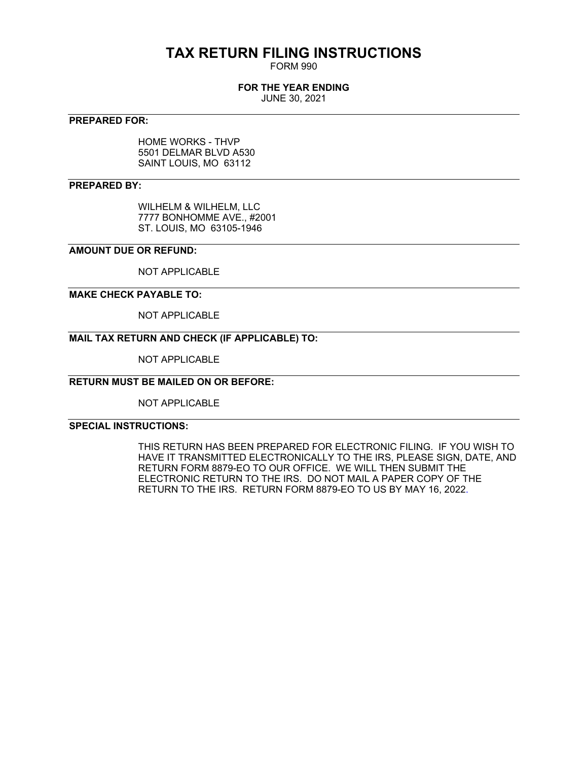# **TAX RETURN FILING INSTRUCTIONS**

FORM 990

### **FOR THE YEAR ENDING**

JUNE 30, 2021

### **PREPARED FOR:**

HOME WORKS - THVP 5501 DELMAR BLVD A530 SAINT LOUIS, MO 63112

### **PREPARED BY:**

WILHELM & WILHELM, LLC 7777 BONHOMME AVE., #2001 ST. LOUIS, MO 63105-1946

### **AMOUNT DUE OR REFUND:**

NOT APPLICABLE

### **MAKE CHECK PAYABLE TO:**

NOT APPLICABLE

## **MAIL TAX RETURN AND CHECK (IF APPLICABLE) TO:**

NOT APPLICABLE

### **RETURN MUST BE MAILED ON OR BEFORE:**

NOT APPLICABLE

## **SPECIAL INSTRUCTIONS:**

THIS RETURN HAS BEEN PREPARED FOR ELECTRONIC FILING. IF YOU WISH TO HAVE IT TRANSMITTED ELECTRONICALLY TO THE IRS, PLEASE SIGN, DATE, AND RETURN FORM 8879-EO TO OUR OFFICE. WE WILL THEN SUBMIT THE ELECTRONIC RETURN TO THE IRS. DO NOT MAIL A PAPER COPY OF THE RETURN TO THE IRS. RETURN FORM 8879-EO TO US BY MAY 16, 2022.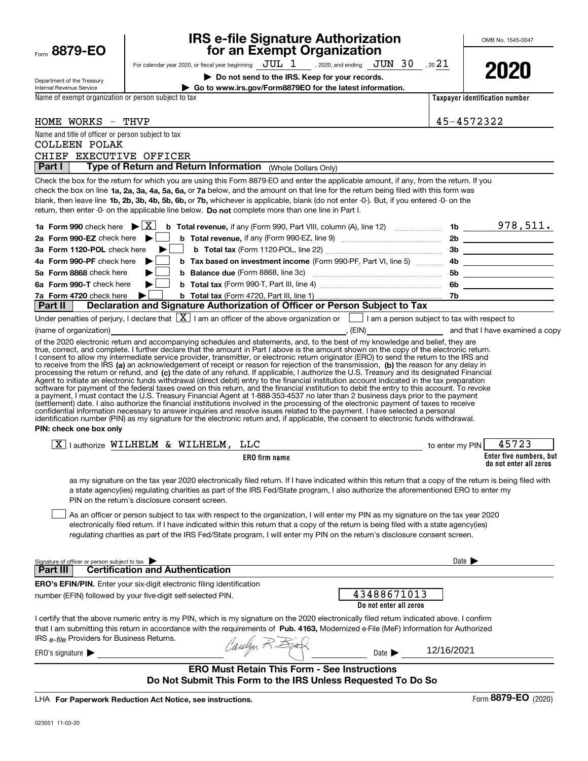| Form 8879-EO                                                            |                                                                                                    | <b>IRS e-file Signature Authorization</b><br>for an Exempt Organization                                                                                                                                                                                                                                                                                                                                                                                                                                                                                                                                                                                                                                                                                                                                                                           |                                | OMB No. 1545-0047        |
|-------------------------------------------------------------------------|----------------------------------------------------------------------------------------------------|---------------------------------------------------------------------------------------------------------------------------------------------------------------------------------------------------------------------------------------------------------------------------------------------------------------------------------------------------------------------------------------------------------------------------------------------------------------------------------------------------------------------------------------------------------------------------------------------------------------------------------------------------------------------------------------------------------------------------------------------------------------------------------------------------------------------------------------------------|--------------------------------|--------------------------|
|                                                                         |                                                                                                    | For calendar year 2020, or fiscal year beginning $JUL$ 1, 2020, and ending $JUN$ 30, 20 21                                                                                                                                                                                                                                                                                                                                                                                                                                                                                                                                                                                                                                                                                                                                                        |                                |                          |
|                                                                         |                                                                                                    |                                                                                                                                                                                                                                                                                                                                                                                                                                                                                                                                                                                                                                                                                                                                                                                                                                                   |                                | 2020                     |
| Department of the Treasury<br>Internal Revenue Service                  |                                                                                                    | Do not send to the IRS. Keep for your records.<br>Go to www.irs.gov/Form8879EO for the latest information.                                                                                                                                                                                                                                                                                                                                                                                                                                                                                                                                                                                                                                                                                                                                        |                                |                          |
| Name of exempt organization or person subject to tax                    |                                                                                                    |                                                                                                                                                                                                                                                                                                                                                                                                                                                                                                                                                                                                                                                                                                                                                                                                                                                   | Taxpayer identification number |                          |
|                                                                         |                                                                                                    |                                                                                                                                                                                                                                                                                                                                                                                                                                                                                                                                                                                                                                                                                                                                                                                                                                                   |                                |                          |
| HOME WORKS - THVP                                                       |                                                                                                    |                                                                                                                                                                                                                                                                                                                                                                                                                                                                                                                                                                                                                                                                                                                                                                                                                                                   | 45-4572322                     |                          |
| Name and title of officer or person subject to tax                      |                                                                                                    |                                                                                                                                                                                                                                                                                                                                                                                                                                                                                                                                                                                                                                                                                                                                                                                                                                                   |                                |                          |
| <b>COLLEEN POLAK</b>                                                    |                                                                                                    |                                                                                                                                                                                                                                                                                                                                                                                                                                                                                                                                                                                                                                                                                                                                                                                                                                                   |                                |                          |
| CHIEF EXECUTIVE OFFICER<br>Part I                                       | Type of Return and Return Information (Whole Dollars Only)                                         |                                                                                                                                                                                                                                                                                                                                                                                                                                                                                                                                                                                                                                                                                                                                                                                                                                                   |                                |                          |
|                                                                         |                                                                                                    |                                                                                                                                                                                                                                                                                                                                                                                                                                                                                                                                                                                                                                                                                                                                                                                                                                                   |                                |                          |
|                                                                         | return, then enter -0- on the applicable line below. Do not complete more than one line in Part I. | Check the box for the return for which you are using this Form 8879-EO and enter the applicable amount, if any, from the return. If you<br>check the box on line 1a, 2a, 3a, 4a, 5a, 6a, or 7a below, and the amount on that line for the return being filed with this form was<br>blank, then leave line 1b, 2b, 3b, 4b, 5b, 6b, or 7b, whichever is applicable, blank (do not enter -0-). But, if you entered -0- on the                                                                                                                                                                                                                                                                                                                                                                                                                        |                                |                          |
| 1a Form 990 check here $\blacktriangleright \lceil \overline{X} \rceil$ |                                                                                                    | <b>b</b> Total revenue, if any (Form 990, Part VIII, column (A), line 12) $\ldots$ 10 $\ldots$ 1b $\ldots$ 978, 511.                                                                                                                                                                                                                                                                                                                                                                                                                                                                                                                                                                                                                                                                                                                              |                                |                          |
| 2a Form 990-EZ check here $\blacktriangleright$                         |                                                                                                    |                                                                                                                                                                                                                                                                                                                                                                                                                                                                                                                                                                                                                                                                                                                                                                                                                                                   |                                |                          |
| 3a Form 1120-POL check here                                             |                                                                                                    |                                                                                                                                                                                                                                                                                                                                                                                                                                                                                                                                                                                                                                                                                                                                                                                                                                                   |                                |                          |
| 4a Form 990-PF check here                                               |                                                                                                    |                                                                                                                                                                                                                                                                                                                                                                                                                                                                                                                                                                                                                                                                                                                                                                                                                                                   |                                |                          |
| 5a Form 8868 check here                                                 |                                                                                                    |                                                                                                                                                                                                                                                                                                                                                                                                                                                                                                                                                                                                                                                                                                                                                                                                                                                   |                                | 5b _____________________ |
| 6a Form 990-T check here                                                |                                                                                                    |                                                                                                                                                                                                                                                                                                                                                                                                                                                                                                                                                                                                                                                                                                                                                                                                                                                   |                                |                          |
| 7a Form 4720 check here                                                 |                                                                                                    |                                                                                                                                                                                                                                                                                                                                                                                                                                                                                                                                                                                                                                                                                                                                                                                                                                                   |                                |                          |
| Part II                                                                 |                                                                                                    | Declaration and Signature Authorization of Officer or Person Subject to Tax                                                                                                                                                                                                                                                                                                                                                                                                                                                                                                                                                                                                                                                                                                                                                                       |                                |                          |
|                                                                         |                                                                                                    | Under penalties of perjury, I declare that $\boxed{\mathbf{X}}$ I am an officer of the above organization or $\boxed{\phantom{\mathbf{X}}}$ I am a person subject to tax with respect to                                                                                                                                                                                                                                                                                                                                                                                                                                                                                                                                                                                                                                                          |                                |                          |
|                                                                         |                                                                                                    |                                                                                                                                                                                                                                                                                                                                                                                                                                                                                                                                                                                                                                                                                                                                                                                                                                                   |                                |                          |
| PIN: check one box only                                                 |                                                                                                    | Agent to initiate an electronic funds withdrawal (direct debit) entry to the financial institution account indicated in the tax preparation<br>software for payment of the federal taxes owed on this return, and the financial institution to debit the entry to this account. To revoke<br>a payment, I must contact the U.S. Treasury Financial Agent at 1-888-353-4537 no later than 2 business days prior to the payment<br>(settlement) date. I also authorize the financial institutions involved in the processing of the electronic payment of taxes to receive<br>confidential information necessary to answer inquiries and resolve issues related to the payment. I have selected a personal<br>identification number (PIN) as my signature for the electronic return and, if applicable, the consent to electronic funds withdrawal. |                                |                          |
|                                                                         | $\boxed{X}$   authorize WILHELM & WILHELM, LLC                                                     | to enter my PIN                                                                                                                                                                                                                                                                                                                                                                                                                                                                                                                                                                                                                                                                                                                                                                                                                                   |                                | 45723                    |
|                                                                         |                                                                                                    | <b>ERO</b> firm name                                                                                                                                                                                                                                                                                                                                                                                                                                                                                                                                                                                                                                                                                                                                                                                                                              |                                | Enter five numbers, but  |
|                                                                         | PIN on the return's disclosure consent screen.                                                     | as my signature on the tax year 2020 electronically filed return. If I have indicated within this return that a copy of the return is being filed with<br>a state agency(ies) regulating charities as part of the IRS Fed/State program, I also authorize the aforementioned ERO to enter my                                                                                                                                                                                                                                                                                                                                                                                                                                                                                                                                                      |                                | do not enter all zeros   |
|                                                                         |                                                                                                    | As an officer or person subject to tax with respect to the organization, I will enter my PIN as my signature on the tax year 2020<br>electronically filed return. If I have indicated within this return that a copy of the return is being filed with a state agency(ies)<br>regulating charities as part of the IRS Fed/State program, I will enter my PIN on the return's disclosure consent screen.                                                                                                                                                                                                                                                                                                                                                                                                                                           |                                |                          |
| Signature of officer or person subject to tax<br><b>Part III</b>        | <b>Certification and Authentication</b>                                                            |                                                                                                                                                                                                                                                                                                                                                                                                                                                                                                                                                                                                                                                                                                                                                                                                                                                   | Date $\blacktriangleright$     |                          |
|                                                                         | <b>ERO's EFIN/PIN.</b> Enter your six-digit electronic filing identification                       |                                                                                                                                                                                                                                                                                                                                                                                                                                                                                                                                                                                                                                                                                                                                                                                                                                                   |                                |                          |
|                                                                         | number (EFIN) followed by your five-digit self-selected PIN.                                       | 43488671013<br>Do not enter all zeros                                                                                                                                                                                                                                                                                                                                                                                                                                                                                                                                                                                                                                                                                                                                                                                                             |                                |                          |
| IRS e-file Providers for Business Returns.                              |                                                                                                    | I certify that the above numeric entry is my PIN, which is my signature on the 2020 electronically filed return indicated above. I confirm<br>that I am submitting this return in accordance with the requirements of Pub. 4163, Modernized e-File (MeF) Information for Authorized                                                                                                                                                                                                                                                                                                                                                                                                                                                                                                                                                               |                                |                          |
| ERO's signature $\blacktriangleright$                                   |                                                                                                    | Carelyn R. Ezab<br>Date $\blacktriangleright$                                                                                                                                                                                                                                                                                                                                                                                                                                                                                                                                                                                                                                                                                                                                                                                                     | 12/16/2021                     |                          |
|                                                                         |                                                                                                    | <b>ERO Must Retain This Form - See Instructions</b>                                                                                                                                                                                                                                                                                                                                                                                                                                                                                                                                                                                                                                                                                                                                                                                               |                                |                          |
|                                                                         |                                                                                                    | Do Not Submit This Form to the IRS Unless Requested To Do So                                                                                                                                                                                                                                                                                                                                                                                                                                                                                                                                                                                                                                                                                                                                                                                      |                                |                          |

LHA For Paperwork Reduction Act Notice, see instructions.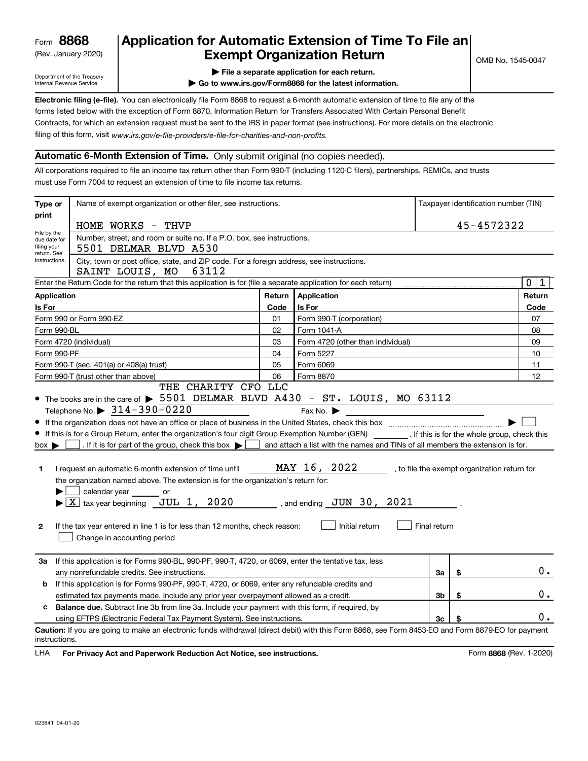(Rev. January 2020)

# **Application for Automatic Extension of Time To File an Exempt Organization Return**

Department of the Treasury Internal Revenue Service

**| File a separate application for each return.**

**| Go to www.irs.gov/Form8868 for the latest information.**

**Electronic filing (e-file).**  You can electronically file Form 8868 to request a 6-month automatic extension of time to file any of the filing of this form, visit www.irs.gov/e-file-providers/e-file-for-charities-and-non-profits. forms listed below with the exception of Form 8870, Information Return for Transfers Associated With Certain Personal Benefit Contracts, for which an extension request must be sent to the IRS in paper format (see instructions). For more details on the electronic

### **Automatic 6-Month Extension of Time.** Only submit original (no copies needed).

All corporations required to file an income tax return other than Form 990-T (including 1120-C filers), partnerships, REMICs, and trusts must use Form 7004 to request an extension of time to file income tax returns.

| Type or                                                                                          | Name of exempt organization or other filer, see instructions.                                                                                                                                                                                                                                                                                                                                                                                                                                                                                                                                            | Taxpayer identification number (TIN) |                                                                                                                                                                         |              |      |                                              |  |  |
|--------------------------------------------------------------------------------------------------|----------------------------------------------------------------------------------------------------------------------------------------------------------------------------------------------------------------------------------------------------------------------------------------------------------------------------------------------------------------------------------------------------------------------------------------------------------------------------------------------------------------------------------------------------------------------------------------------------------|--------------------------------------|-------------------------------------------------------------------------------------------------------------------------------------------------------------------------|--------------|------|----------------------------------------------|--|--|
| print                                                                                            | HOME WORKS - THVP                                                                                                                                                                                                                                                                                                                                                                                                                                                                                                                                                                                        |                                      |                                                                                                                                                                         | 45-4572322   |      |                                              |  |  |
| File by the<br>due date for<br>filing your<br>return. See                                        | Number, street, and room or suite no. If a P.O. box, see instructions.<br>5501 DELMAR BLVD A530                                                                                                                                                                                                                                                                                                                                                                                                                                                                                                          |                                      |                                                                                                                                                                         |              |      |                                              |  |  |
| instructions.                                                                                    | City, town or post office, state, and ZIP code. For a foreign address, see instructions.<br>SAINT LOUIS, MO 63112                                                                                                                                                                                                                                                                                                                                                                                                                                                                                        |                                      |                                                                                                                                                                         |              |      |                                              |  |  |
|                                                                                                  | Enter the Return Code for the return that this application is for (file a separate application for each return)                                                                                                                                                                                                                                                                                                                                                                                                                                                                                          |                                      |                                                                                                                                                                         |              |      | $\mathbf 0$<br>1                             |  |  |
| <b>Application</b>                                                                               |                                                                                                                                                                                                                                                                                                                                                                                                                                                                                                                                                                                                          | Return                               | Application                                                                                                                                                             |              |      | Return                                       |  |  |
| Is For                                                                                           |                                                                                                                                                                                                                                                                                                                                                                                                                                                                                                                                                                                                          | Is For                               |                                                                                                                                                                         |              | Code |                                              |  |  |
|                                                                                                  | Form 990 or Form 990-EZ                                                                                                                                                                                                                                                                                                                                                                                                                                                                                                                                                                                  | 01                                   | Form 990-T (corporation)                                                                                                                                                |              |      | 07                                           |  |  |
| Form 990-BL                                                                                      |                                                                                                                                                                                                                                                                                                                                                                                                                                                                                                                                                                                                          | 02                                   | Form 1041-A                                                                                                                                                             |              |      | 08                                           |  |  |
|                                                                                                  | Form 4720 (individual)                                                                                                                                                                                                                                                                                                                                                                                                                                                                                                                                                                                   | 03                                   | Form 4720 (other than individual)                                                                                                                                       |              |      | 09                                           |  |  |
| Form 990-PF                                                                                      |                                                                                                                                                                                                                                                                                                                                                                                                                                                                                                                                                                                                          | 04                                   | Form 5227                                                                                                                                                               |              |      | 10                                           |  |  |
|                                                                                                  | Form 990-T (sec. 401(a) or 408(a) trust)                                                                                                                                                                                                                                                                                                                                                                                                                                                                                                                                                                 | 05                                   | Form 6069                                                                                                                                                               |              |      | 11                                           |  |  |
|                                                                                                  | Form 990-T (trust other than above)<br>THE CHARITY CFO LLC                                                                                                                                                                                                                                                                                                                                                                                                                                                                                                                                               | 06                                   | Form 8870                                                                                                                                                               |              |      | 12                                           |  |  |
| $box \blacktriangleright$<br>1<br>$\mathbf{2}$                                                   | If this is for a Group Return, enter the organization's four digit Group Exemption Number (GEN) __________. If this is for the whole group, check this<br>. If it is for part of the group, check this box $\blacktriangleright$ [<br>I request an automatic 6-month extension of time until<br>the organization named above. The extension is for the organization's return for:<br>$\sim$<br>calendar year or<br>$\blacktriangleright$ $\boxed{\text{X}}$ tax year beginning JUL 1, 2020<br>If the tax year entered in line 1 is for less than 12 months, check reason:<br>Change in accounting period |                                      | and attach a list with the names and TINs of all members the extension is for.<br>MAY 16, 2022<br>, and ending $\,$ JUN $\,$ 30 $\,$ , $\,$ 2021 $\,$<br>Initial return | Final return |      | , to file the exempt organization return for |  |  |
| За                                                                                               | If this application is for Forms 990-BL, 990-PF, 990-T, 4720, or 6069, enter the tentative tax, less<br>any nonrefundable credits. See instructions.                                                                                                                                                                                                                                                                                                                                                                                                                                                     |                                      |                                                                                                                                                                         | За           | \$   | 0.                                           |  |  |
| b                                                                                                | If this application is for Forms 990-PF, 990-T, 4720, or 6069, enter any refundable credits and                                                                                                                                                                                                                                                                                                                                                                                                                                                                                                          |                                      |                                                                                                                                                                         |              |      |                                              |  |  |
| 3b<br>\$<br>estimated tax payments made. Include any prior year overpayment allowed as a credit. |                                                                                                                                                                                                                                                                                                                                                                                                                                                                                                                                                                                                          |                                      |                                                                                                                                                                         |              |      |                                              |  |  |
|                                                                                                  | c Balance due. Subtract line 3b from line 3a. Include your payment with this form, if required, by                                                                                                                                                                                                                                                                                                                                                                                                                                                                                                       |                                      |                                                                                                                                                                         |              |      |                                              |  |  |
|                                                                                                  | using EFTPS (Electronic Federal Tax Payment System). See instructions.                                                                                                                                                                                                                                                                                                                                                                                                                                                                                                                                   |                                      |                                                                                                                                                                         | 3c           |      | 0.                                           |  |  |
| instructions.                                                                                    | Caution: If you are going to make an electronic funds withdrawal (direct debit) with this Form 8868, see Form 8453-EO and Form 8879-EO for payment                                                                                                                                                                                                                                                                                                                                                                                                                                                       |                                      |                                                                                                                                                                         |              |      |                                              |  |  |

**HA** For Privacy Act and Paperwork Reduction Act Notice, see instructions. **But a struction of the Constantion Constant** Form 8868 (Rev. 1-2020) LHA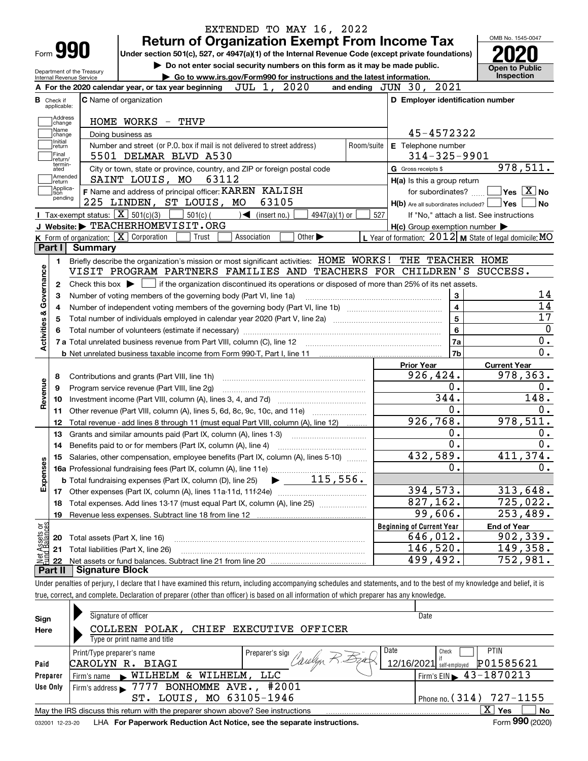|                                                                                                                      |                                                        |                                                                                                                                             | EXTENDED TO MAY 16, 2022                                                    |                                   |                             |            |                                                                                                                                                            |  | OMB No. 1545-0047                                                                                                                                                                                                         |  |  |
|----------------------------------------------------------------------------------------------------------------------|--------------------------------------------------------|---------------------------------------------------------------------------------------------------------------------------------------------|-----------------------------------------------------------------------------|-----------------------------------|-----------------------------|------------|------------------------------------------------------------------------------------------------------------------------------------------------------------|--|---------------------------------------------------------------------------------------------------------------------------------------------------------------------------------------------------------------------------|--|--|
| Form <b>990</b>                                                                                                      |                                                        |                                                                                                                                             |                                                                             |                                   |                             |            | <b>Return of Organization Exempt From Income Tax</b><br>Under section 501(c), 527, or 4947(a)(1) of the Internal Revenue Code (except private foundations) |  |                                                                                                                                                                                                                           |  |  |
|                                                                                                                      |                                                        |                                                                                                                                             | Do not enter social security numbers on this form as it may be made public. |                                   |                             |            |                                                                                                                                                            |  |                                                                                                                                                                                                                           |  |  |
|                                                                                                                      | Department of the Treasury<br>Internal Revenue Service |                                                                                                                                             | Go to www.irs.gov/Form990 for instructions and the latest information.      |                                   |                             |            |                                                                                                                                                            |  | <b>Open to Public</b><br>Inspection                                                                                                                                                                                       |  |  |
|                                                                                                                      |                                                        | A For the 2020 calendar year, or tax year beginning                                                                                         |                                                                             | JUL 1, 2020                       |                             |            | and ending $JUN$ 30, $2021$                                                                                                                                |  |                                                                                                                                                                                                                           |  |  |
| в.<br>Check if                                                                                                       |                                                        | C Name of organization                                                                                                                      |                                                                             |                                   |                             |            | D Employer identification number                                                                                                                           |  |                                                                                                                                                                                                                           |  |  |
| applicable:<br>Address                                                                                               |                                                        |                                                                                                                                             |                                                                             |                                   |                             |            |                                                                                                                                                            |  |                                                                                                                                                                                                                           |  |  |
| HOME WORKS - THVP<br>change<br>Name<br>45-4572322                                                                    |                                                        |                                                                                                                                             |                                                                             |                                   |                             |            |                                                                                                                                                            |  |                                                                                                                                                                                                                           |  |  |
| Doing business as<br>change<br>Initial<br>Number and street (or P.O. box if mail is not delivered to street address) |                                                        |                                                                                                                                             |                                                                             |                                   |                             |            |                                                                                                                                                            |  |                                                                                                                                                                                                                           |  |  |
| return<br>Final                                                                                                      |                                                        | 5501 DELMAR BLVD A530                                                                                                                       |                                                                             |                                   |                             | Room/suite | E Telephone number<br>$314 - 325 - 9901$                                                                                                                   |  |                                                                                                                                                                                                                           |  |  |
| return/<br>termin-<br>ated                                                                                           |                                                        | City or town, state or province, country, and ZIP or foreign postal code                                                                    |                                                                             |                                   |                             |            | G Gross receipts \$                                                                                                                                        |  | 978,511.                                                                                                                                                                                                                  |  |  |
| Amended<br> return                                                                                                   |                                                        | SAINT LOUIS, MO                                                                                                                             | 63112                                                                       |                                   |                             |            | H(a) Is this a group return                                                                                                                                |  |                                                                                                                                                                                                                           |  |  |
| Applica-<br>tion                                                                                                     |                                                        | F Name and address of principal officer: KAREN KALISH                                                                                       |                                                                             |                                   |                             |            | for subordinates?                                                                                                                                          |  | $\sqrt{}$ Yes $\sqrt{}$ X $\sqrt{}$ No                                                                                                                                                                                    |  |  |
| pending                                                                                                              |                                                        | 225 LINDEN, ST LOUIS, MO                                                                                                                    |                                                                             | 63105                             |                             |            | $H(b)$ Are all subordinates included?                                                                                                                      |  | ∣Yes<br><b>No</b>                                                                                                                                                                                                         |  |  |
|                                                                                                                      |                                                        | <b>I</b> Tax-exempt status: $\boxed{\mathbf{X}}$ 501(c)(3)                                                                                  | $501(c)$ (                                                                  | $\sqrt{\phantom{a}}$ (insert no.) | $4947(a)(1)$ or             | 527        | If "No," attach a list. See instructions                                                                                                                   |  |                                                                                                                                                                                                                           |  |  |
|                                                                                                                      |                                                        | J Website: FEACHERHOMEVISIT.ORG                                                                                                             |                                                                             |                                   |                             |            | $H(c)$ Group exemption number $\blacktriangleright$                                                                                                        |  |                                                                                                                                                                                                                           |  |  |
|                                                                                                                      |                                                        | K Form of organization: $\boxed{\mathbf{X}}$ Corporation                                                                                    | Trust<br>Association                                                        |                                   | Other $\blacktriangleright$ |            | L Year of formation: $2012$ M State of legal domicile: MO                                                                                                  |  |                                                                                                                                                                                                                           |  |  |
| Part I                                                                                                               | <b>Summary</b>                                         |                                                                                                                                             |                                                                             |                                   |                             |            |                                                                                                                                                            |  |                                                                                                                                                                                                                           |  |  |
| 1.                                                                                                                   |                                                        | Briefly describe the organization's mission or most significant activities: HOME WORKS ! THE TEACHER HOME                                   |                                                                             |                                   |                             |            |                                                                                                                                                            |  |                                                                                                                                                                                                                           |  |  |
|                                                                                                                      |                                                        | VISIT PROGRAM PARTNERS FAMILIES AND TEACHERS FOR CHILDREN'S SUCCESS.                                                                        |                                                                             |                                   |                             |            |                                                                                                                                                            |  |                                                                                                                                                                                                                           |  |  |
| 2                                                                                                                    |                                                        | Check this box $\blacktriangleright$ $\Box$ if the organization discontinued its operations or disposed of more than 25% of its net assets. |                                                                             |                                   |                             |            |                                                                                                                                                            |  |                                                                                                                                                                                                                           |  |  |
|                                                                                                                      |                                                        |                                                                                                                                             |                                                                             |                                   |                             |            |                                                                                                                                                            |  |                                                                                                                                                                                                                           |  |  |
|                                                                                                                      |                                                        |                                                                                                                                             |                                                                             |                                   |                             |            | 3                                                                                                                                                          |  |                                                                                                                                                                                                                           |  |  |
|                                                                                                                      |                                                        |                                                                                                                                             | Number of voting members of the governing body (Part VI, line 1a)           |                                   |                             |            |                                                                                                                                                            |  |                                                                                                                                                                                                                           |  |  |
|                                                                                                                      |                                                        |                                                                                                                                             |                                                                             |                                   |                             |            | $\overline{4}$<br>$\overline{5}$                                                                                                                           |  |                                                                                                                                                                                                                           |  |  |
|                                                                                                                      |                                                        | Total number of individuals employed in calendar year 2020 (Part V, line 2a) manufacture controller to intervent                            |                                                                             |                                   |                             |            |                                                                                                                                                            |  |                                                                                                                                                                                                                           |  |  |
|                                                                                                                      |                                                        |                                                                                                                                             |                                                                             |                                   |                             |            | $6\phantom{a}$                                                                                                                                             |  |                                                                                                                                                                                                                           |  |  |
|                                                                                                                      |                                                        |                                                                                                                                             |                                                                             |                                   |                             |            | 7a                                                                                                                                                         |  |                                                                                                                                                                                                                           |  |  |
|                                                                                                                      |                                                        |                                                                                                                                             |                                                                             |                                   |                             |            | 7b                                                                                                                                                         |  |                                                                                                                                                                                                                           |  |  |
|                                                                                                                      |                                                        |                                                                                                                                             |                                                                             |                                   |                             |            | <b>Prior Year</b>                                                                                                                                          |  | <b>Current Year</b>                                                                                                                                                                                                       |  |  |
| 8                                                                                                                    |                                                        | Contributions and grants (Part VIII, line 1h)                                                                                               |                                                                             |                                   |                             |            | 926,424.                                                                                                                                                   |  |                                                                                                                                                                                                                           |  |  |
| 9                                                                                                                    |                                                        | Program service revenue (Part VIII, line 2g)                                                                                                |                                                                             |                                   |                             |            | $\overline{0}$ .                                                                                                                                           |  |                                                                                                                                                                                                                           |  |  |
| 10                                                                                                                   |                                                        |                                                                                                                                             |                                                                             |                                   |                             |            | 344.                                                                                                                                                       |  |                                                                                                                                                                                                                           |  |  |
| 11                                                                                                                   |                                                        | Other revenue (Part VIII, column (A), lines 5, 6d, 8c, 9c, 10c, and 11e)                                                                    |                                                                             |                                   |                             |            | 0.                                                                                                                                                         |  |                                                                                                                                                                                                                           |  |  |
| 12                                                                                                                   |                                                        | Total revenue - add lines 8 through 11 (must equal Part VIII, column (A), line 12)                                                          |                                                                             |                                   |                             |            | 926, 768.                                                                                                                                                  |  |                                                                                                                                                                                                                           |  |  |
| 13                                                                                                                   |                                                        | Grants and similar amounts paid (Part IX, column (A), lines 1-3)                                                                            |                                                                             |                                   |                             |            | 0.                                                                                                                                                         |  |                                                                                                                                                                                                                           |  |  |
| 14                                                                                                                   |                                                        | Benefits paid to or for members (Part IX, column (A), line 4)                                                                               |                                                                             |                                   |                             |            | $\overline{0}$ .                                                                                                                                           |  |                                                                                                                                                                                                                           |  |  |
|                                                                                                                      |                                                        | 15 Salaries, other compensation, employee benefits (Part IX, column (A), lines 5-10)                                                        |                                                                             |                                   |                             |            | 432,589.                                                                                                                                                   |  |                                                                                                                                                                                                                           |  |  |
|                                                                                                                      |                                                        |                                                                                                                                             |                                                                             |                                   |                             |            | 0.                                                                                                                                                         |  |                                                                                                                                                                                                                           |  |  |
|                                                                                                                      |                                                        |                                                                                                                                             |                                                                             |                                   |                             |            |                                                                                                                                                            |  |                                                                                                                                                                                                                           |  |  |
|                                                                                                                      |                                                        |                                                                                                                                             |                                                                             |                                   |                             |            | 394,573.                                                                                                                                                   |  |                                                                                                                                                                                                                           |  |  |
| 18                                                                                                                   |                                                        | Total expenses. Add lines 13-17 (must equal Part IX, column (A), line 25)                                                                   |                                                                             |                                   |                             |            | 827,162.                                                                                                                                                   |  |                                                                                                                                                                                                                           |  |  |
| 19                                                                                                                   |                                                        |                                                                                                                                             |                                                                             |                                   |                             |            | 99,606.                                                                                                                                                    |  |                                                                                                                                                                                                                           |  |  |
|                                                                                                                      |                                                        |                                                                                                                                             |                                                                             |                                   |                             |            | <b>Beginning of Current Year</b>                                                                                                                           |  | <b>End of Year</b>                                                                                                                                                                                                        |  |  |
| 20                                                                                                                   | Total assets (Part X, line 16)                         |                                                                                                                                             |                                                                             |                                   |                             |            | 646,012.                                                                                                                                                   |  |                                                                                                                                                                                                                           |  |  |
| Activities & Governance<br>Revenue<br>Expenses<br>: Assets or<br>d Balances<br>21<br>鲳                               |                                                        | Total liabilities (Part X, line 26)                                                                                                         |                                                                             |                                   |                             |            | 146,520.<br>499,492.                                                                                                                                       |  | 14<br>14<br>17<br>$\mathbf 0$<br>0.<br>$\overline{0}$ .<br>978,363.<br>0.<br>148.<br>0.<br>978, 511.<br>0.<br>$\overline{0}$ .<br>411,374.<br>0.<br>313,648.<br>725,022.<br>253,489.<br>902, 339.<br>149,358.<br>752,981. |  |  |

true, correct, and complete. Declaration of preparer (other than officer) is based on all information of which preparer has any knowledge.

| Sign     | Signature of officer                                                                                         | Date                                        |  |  |  |  |  |  |  |  |  |  |
|----------|--------------------------------------------------------------------------------------------------------------|---------------------------------------------|--|--|--|--|--|--|--|--|--|--|
| Here     | COLLEEN POLAK.<br>EXECUTIVE OFFICER<br><b>CHIEF</b>                                                          |                                             |  |  |  |  |  |  |  |  |  |  |
|          | Type or print name and title                                                                                 |                                             |  |  |  |  |  |  |  |  |  |  |
|          | Date<br>Print/Type preparer's name<br>Preparer's sign                                                        | <b>PTIN</b><br>Check                        |  |  |  |  |  |  |  |  |  |  |
| Paid     | CAROLYN R.<br>BIAGI                                                                                          | 12/16/2021 self-employed<br>P01585621       |  |  |  |  |  |  |  |  |  |  |
| Preparer | WILHELM.<br>WILHELM &<br>LLC<br>Firm's name                                                                  | Firm's EIN $\blacktriangleright$ 43-1870213 |  |  |  |  |  |  |  |  |  |  |
| Use Only | BONHOMME AVE.,<br>#2001<br>Firm's address 7777                                                               |                                             |  |  |  |  |  |  |  |  |  |  |
|          | LOUIS, MO 63105-1946<br>ST.                                                                                  | Phone no. (314) 727-1155                    |  |  |  |  |  |  |  |  |  |  |
|          | May the IRS discuss this return with the preparer shown above? See instructions                              | x<br>No<br>Yes                              |  |  |  |  |  |  |  |  |  |  |
|          | Form 990 (2020)<br>LHA For Paperwork Reduction Act Notice, see the separate instructions.<br>032001 12-23-20 |                                             |  |  |  |  |  |  |  |  |  |  |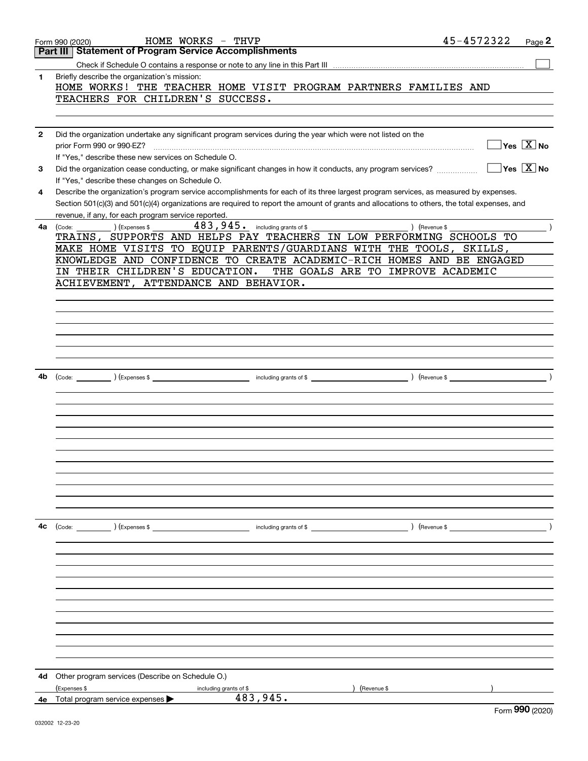|              | HOME WORKS - THVP<br>Form 990 (2020)                                                                                                         |          | 45-4572322                            | Page 2                                                |
|--------------|----------------------------------------------------------------------------------------------------------------------------------------------|----------|---------------------------------------|-------------------------------------------------------|
|              | <b>Statement of Program Service Accomplishments</b><br>Part III                                                                              |          |                                       |                                                       |
|              |                                                                                                                                              |          |                                       |                                                       |
| 1            | Briefly describe the organization's mission:                                                                                                 |          |                                       |                                                       |
|              | HOME WORKS! THE TEACHER HOME VISIT PROGRAM PARTNERS FAMILIES AND                                                                             |          |                                       |                                                       |
|              | TEACHERS FOR CHILDREN'S SUCCESS.                                                                                                             |          |                                       |                                                       |
|              |                                                                                                                                              |          |                                       |                                                       |
| $\mathbf{2}$ | Did the organization undertake any significant program services during the year which were not listed on the                                 |          |                                       |                                                       |
|              | prior Form 990 or 990-EZ?                                                                                                                    |          |                                       | $\sqrt{}$ Yes $\sqrt{X}$ No                           |
|              | If "Yes," describe these new services on Schedule O.                                                                                         |          |                                       |                                                       |
| 3            | Did the organization cease conducting, or make significant changes in how it conducts, any program services?                                 |          |                                       | $\overline{\mathsf{Y}}$ es $\overline{\mathsf{X}}$ No |
|              | If "Yes," describe these changes on Schedule O.                                                                                              |          |                                       |                                                       |
| 4            | Describe the organization's program service accomplishments for each of its three largest program services, as measured by expenses.         |          |                                       |                                                       |
|              | Section 501(c)(3) and 501(c)(4) organizations are required to report the amount of grants and allocations to others, the total expenses, and |          |                                       |                                                       |
|              | revenue, if any, for each program service reported.                                                                                          |          |                                       |                                                       |
| 4a           | $\text{(Code:)}$ $\text{1}$ $\text{Expenses }$ \$                                                                                            |          | Revenue \$                            |                                                       |
|              | TRAINS, SUPPORTS AND HELPS PAY TEACHERS IN LOW PERFORMING SCHOOLS TO                                                                         |          |                                       |                                                       |
|              | MAKE HOME VISITS TO EQUIP PARENTS/GUARDIANS WITH THE TOOLS, SKILLS,                                                                          |          |                                       |                                                       |
|              | KNOWLEDGE AND CONFIDENCE TO CREATE ACADEMIC-RICH HOMES AND BE ENGAGED<br>IN THEIR CHILDREN'S EDUCATION. THE GOALS ARE TO IMPROVE ACADEMIC    |          |                                       |                                                       |
|              | ACHIEVEMENT, ATTENDANCE AND BEHAVIOR.                                                                                                        |          |                                       |                                                       |
|              |                                                                                                                                              |          |                                       |                                                       |
|              |                                                                                                                                              |          |                                       |                                                       |
|              |                                                                                                                                              |          |                                       |                                                       |
|              |                                                                                                                                              |          |                                       |                                                       |
|              |                                                                                                                                              |          |                                       |                                                       |
|              |                                                                                                                                              |          |                                       |                                                       |
|              |                                                                                                                                              |          |                                       |                                                       |
| 4b           |                                                                                                                                              |          |                                       |                                                       |
|              |                                                                                                                                              |          |                                       |                                                       |
|              |                                                                                                                                              |          |                                       |                                                       |
|              |                                                                                                                                              |          |                                       |                                                       |
|              |                                                                                                                                              |          |                                       |                                                       |
|              |                                                                                                                                              |          |                                       |                                                       |
|              |                                                                                                                                              |          |                                       |                                                       |
|              |                                                                                                                                              |          |                                       |                                                       |
|              |                                                                                                                                              |          |                                       |                                                       |
|              |                                                                                                                                              |          |                                       |                                                       |
|              |                                                                                                                                              |          |                                       |                                                       |
|              |                                                                                                                                              |          |                                       |                                                       |
| 4c           | (Code: ) (Expenses \$                                                                                                                        |          | $\blacksquare$ including grants of \$ |                                                       |
|              |                                                                                                                                              |          |                                       |                                                       |
|              |                                                                                                                                              |          |                                       |                                                       |
|              |                                                                                                                                              |          |                                       |                                                       |
|              |                                                                                                                                              |          |                                       |                                                       |
|              |                                                                                                                                              |          |                                       |                                                       |
|              |                                                                                                                                              |          |                                       |                                                       |
|              |                                                                                                                                              |          |                                       |                                                       |
|              |                                                                                                                                              |          |                                       |                                                       |
|              |                                                                                                                                              |          |                                       |                                                       |
|              |                                                                                                                                              |          |                                       |                                                       |
|              |                                                                                                                                              |          |                                       |                                                       |
| 4d           | Other program services (Describe on Schedule O.)                                                                                             |          |                                       |                                                       |
|              | (Expenses \$<br>including grants of \$                                                                                                       |          | (Revenue \$                           |                                                       |
| 4е           | Total program service expenses                                                                                                               | 483,945. |                                       |                                                       |
|              |                                                                                                                                              |          |                                       | Form 990 (2020)                                       |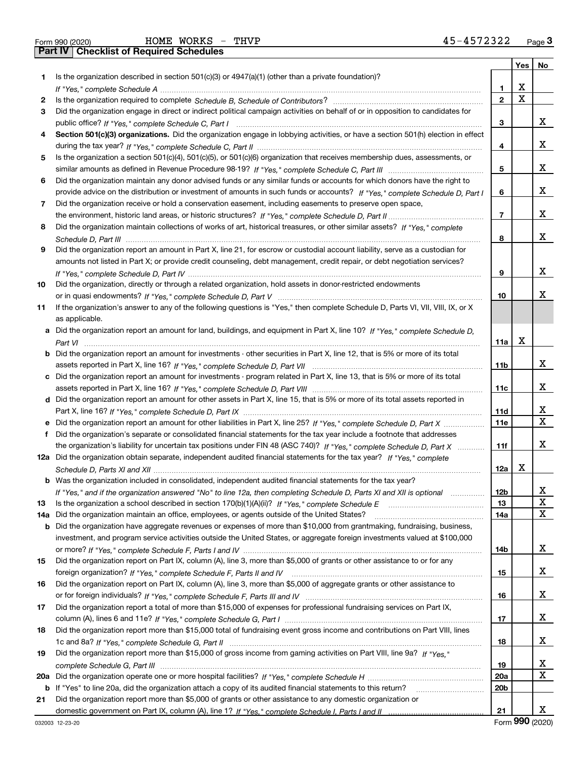|     |                                                                                                                                       |                 | Yes         | No     |
|-----|---------------------------------------------------------------------------------------------------------------------------------------|-----------------|-------------|--------|
| 1.  | Is the organization described in section 501(c)(3) or 4947(a)(1) (other than a private foundation)?                                   |                 |             |        |
|     |                                                                                                                                       | 1               | х           |        |
| 2   |                                                                                                                                       | $\overline{2}$  | $\mathbf X$ |        |
| 3   | Did the organization engage in direct or indirect political campaign activities on behalf of or in opposition to candidates for       |                 |             |        |
|     |                                                                                                                                       | 3               |             | х      |
| 4   | Section 501(c)(3) organizations. Did the organization engage in lobbying activities, or have a section 501(h) election in effect      |                 |             |        |
|     |                                                                                                                                       | 4               |             | х      |
| 5   | Is the organization a section 501(c)(4), 501(c)(5), or 501(c)(6) organization that receives membership dues, assessments, or          |                 |             |        |
|     |                                                                                                                                       | 5               |             | х      |
| 6   | Did the organization maintain any donor advised funds or any similar funds or accounts for which donors have the right to             |                 |             |        |
|     | provide advice on the distribution or investment of amounts in such funds or accounts? If "Yes," complete Schedule D, Part I          | 6               |             | х      |
| 7.  | Did the organization receive or hold a conservation easement, including easements to preserve open space,                             |                 |             |        |
|     |                                                                                                                                       | $\overline{7}$  |             | х      |
| 8   | Did the organization maintain collections of works of art, historical treasures, or other similar assets? If "Yes," complete          |                 |             |        |
|     |                                                                                                                                       | 8               |             | х      |
| 9   | Did the organization report an amount in Part X, line 21, for escrow or custodial account liability, serve as a custodian for         |                 |             |        |
|     | amounts not listed in Part X; or provide credit counseling, debt management, credit repair, or debt negotiation services?             |                 |             |        |
|     |                                                                                                                                       | 9               |             | х      |
| 10  | Did the organization, directly or through a related organization, hold assets in donor-restricted endowments                          |                 |             |        |
|     |                                                                                                                                       | 10              |             | х      |
| 11  | If the organization's answer to any of the following questions is "Yes," then complete Schedule D, Parts VI, VII, VIII, IX, or X      |                 |             |        |
|     | as applicable.                                                                                                                        |                 |             |        |
|     | a Did the organization report an amount for land, buildings, and equipment in Part X, line 10? If "Yes," complete Schedule D,         |                 |             |        |
|     |                                                                                                                                       | 11a             | Х           |        |
|     | <b>b</b> Did the organization report an amount for investments - other securities in Part X, line 12, that is 5% or more of its total |                 |             |        |
|     |                                                                                                                                       |                 |             | х      |
|     |                                                                                                                                       | 11b             |             |        |
|     | c Did the organization report an amount for investments - program related in Part X, line 13, that is 5% or more of its total         |                 |             | x      |
|     |                                                                                                                                       | 11c             |             |        |
|     | d Did the organization report an amount for other assets in Part X, line 15, that is 5% or more of its total assets reported in       |                 |             |        |
|     |                                                                                                                                       | 11d             |             | X<br>X |
|     |                                                                                                                                       | <b>11e</b>      |             |        |
| f   | Did the organization's separate or consolidated financial statements for the tax year include a footnote that addresses               |                 |             |        |
|     | the organization's liability for uncertain tax positions under FIN 48 (ASC 740)? If "Yes," complete Schedule D, Part X                | 11f             |             | x      |
|     | 12a Did the organization obtain separate, independent audited financial statements for the tax year? If "Yes," complete               |                 |             |        |
|     |                                                                                                                                       | 12a             | Х           |        |
|     | <b>b</b> Was the organization included in consolidated, independent audited financial statements for the tax year?                    |                 |             |        |
|     | If "Yes," and if the organization answered "No" to line 12a, then completing Schedule D, Parts XI and XII is optional                 | 12 <sub>b</sub> |             | x      |
| 13  |                                                                                                                                       | 13              |             | X      |
|     | 14a Did the organization maintain an office, employees, or agents outside of the United States?                                       | 14a             |             | х      |
|     | <b>b</b> Did the organization have aggregate revenues or expenses of more than \$10,000 from grantmaking, fundraising, business,      |                 |             |        |
|     | investment, and program service activities outside the United States, or aggregate foreign investments valued at \$100,000            |                 |             |        |
|     |                                                                                                                                       | 14b             |             | x      |
| 15  | Did the organization report on Part IX, column (A), line 3, more than \$5,000 of grants or other assistance to or for any             |                 |             |        |
|     |                                                                                                                                       | 15              |             | x      |
| 16  | Did the organization report on Part IX, column (A), line 3, more than \$5,000 of aggregate grants or other assistance to              |                 |             |        |
|     |                                                                                                                                       | 16              |             | x      |
| 17  | Did the organization report a total of more than \$15,000 of expenses for professional fundraising services on Part IX,               |                 |             |        |
|     |                                                                                                                                       | 17              |             | x      |
| 18  | Did the organization report more than \$15,000 total of fundraising event gross income and contributions on Part VIII, lines          |                 |             |        |
|     |                                                                                                                                       | 18              |             | x      |
| 19  | Did the organization report more than \$15,000 of gross income from gaming activities on Part VIII, line 9a? If "Yes."                |                 |             |        |
|     |                                                                                                                                       | 19              |             | X      |
| 20a |                                                                                                                                       | 20a             |             | X      |
|     | <b>b</b> If "Yes" to line 20a, did the organization attach a copy of its audited financial statements to this return?                 | 20 <sub>b</sub> |             |        |
| 21  | Did the organization report more than \$5,000 of grants or other assistance to any domestic organization or                           |                 |             |        |
|     |                                                                                                                                       | 21              |             | X      |

Form (2020) **990**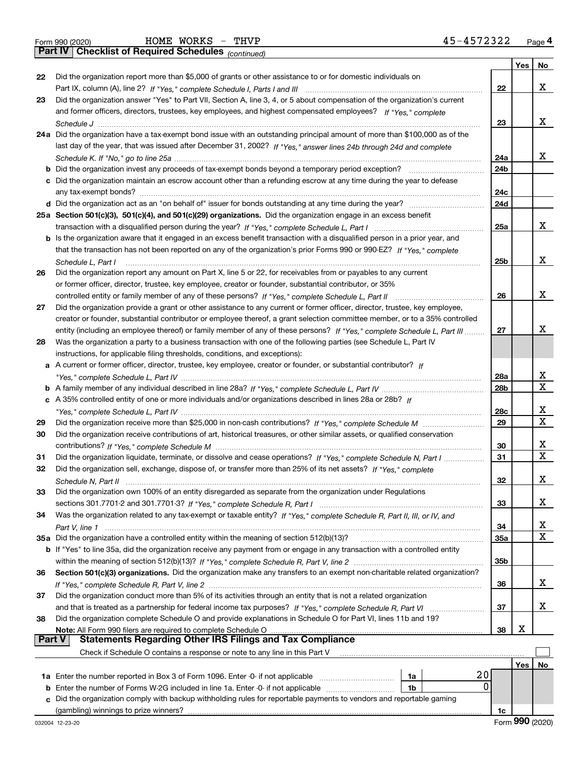*(continued)*

|        |                                                                                                                                                                                                                                               |                        | Yes | No |
|--------|-----------------------------------------------------------------------------------------------------------------------------------------------------------------------------------------------------------------------------------------------|------------------------|-----|----|
| 22     | Did the organization report more than \$5,000 of grants or other assistance to or for domestic individuals on                                                                                                                                 |                        |     |    |
|        |                                                                                                                                                                                                                                               | 22                     |     | x  |
| 23     | Did the organization answer "Yes" to Part VII, Section A, line 3, 4, or 5 about compensation of the organization's current                                                                                                                    |                        |     |    |
|        | and former officers, directors, trustees, key employees, and highest compensated employees? If "Yes," complete                                                                                                                                |                        |     |    |
|        |                                                                                                                                                                                                                                               | 23                     |     | x  |
|        | 24a Did the organization have a tax-exempt bond issue with an outstanding principal amount of more than \$100,000 as of the                                                                                                                   |                        |     |    |
|        | last day of the year, that was issued after December 31, 2002? If "Yes," answer lines 24b through 24d and complete                                                                                                                            |                        |     | x  |
|        |                                                                                                                                                                                                                                               | 24a<br>24 <sub>b</sub> |     |    |
|        | c Did the organization maintain an escrow account other than a refunding escrow at any time during the year to defease                                                                                                                        |                        |     |    |
|        |                                                                                                                                                                                                                                               | 24c                    |     |    |
|        |                                                                                                                                                                                                                                               | 24d                    |     |    |
|        | 25a Section 501(c)(3), 501(c)(4), and 501(c)(29) organizations. Did the organization engage in an excess benefit                                                                                                                              |                        |     |    |
|        |                                                                                                                                                                                                                                               | 25a                    |     | x  |
|        | b Is the organization aware that it engaged in an excess benefit transaction with a disqualified person in a prior year, and                                                                                                                  |                        |     |    |
|        | that the transaction has not been reported on any of the organization's prior Forms 990 or 990-EZ? If "Yes," complete                                                                                                                         |                        |     |    |
|        | Schedule L. Part I                                                                                                                                                                                                                            | 25 <sub>b</sub>        |     | x  |
| 26     | Did the organization report any amount on Part X, line 5 or 22, for receivables from or payables to any current                                                                                                                               |                        |     |    |
|        | or former officer, director, trustee, key employee, creator or founder, substantial contributor, or 35%                                                                                                                                       |                        |     |    |
|        | controlled entity or family member of any of these persons? If "Yes," complete Schedule L, Part II                                                                                                                                            | 26                     |     | x  |
| 27     | Did the organization provide a grant or other assistance to any current or former officer, director, trustee, key employee,                                                                                                                   |                        |     |    |
|        | creator or founder, substantial contributor or employee thereof, a grant selection committee member, or to a 35% controlled                                                                                                                   |                        |     | x  |
|        | entity (including an employee thereof) or family member of any of these persons? If "Yes," complete Schedule L, Part III<br>Was the organization a party to a business transaction with one of the following parties (see Schedule L, Part IV | 27                     |     |    |
| 28     | instructions, for applicable filing thresholds, conditions, and exceptions):                                                                                                                                                                  |                        |     |    |
|        | a A current or former officer, director, trustee, key employee, creator or founder, or substantial contributor? If                                                                                                                            |                        |     |    |
|        |                                                                                                                                                                                                                                               | 28a                    |     | х  |
|        |                                                                                                                                                                                                                                               | 28 <sub>b</sub>        |     | X  |
|        | c A 35% controlled entity of one or more individuals and/or organizations described in lines 28a or 28b? If                                                                                                                                   |                        |     |    |
|        |                                                                                                                                                                                                                                               | 28c                    |     | х  |
| 29     |                                                                                                                                                                                                                                               | 29                     |     | X  |
| 30     | Did the organization receive contributions of art, historical treasures, or other similar assets, or qualified conservation                                                                                                                   |                        |     |    |
|        |                                                                                                                                                                                                                                               | 30                     |     | х  |
| 31     | Did the organization liquidate, terminate, or dissolve and cease operations? If "Yes," complete Schedule N, Part I                                                                                                                            | 31                     |     | X  |
| 32     | Did the organization sell, exchange, dispose of, or transfer more than 25% of its net assets? If "Yes," complete                                                                                                                              |                        |     |    |
|        |                                                                                                                                                                                                                                               | 32                     |     | х  |
| 33     | Did the organization own 100% of an entity disregarded as separate from the organization under Regulations                                                                                                                                    |                        |     |    |
|        |                                                                                                                                                                                                                                               | 33                     |     | x  |
| 34     | Was the organization related to any tax-exempt or taxable entity? If "Yes," complete Schedule R, Part II, III, or IV, and                                                                                                                     |                        |     | X  |
|        | 35a Did the organization have a controlled entity within the meaning of section 512(b)(13)?                                                                                                                                                   | 34<br>35a              |     | x  |
|        | <b>b</b> If "Yes" to line 35a, did the organization receive any payment from or engage in any transaction with a controlled entity                                                                                                            |                        |     |    |
|        |                                                                                                                                                                                                                                               | 35b                    |     |    |
| 36     | Section 501(c)(3) organizations. Did the organization make any transfers to an exempt non-charitable related organization?                                                                                                                    |                        |     |    |
|        |                                                                                                                                                                                                                                               | 36                     |     | x  |
| 37     | Did the organization conduct more than 5% of its activities through an entity that is not a related organization                                                                                                                              |                        |     |    |
|        | and that is treated as a partnership for federal income tax purposes? If "Yes," complete Schedule R, Part VI                                                                                                                                  | 37                     |     | x  |
| 38     | Did the organization complete Schedule O and provide explanations in Schedule O for Part VI, lines 11b and 19?                                                                                                                                |                        |     |    |
|        | Note: All Form 990 filers are required to complete Schedule O                                                                                                                                                                                 | 38                     | х   |    |
| Part V | <b>Statements Regarding Other IRS Filings and Tax Compliance</b>                                                                                                                                                                              |                        |     |    |
|        | Check if Schedule O contains a response or note to any line in this Part V                                                                                                                                                                    |                        |     |    |
|        | 20                                                                                                                                                                                                                                            |                        | Yes | No |
|        | 1a Enter the number reported in Box 3 of Form 1096. Enter -0- if not applicable<br>1a<br>0<br>1b                                                                                                                                              |                        |     |    |
| b      | Enter the number of Forms W-2G included in line 1a. Enter -0- if not applicable<br>Did the organization comply with backup withholding rules for reportable payments to vendors and reportable gaming                                         |                        |     |    |
|        |                                                                                                                                                                                                                                               | 1c                     |     |    |
|        |                                                                                                                                                                                                                                               |                        |     |    |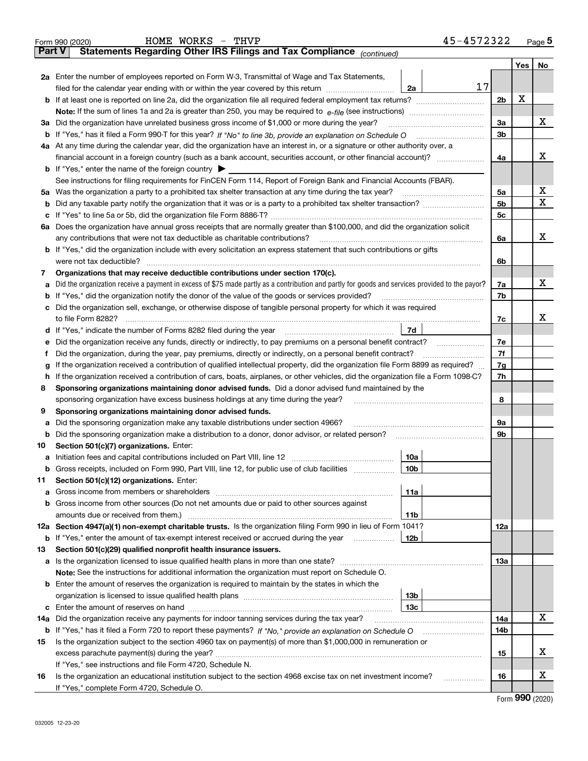|          | 45-4572322<br>HOME WORKS - THVP<br>Form 990 (2020)                                                                                                |                |     | Page $5$ |
|----------|---------------------------------------------------------------------------------------------------------------------------------------------------|----------------|-----|----------|
| ∣ Part V | Statements Regarding Other IRS Filings and Tax Compliance (continued)                                                                             |                |     |          |
|          |                                                                                                                                                   |                | Yes | No       |
|          | 2a Enter the number of employees reported on Form W-3, Transmittal of Wage and Tax Statements,                                                    |                |     |          |
|          | 17<br>filed for the calendar year ending with or within the year covered by this return<br>2a                                                     |                |     |          |
|          | <b>b</b> If at least one is reported on line 2a, did the organization file all required federal employment tax returns?                           | 2 <sub>b</sub> | X   |          |
|          |                                                                                                                                                   |                |     |          |
|          | 3a Did the organization have unrelated business gross income of \$1,000 or more during the year?                                                  | 3a             |     | x        |
|          | <b>b</b> If "Yes," has it filed a Form 990-T for this year? If "No" to line 3b, provide an explanation on Schedule O                              | 3 <sub>b</sub> |     |          |
|          | 4a At any time during the calendar year, did the organization have an interest in, or a signature or other authority over, a                      |                |     |          |
|          | financial account in a foreign country (such as a bank account, securities account, or other financial account)?                                  | 4a             |     | x        |
|          | <b>b</b> If "Yes," enter the name of the foreign country $\triangleright$                                                                         |                |     |          |
|          | See instructions for filing requirements for FinCEN Form 114, Report of Foreign Bank and Financial Accounts (FBAR).                               |                |     |          |
|          | 5a Was the organization a party to a prohibited tax shelter transaction at any time during the tax year?                                          | 5a             |     | х        |
| b        |                                                                                                                                                   | 5 <sub>b</sub> |     | х        |
| c        |                                                                                                                                                   | 5c             |     |          |
|          | 6a Does the organization have annual gross receipts that are normally greater than \$100,000, and did the organization solicit                    |                |     |          |
|          | any contributions that were not tax deductible as charitable contributions?                                                                       | 6a             |     | x        |
|          | <b>b</b> If "Yes," did the organization include with every solicitation an express statement that such contributions or gifts                     |                |     |          |
|          | were not tax deductible?                                                                                                                          | 6b             |     |          |
| 7        | Organizations that may receive deductible contributions under section 170(c).                                                                     |                |     |          |
|          | a Did the organization receive a payment in excess of \$75 made partly as a contribution and partly for goods and services provided to the payor? | 7a             |     | х        |
| b        | If "Yes," did the organization notify the donor of the value of the goods or services provided?                                                   | 7b             |     |          |
| c        | Did the organization sell, exchange, or otherwise dispose of tangible personal property for which it was required                                 |                |     |          |
|          | to file Form 8282?                                                                                                                                | 7с             |     | x        |
|          | 7d                                                                                                                                                |                |     |          |
| е        | Did the organization receive any funds, directly or indirectly, to pay premiums on a personal benefit contract?                                   | 7e             |     |          |
| Ť        | Did the organization, during the year, pay premiums, directly or indirectly, on a personal benefit contract?                                      | 7f             |     |          |
| g        | If the organization received a contribution of qualified intellectual property, did the organization file Form 8899 as required?                  | 7g             |     |          |
| h.       | If the organization received a contribution of cars, boats, airplanes, or other vehicles, did the organization file a Form 1098-C?                | 7h             |     |          |
| 8        | Sponsoring organizations maintaining donor advised funds. Did a donor advised fund maintained by the                                              |                |     |          |
|          | sponsoring organization have excess business holdings at any time during the year?                                                                | 8              |     |          |
| 9        | Sponsoring organizations maintaining donor advised funds.                                                                                         |                |     |          |
| а        | Did the sponsoring organization make any taxable distributions under section 4966?                                                                | 9а             |     |          |
| b        | Did the sponsoring organization make a distribution to a donor, donor advisor, or related person?                                                 | 9b             |     |          |
| 10       | Section 501(c)(7) organizations. Enter:                                                                                                           |                |     |          |
|          | 10a                                                                                                                                               |                |     |          |
| b        | Gross receipts, included on Form 990, Part VIII, line 12, for public use of club facilities<br>10b                                                |                |     |          |
| 11       | Section 501(c)(12) organizations. Enter:                                                                                                          |                |     |          |
| а        | 11a<br>Gross income from members or shareholders [11] continuum material contracts income from members or shareholders                            |                |     |          |
| b        | Gross income from other sources (Do not net amounts due or paid to other sources against                                                          |                |     |          |
|          | 11b                                                                                                                                               |                |     |          |
|          | 12a Section 4947(a)(1) non-exempt charitable trusts. Is the organization filing Form 990 in lieu of Form 1041?                                    | 12a            |     |          |
| b        | If "Yes," enter the amount of tax-exempt interest received or accrued during the year<br>12b                                                      |                |     |          |
| 13       | Section 501(c)(29) qualified nonprofit health insurance issuers.                                                                                  |                |     |          |
|          |                                                                                                                                                   | 13а            |     |          |
|          | Note: See the instructions for additional information the organization must report on Schedule O.                                                 |                |     |          |
|          | <b>b</b> Enter the amount of reserves the organization is required to maintain by the states in which the                                         |                |     |          |
|          | 13b                                                                                                                                               |                |     |          |
| c        | 13с                                                                                                                                               |                |     |          |
| 14a      | Did the organization receive any payments for indoor tanning services during the tax year?                                                        | 14a            |     | x        |
| b        |                                                                                                                                                   | 14b            |     |          |
| 15       | Is the organization subject to the section 4960 tax on payment(s) of more than \$1,000,000 in remuneration or                                     |                |     |          |
|          |                                                                                                                                                   | 15             |     | x        |
|          | If "Yes," see instructions and file Form 4720, Schedule N.                                                                                        |                |     |          |
| 16       | Is the organization an educational institution subject to the section 4968 excise tax on net investment income?<br>.                              | 16             |     | x        |
|          | If "Yes," complete Form 4720, Schedule O.                                                                                                         |                |     |          |

Form (2020) **990**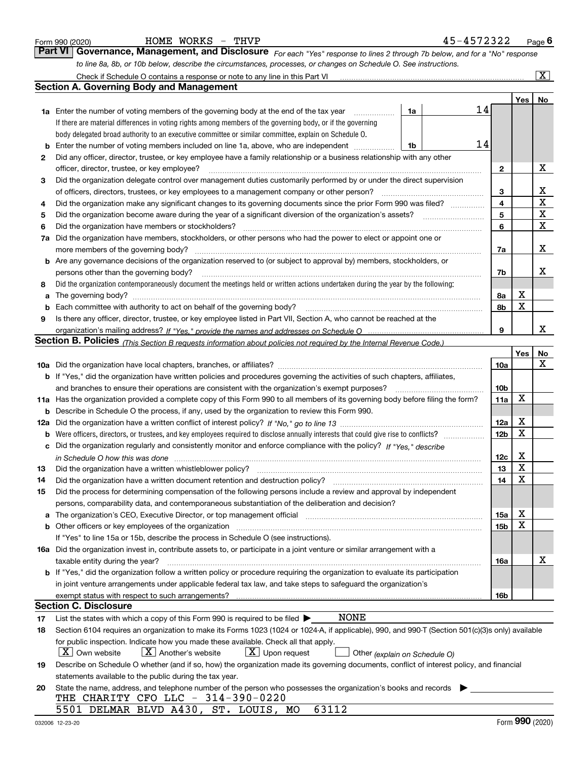|          | HOME WORKS - THVP<br>Form 990 (2020)                                                                                                                                  |    | 45-4572322 |                 |                         | <u>Page</u> 6           |
|----------|-----------------------------------------------------------------------------------------------------------------------------------------------------------------------|----|------------|-----------------|-------------------------|-------------------------|
|          | <b>Part VI</b><br>Governance, Management, and Disclosure For each "Yes" response to lines 2 through 7b below, and for a "No" response                                 |    |            |                 |                         |                         |
|          | to line 8a, 8b, or 10b below, describe the circumstances, processes, or changes on Schedule O. See instructions.                                                      |    |            |                 |                         |                         |
|          | Check if Schedule O contains a response or note to any line in this Part VI                                                                                           |    |            |                 |                         | $\overline{\mathtt{x}}$ |
|          | <b>Section A. Governing Body and Management</b>                                                                                                                       |    |            |                 |                         |                         |
|          |                                                                                                                                                                       |    |            |                 | Yes                     | No                      |
|          | <b>1a</b> Enter the number of voting members of the governing body at the end of the tax year<br>.                                                                    | 1a | 14         |                 |                         |                         |
|          | If there are material differences in voting rights among members of the governing body, or if the governing                                                           |    |            |                 |                         |                         |
|          | body delegated broad authority to an executive committee or similar committee, explain on Schedule O.                                                                 |    |            |                 |                         |                         |
| b        | Enter the number of voting members included on line 1a, above, who are independent                                                                                    | 1b | 14         |                 |                         |                         |
| 2        | Did any officer, director, trustee, or key employee have a family relationship or a business relationship with any other                                              |    |            |                 |                         |                         |
|          | officer, director, trustee, or key employee?                                                                                                                          |    |            | 2               |                         | х                       |
| 3        | Did the organization delegate control over management duties customarily performed by or under the direct supervision                                                 |    |            |                 |                         |                         |
|          | of officers, directors, trustees, or key employees to a management company or other person?                                                                           |    |            | 3               |                         | x                       |
| 4        | Did the organization make any significant changes to its governing documents since the prior Form 990 was filed?                                                      |    |            | 4               |                         | X                       |
| 5        |                                                                                                                                                                       |    |            | 5               |                         | X                       |
| 6        | Did the organization have members or stockholders?                                                                                                                    |    |            | 6               |                         | X                       |
| 7a       | Did the organization have members, stockholders, or other persons who had the power to elect or appoint one or                                                        |    |            |                 |                         |                         |
|          | more members of the governing body?                                                                                                                                   |    |            | 7a              |                         | x                       |
| b        | Are any governance decisions of the organization reserved to (or subject to approval by) members, stockholders, or                                                    |    |            |                 |                         |                         |
|          | persons other than the governing body?                                                                                                                                |    |            | 7b              |                         | x                       |
| 8        | Did the organization contemporaneously document the meetings held or written actions undertaken during the year by the following:                                     |    |            |                 |                         |                         |
| a        |                                                                                                                                                                       |    |            | 8а              | х                       |                         |
| b        | Each committee with authority to act on behalf of the governing body?                                                                                                 |    |            | 8b              | X                       |                         |
| 9        | Is there any officer, director, trustee, or key employee listed in Part VII, Section A, who cannot be reached at the                                                  |    |            |                 |                         |                         |
|          |                                                                                                                                                                       |    |            | 9               |                         | x                       |
|          | Section B. Policies <sub>(This</sub> Section B requests information about policies not required by the Internal Revenue Code.)                                        |    |            |                 |                         |                         |
|          |                                                                                                                                                                       |    |            |                 | Yes                     | No<br>x                 |
|          |                                                                                                                                                                       |    |            | 10a             |                         |                         |
|          | b If "Yes," did the organization have written policies and procedures governing the activities of such chapters, affiliates,                                          |    |            |                 |                         |                         |
|          | and branches to ensure their operations are consistent with the organization's exempt purposes?                                                                       |    |            | 10 <sub>b</sub> | X                       |                         |
| 11a      | Has the organization provided a complete copy of this Form 990 to all members of its governing body before filing the form?                                           |    |            | 11a             |                         |                         |
| b        | Describe in Schedule O the process, if any, used by the organization to review this Form 990.                                                                         |    |            | 12a             | х                       |                         |
| 12a<br>b |                                                                                                                                                                       |    |            | 12 <sub>b</sub> | X                       |                         |
|          | Did the organization regularly and consistently monitor and enforce compliance with the policy? If "Yes." describe                                                    |    |            |                 |                         |                         |
|          |                                                                                                                                                                       |    |            | 12c             | х                       |                         |
| 13       | in Schedule O how this was done manufactured and contain an according to the state of the state of the state o                                                        |    |            | 13              | $\overline{\mathbf{x}}$ |                         |
| 14       | Did the organization have a written document retention and destruction policy?                                                                                        |    |            | 14              | X                       |                         |
| 15       | Did the process for determining compensation of the following persons include a review and approval by independent                                                    |    |            |                 |                         |                         |
|          | persons, comparability data, and contemporaneous substantiation of the deliberation and decision?                                                                     |    |            |                 |                         |                         |
| a        | The organization's CEO, Executive Director, or top management official manufactured content of the organization's CEO, Executive Director, or top management official |    |            | 15a             | х                       |                         |
|          | Other officers or key employees of the organization                                                                                                                   |    |            | 15 <sub>b</sub> | X                       |                         |
|          | If "Yes" to line 15a or 15b, describe the process in Schedule O (see instructions).                                                                                   |    |            |                 |                         |                         |
|          | 16a Did the organization invest in, contribute assets to, or participate in a joint venture or similar arrangement with a                                             |    |            |                 |                         |                         |
|          | taxable entity during the year?                                                                                                                                       |    |            | 16a             |                         | х                       |
|          | b If "Yes," did the organization follow a written policy or procedure requiring the organization to evaluate its participation                                        |    |            |                 |                         |                         |
|          | in joint venture arrangements under applicable federal tax law, and take steps to safeguard the organization's                                                        |    |            |                 |                         |                         |
|          |                                                                                                                                                                       |    |            | 16b             |                         |                         |
|          | <b>Section C. Disclosure</b>                                                                                                                                          |    |            |                 |                         |                         |
| 17       | NONE<br>List the states with which a copy of this Form 990 is required to be filed $\blacktriangleright$                                                              |    |            |                 |                         |                         |
| 18       | Section 6104 requires an organization to make its Forms 1023 (1024 or 1024-A, if applicable), 990, and 990-T (Section 501(c)(3)s only) available                      |    |            |                 |                         |                         |
|          | for public inspection. Indicate how you made these available. Check all that apply.                                                                                   |    |            |                 |                         |                         |
|          | $\lfloor X \rfloor$ Own website<br>$X$ Another's website<br>$X$ Upon request<br>Other (explain on Schedule O)                                                         |    |            |                 |                         |                         |
| 19       | Describe on Schedule O whether (and if so, how) the organization made its governing documents, conflict of interest policy, and financial                             |    |            |                 |                         |                         |
|          | statements available to the public during the tax year.                                                                                                               |    |            |                 |                         |                         |
| 20       | State the name, address, and telephone number of the person who possesses the organization's books and records                                                        |    |            |                 |                         |                         |
|          | THE CHARITY CFO LLC - 314-390-0220                                                                                                                                    |    |            |                 |                         |                         |
|          | 5501 DELMAR BLVD A430, ST. LOUIS, MO<br>63112                                                                                                                         |    |            |                 | 0 <sub>00</sub>         |                         |
|          |                                                                                                                                                                       |    |            |                 |                         |                         |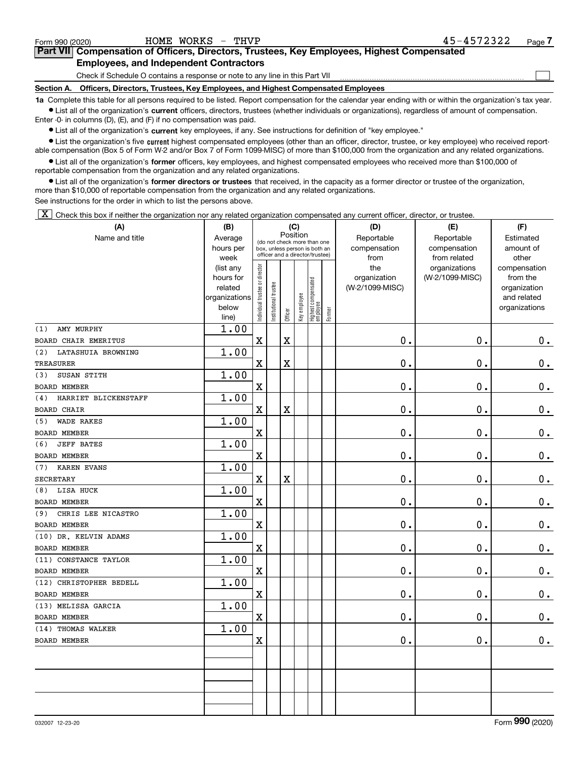### Form 990 (2020) HOME WORKS - THVP 45−4572322 <sub>Page</sub> **7Part VII Compensation of Officers, Directors, Trustees, Key Employees, Highest Compensated Employees, and Independent Contractors**

### Check if Schedule O contains a response or note to any line in this Part VII

## **Section A. Officers, Directors, Trustees, Key Employees, and Highest Compensated Employees**

**1a**  Complete this table for all persons required to be listed. Report compensation for the calendar year ending with or within the organization's tax year. **•** List all of the organization's current officers, directors, trustees (whether individuals or organizations), regardless of amount of compensation.

Enter -0- in columns (D), (E), and (F) if no compensation was paid.

 $\bullet$  List all of the organization's  $\,$ current key employees, if any. See instructions for definition of "key employee."

**•** List the organization's five current highest compensated employees (other than an officer, director, trustee, or key employee) who received reportable compensation (Box 5 of Form W-2 and/or Box 7 of Form 1099-MISC) of more than \$100,000 from the organization and any related organizations.

**•** List all of the organization's former officers, key employees, and highest compensated employees who received more than \$100,000 of reportable compensation from the organization and any related organizations.

**former directors or trustees**  ¥ List all of the organization's that received, in the capacity as a former director or trustee of the organization, more than \$10,000 of reportable compensation from the organization and any related organizations.

See instructions for the order in which to list the persons above.

 $\boxed{\textbf{X}}$  Check this box if neither the organization nor any related organization compensated any current officer, director, or trustee.

| (A)                         | (B)                      | (C)                            |                                         |             |              |                                                                  |        | (D)             | (E)             | (F)                         |  |  |
|-----------------------------|--------------------------|--------------------------------|-----------------------------------------|-------------|--------------|------------------------------------------------------------------|--------|-----------------|-----------------|-----------------------------|--|--|
| Name and title              | Average                  |                                | Position<br>(do not check more than one |             |              |                                                                  |        | Reportable      | Reportable      | Estimated                   |  |  |
|                             | hours per                |                                |                                         |             |              | box, unless person is both an<br>officer and a director/trustee) |        | compensation    | compensation    | amount of                   |  |  |
|                             | week                     |                                |                                         |             |              |                                                                  |        | from            | from related    | other                       |  |  |
|                             | (list any                |                                |                                         |             |              |                                                                  |        | the             | organizations   | compensation                |  |  |
|                             | hours for                |                                |                                         |             |              |                                                                  |        | organization    | (W-2/1099-MISC) | from the                    |  |  |
|                             | related<br>organizations |                                |                                         |             |              |                                                                  |        | (W-2/1099-MISC) |                 | organization<br>and related |  |  |
|                             | below                    |                                |                                         |             |              |                                                                  |        |                 |                 | organizations               |  |  |
|                             | line)                    | Individual trustee or director | Institutional trustee                   | Officer     | Key employee | Highest compensated<br>employee                                  | Former |                 |                 |                             |  |  |
| AMY MURPHY<br>(1)           | 1.00                     |                                |                                         |             |              |                                                                  |        |                 |                 |                             |  |  |
| BOARD CHAIR EMERITUS        |                          | $\mathbf X$                    |                                         | $\mathbf X$ |              |                                                                  |        | 0.              | 0.              | 0.                          |  |  |
| LATASHUIA BROWNING<br>(2)   | 1.00                     |                                |                                         |             |              |                                                                  |        |                 |                 |                             |  |  |
| <b>TREASURER</b>            |                          | $\mathbf X$                    |                                         | X           |              |                                                                  |        | 0.              | 0.              | 0.                          |  |  |
| SUSAN STITH<br>(3)          | 1.00                     |                                |                                         |             |              |                                                                  |        |                 |                 |                             |  |  |
| <b>BOARD MEMBER</b>         |                          | $\mathbf X$                    |                                         |             |              |                                                                  |        | $\mathbf 0$ .   | 0.              | $\mathbf 0$ .               |  |  |
| HARRIET BLICKENSTAFF<br>(4) | 1.00                     |                                |                                         |             |              |                                                                  |        |                 |                 |                             |  |  |
| <b>BOARD CHAIR</b>          |                          | $\mathbf X$                    |                                         | X           |              |                                                                  |        | 0.              | 0.              | $\mathbf 0$ .               |  |  |
| <b>WADE RAKES</b><br>(5)    | 1.00                     |                                |                                         |             |              |                                                                  |        |                 |                 |                             |  |  |
| <b>BOARD MEMBER</b>         |                          | $\mathbf X$                    |                                         |             |              |                                                                  |        | 0.              | 0.              | 0.                          |  |  |
| <b>JEFF BATES</b><br>(6)    | 1.00                     |                                |                                         |             |              |                                                                  |        |                 |                 |                             |  |  |
| <b>BOARD MEMBER</b>         |                          | $\mathbf X$                    |                                         |             |              |                                                                  |        | $\mathbf 0$ .   | $\mathbf 0$ .   | 0.                          |  |  |
| <b>KAREN EVANS</b><br>(7)   | 1.00                     |                                |                                         |             |              |                                                                  |        |                 |                 |                             |  |  |
| <b>SECRETARY</b>            |                          | $\mathbf X$                    |                                         | $\mathbf X$ |              |                                                                  |        | $\mathbf 0$ .   | $\mathbf 0$ .   | $\mathbf 0$ .               |  |  |
| LISA HUCK<br>(8)            | 1.00                     |                                |                                         |             |              |                                                                  |        |                 |                 |                             |  |  |
| <b>BOARD MEMBER</b>         |                          | $\mathbf X$                    |                                         |             |              |                                                                  |        | 0.              | 0.              | 0.                          |  |  |
| CHRIS LEE NICASTRO<br>(9)   | 1.00                     |                                |                                         |             |              |                                                                  |        |                 |                 |                             |  |  |
| <b>BOARD MEMBER</b>         |                          | $\mathbf X$                    |                                         |             |              |                                                                  |        | 0.              | 0.              | 0.                          |  |  |
| (10) DR. KELVIN ADAMS       | 1.00                     |                                |                                         |             |              |                                                                  |        |                 |                 |                             |  |  |
| <b>BOARD MEMBER</b>         |                          | $\mathbf X$                    |                                         |             |              |                                                                  |        | 0.              | 0.              | 0.                          |  |  |
| (11) CONSTANCE TAYLOR       | 1.00                     |                                |                                         |             |              |                                                                  |        |                 |                 |                             |  |  |
| <b>BOARD MEMBER</b>         |                          | $\mathbf x$                    |                                         |             |              |                                                                  |        | $\mathbf 0$ .   | 0.              | $\mathbf 0$ .               |  |  |
| (12) CHRISTOPHER BEDELL     | 1.00                     |                                |                                         |             |              |                                                                  |        |                 |                 |                             |  |  |
| BOARD MEMBER                |                          | $\mathbf x$                    |                                         |             |              |                                                                  |        | 0.              | $\mathbf 0$ .   | 0.                          |  |  |
| (13) MELISSA GARCIA         | 1.00                     |                                |                                         |             |              |                                                                  |        |                 |                 |                             |  |  |
| <b>BOARD MEMBER</b>         |                          | X                              |                                         |             |              |                                                                  |        | 0.              | $\mathbf 0$ .   | 0.                          |  |  |
| (14) THOMAS WALKER          | 1.00                     |                                |                                         |             |              |                                                                  |        |                 |                 |                             |  |  |
| <b>BOARD MEMBER</b>         |                          | X                              |                                         |             |              |                                                                  |        | 0.              | 0.              | 0.                          |  |  |
|                             |                          |                                |                                         |             |              |                                                                  |        |                 |                 |                             |  |  |
|                             |                          |                                |                                         |             |              |                                                                  |        |                 |                 |                             |  |  |
|                             |                          |                                |                                         |             |              |                                                                  |        |                 |                 |                             |  |  |
|                             |                          |                                |                                         |             |              |                                                                  |        |                 |                 |                             |  |  |
|                             |                          |                                |                                         |             |              |                                                                  |        |                 |                 |                             |  |  |
|                             |                          |                                |                                         |             |              |                                                                  |        |                 |                 |                             |  |  |

 $\mathcal{L}^{\text{max}}$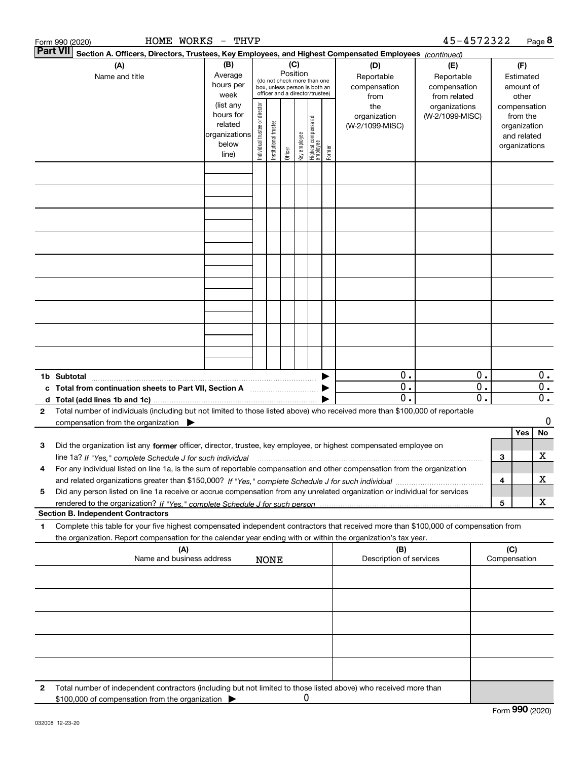| <b>Part VII</b> | 45-4572322<br>HOME WORKS - THVP<br>Form 990 (2020)                                                                                                                                                                                                           |                                                                      |                                                                                                                    |                       |         |              |                                 |        |                                           |                                                   |                                        |                                                                          |                                      |
|-----------------|--------------------------------------------------------------------------------------------------------------------------------------------------------------------------------------------------------------------------------------------------------------|----------------------------------------------------------------------|--------------------------------------------------------------------------------------------------------------------|-----------------------|---------|--------------|---------------------------------|--------|-------------------------------------------|---------------------------------------------------|----------------------------------------|--------------------------------------------------------------------------|--------------------------------------|
|                 | Section A. Officers, Directors, Trustees, Key Employees, and Highest Compensated Employees (continued)                                                                                                                                                       |                                                                      |                                                                                                                    |                       |         |              |                                 |        |                                           |                                                   |                                        |                                                                          |                                      |
|                 | (A)<br>Name and title                                                                                                                                                                                                                                        | (B)<br>Average<br>hours per<br>week                                  | (C)<br>Position<br>(do not check more than one<br>box, unless person is both an<br>officer and a director/trustee) |                       |         |              |                                 |        | (D)<br>Reportable<br>compensation<br>from | (E)<br>Reportable<br>compensation<br>from related | (F)<br>Estimated<br>amount of<br>other |                                                                          |                                      |
|                 |                                                                                                                                                                                                                                                              | (list any<br>hours for<br>related<br>organizations<br>below<br>line) | ndividual trustee or director                                                                                      | Institutional trustee | Officer | Key employee | Highest compensated<br>employee | Former | the<br>organization<br>(W-2/1099-MISC)    | organizations<br>(W-2/1099-MISC)                  |                                        | compensation<br>from the<br>organization<br>and related<br>organizations |                                      |
|                 |                                                                                                                                                                                                                                                              |                                                                      |                                                                                                                    |                       |         |              |                                 |        |                                           |                                                   |                                        |                                                                          |                                      |
|                 |                                                                                                                                                                                                                                                              |                                                                      |                                                                                                                    |                       |         |              |                                 |        |                                           |                                                   |                                        |                                                                          |                                      |
|                 |                                                                                                                                                                                                                                                              |                                                                      |                                                                                                                    |                       |         |              |                                 |        |                                           |                                                   |                                        |                                                                          |                                      |
|                 |                                                                                                                                                                                                                                                              |                                                                      |                                                                                                                    |                       |         |              |                                 |        |                                           |                                                   |                                        |                                                                          |                                      |
|                 |                                                                                                                                                                                                                                                              |                                                                      |                                                                                                                    |                       |         |              |                                 |        |                                           |                                                   |                                        |                                                                          |                                      |
|                 |                                                                                                                                                                                                                                                              |                                                                      |                                                                                                                    |                       |         |              |                                 |        |                                           |                                                   |                                        |                                                                          |                                      |
|                 |                                                                                                                                                                                                                                                              |                                                                      |                                                                                                                    |                       |         |              |                                 |        |                                           |                                                   |                                        |                                                                          |                                      |
|                 |                                                                                                                                                                                                                                                              |                                                                      |                                                                                                                    |                       |         |              |                                 |        |                                           |                                                   |                                        |                                                                          |                                      |
|                 |                                                                                                                                                                                                                                                              |                                                                      |                                                                                                                    |                       |         |              |                                 |        | 0.                                        | 0.                                                |                                        |                                                                          | 0.                                   |
|                 | 1b Subtotal<br>c Total from continuation sheets to Part VII, Section A manufactured and response to Total from extension<br>d Total (add lines 1b and 1c)                                                                                                    |                                                                      |                                                                                                                    |                       |         |              |                                 |        | $0$ .<br>$\overline{0}$ .                 | $0$ .<br>$\overline{0}$ .                         |                                        |                                                                          | $\overline{0}$ .<br>$\overline{0}$ . |
| $\mathbf{2}$    | Total number of individuals (including but not limited to those listed above) who received more than \$100,000 of reportable<br>compensation from the organization $\blacktriangleright$                                                                     |                                                                      |                                                                                                                    |                       |         |              |                                 |        |                                           |                                                   |                                        |                                                                          | 0                                    |
|                 |                                                                                                                                                                                                                                                              |                                                                      |                                                                                                                    |                       |         |              |                                 |        |                                           |                                                   |                                        | Yes                                                                      | No                                   |
| З               | Did the organization list any former officer, director, trustee, key employee, or highest compensated employee on<br>line 1a? If "Yes," complete Schedule J for such individual manufactured contained and the Yes," complete Schedule J for such individual |                                                                      |                                                                                                                    |                       |         |              |                                 |        |                                           |                                                   |                                        | 3                                                                        | х                                    |
| 4               | For any individual listed on line 1a, is the sum of reportable compensation and other compensation from the organization                                                                                                                                     |                                                                      |                                                                                                                    |                       |         |              |                                 |        |                                           |                                                   |                                        | 4                                                                        | х                                    |
| 5               | Did any person listed on line 1a receive or accrue compensation from any unrelated organization or individual for services                                                                                                                                   |                                                                      |                                                                                                                    |                       |         |              |                                 |        |                                           |                                                   |                                        | 5                                                                        | X                                    |
|                 | <b>Section B. Independent Contractors</b>                                                                                                                                                                                                                    |                                                                      |                                                                                                                    |                       |         |              |                                 |        |                                           |                                                   |                                        |                                                                          |                                      |
| 1               | Complete this table for your five highest compensated independent contractors that received more than \$100,000 of compensation from<br>the organization. Report compensation for the calendar year ending with or within the organization's tax year.       |                                                                      |                                                                                                                    |                       |         |              |                                 |        |                                           |                                                   |                                        |                                                                          |                                      |
|                 | (A)<br>Name and business address                                                                                                                                                                                                                             |                                                                      |                                                                                                                    | <b>NONE</b>           |         |              |                                 |        | (B)<br>Description of services            |                                                   |                                        | (C)<br>Compensation                                                      |                                      |
|                 |                                                                                                                                                                                                                                                              |                                                                      |                                                                                                                    |                       |         |              |                                 |        |                                           |                                                   |                                        |                                                                          |                                      |
|                 |                                                                                                                                                                                                                                                              |                                                                      |                                                                                                                    |                       |         |              |                                 |        |                                           |                                                   |                                        |                                                                          |                                      |
|                 |                                                                                                                                                                                                                                                              |                                                                      |                                                                                                                    |                       |         |              |                                 |        |                                           |                                                   |                                        |                                                                          |                                      |
|                 |                                                                                                                                                                                                                                                              |                                                                      |                                                                                                                    |                       |         |              |                                 |        |                                           |                                                   |                                        |                                                                          |                                      |
| $\mathbf{2}$    | Total number of independent contractors (including but not limited to those listed above) who received more than<br>\$100,000 of compensation from the organization                                                                                          |                                                                      |                                                                                                                    |                       |         | 0            |                                 |        |                                           |                                                   |                                        |                                                                          |                                      |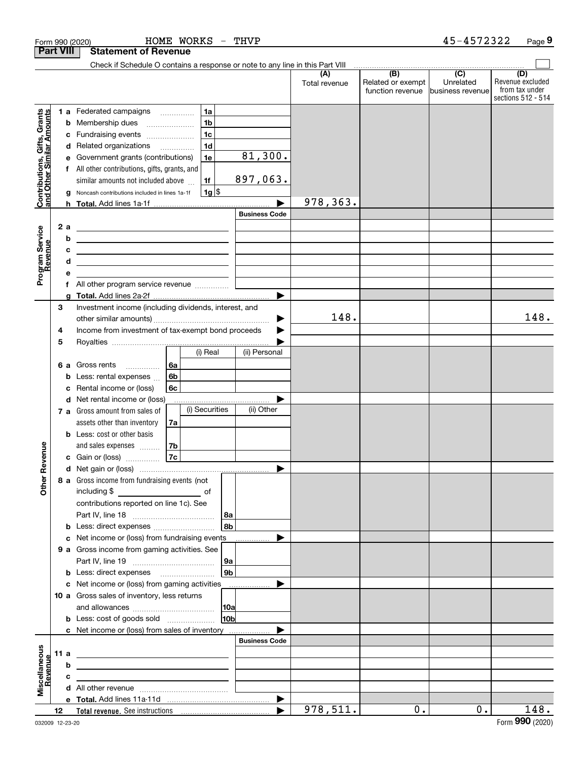|                                                           | Form 990 (2020)  |   |                                                                                                                                                                                                                                      |    | HOME WORKS     | $\overline{\phantom{0}}$ | THVP                 |                      |                                              | 45-4572322                                      | Page 9                                                          |
|-----------------------------------------------------------|------------------|---|--------------------------------------------------------------------------------------------------------------------------------------------------------------------------------------------------------------------------------------|----|----------------|--------------------------|----------------------|----------------------|----------------------------------------------|-------------------------------------------------|-----------------------------------------------------------------|
|                                                           | <b>Part VIII</b> |   | <b>Statement of Revenue</b>                                                                                                                                                                                                          |    |                |                          |                      |                      |                                              |                                                 |                                                                 |
|                                                           |                  |   | Check if Schedule O contains a response or note to any line in this Part VIII                                                                                                                                                        |    |                |                          |                      |                      |                                              |                                                 |                                                                 |
|                                                           |                  |   |                                                                                                                                                                                                                                      |    |                |                          |                      | (A)<br>Total revenue | (B)<br>Related or exempt<br>function revenue | $\overline{C}$<br>Unrelated<br>business revenue | (D)<br>Revenue excluded<br>from tax under<br>sections 512 - 514 |
|                                                           |                  |   | 1 a Federated campaigns                                                                                                                                                                                                              |    | 1a             |                          |                      |                      |                                              |                                                 |                                                                 |
| Contributions, Gifts, Grants<br>and Other Similar Amounts |                  | b | Membership dues                                                                                                                                                                                                                      |    | 1 <sub>b</sub> |                          |                      |                      |                                              |                                                 |                                                                 |
|                                                           |                  | c | Fundraising events                                                                                                                                                                                                                   |    | 1 <sub>c</sub> |                          |                      |                      |                                              |                                                 |                                                                 |
|                                                           |                  | d | Related organizations                                                                                                                                                                                                                |    | 1 <sub>d</sub> |                          |                      |                      |                                              |                                                 |                                                                 |
|                                                           |                  | е | Government grants (contributions)                                                                                                                                                                                                    |    | 1e             |                          | 81,300.              |                      |                                              |                                                 |                                                                 |
|                                                           | f                |   | All other contributions, gifts, grants, and                                                                                                                                                                                          |    |                |                          |                      |                      |                                              |                                                 |                                                                 |
|                                                           |                  |   | similar amounts not included above                                                                                                                                                                                                   |    | 1f             |                          | 897,063.             |                      |                                              |                                                 |                                                                 |
|                                                           |                  | a | Noncash contributions included in lines 1a-1f                                                                                                                                                                                        |    | $1g$ \$        |                          |                      |                      |                                              |                                                 |                                                                 |
|                                                           |                  |   |                                                                                                                                                                                                                                      |    |                |                          |                      | 978,363.             |                                              |                                                 |                                                                 |
|                                                           |                  |   |                                                                                                                                                                                                                                      |    |                |                          | <b>Business Code</b> |                      |                                              |                                                 |                                                                 |
|                                                           | 2 a              |   | <u> 2008 - An Dùbhlachd ann an Dùbhlachd ann an Dùbhlachd ann an Dùbhlachd ann an Dùbhlachd ann an Dùbhlachd ann an Dùbhlachd ann an Dùbhlachd ann an Dùbhlachd ann an Dùbhlachd ann an Dùbhlachd ann an Dùbhlachd ann an Dùbhla</u> |    |                |                          |                      |                      |                                              |                                                 |                                                                 |
|                                                           |                  | b | <u> 1980 - John Stone, Amerikaansk politiker (</u>                                                                                                                                                                                   |    |                |                          |                      |                      |                                              |                                                 |                                                                 |
| Program Service<br>Revenue                                |                  | c | <u> 2000 - Jan Samuel Barbara, martin da shekara 1992 - Shekara 1992 - Shekara 1992 - Shekara 1992 - Shekara 1992 - Sh</u>                                                                                                           |    |                |                          |                      |                      |                                              |                                                 |                                                                 |
|                                                           |                  | d | <u> 1989 - Johann Barn, mars ann an t-Amhain an t-Amhain an t-Amhain an t-Amhain an t-Amhain an t-Amhain an t-A</u>                                                                                                                  |    |                |                          |                      |                      |                                              |                                                 |                                                                 |
|                                                           |                  | е |                                                                                                                                                                                                                                      |    |                |                          |                      |                      |                                              |                                                 |                                                                 |
|                                                           |                  |   | f All other program service revenue                                                                                                                                                                                                  |    |                |                          |                      |                      |                                              |                                                 |                                                                 |
|                                                           | 3                | g | Investment income (including dividends, interest, and                                                                                                                                                                                |    |                |                          |                      |                      |                                              |                                                 |                                                                 |
|                                                           |                  |   |                                                                                                                                                                                                                                      |    |                |                          | ▶                    | 148.                 |                                              |                                                 | 148.                                                            |
|                                                           | 4                |   | Income from investment of tax-exempt bond proceeds                                                                                                                                                                                   |    |                |                          |                      |                      |                                              |                                                 |                                                                 |
|                                                           | 5                |   |                                                                                                                                                                                                                                      |    |                |                          |                      |                      |                                              |                                                 |                                                                 |
|                                                           |                  |   |                                                                                                                                                                                                                                      |    | (i) Real       |                          | (ii) Personal        |                      |                                              |                                                 |                                                                 |
|                                                           | 6а               |   | Gross rents                                                                                                                                                                                                                          | 6a |                |                          |                      |                      |                                              |                                                 |                                                                 |
|                                                           |                  | b | Less: rental expenses                                                                                                                                                                                                                | 6b |                |                          |                      |                      |                                              |                                                 |                                                                 |
|                                                           |                  | c | Rental income or (loss)                                                                                                                                                                                                              | 6с |                |                          |                      |                      |                                              |                                                 |                                                                 |
|                                                           |                  |   | d Net rental income or (loss)                                                                                                                                                                                                        |    |                |                          |                      |                      |                                              |                                                 |                                                                 |
|                                                           |                  |   | 7 a Gross amount from sales of                                                                                                                                                                                                       |    | (i) Securities |                          | (ii) Other           |                      |                                              |                                                 |                                                                 |
|                                                           |                  |   | assets other than inventory                                                                                                                                                                                                          | 7a |                |                          |                      |                      |                                              |                                                 |                                                                 |
|                                                           |                  |   | <b>b</b> Less: cost or other basis                                                                                                                                                                                                   |    |                |                          |                      |                      |                                              |                                                 |                                                                 |
|                                                           |                  |   | and sales expenses                                                                                                                                                                                                                   | 7b |                |                          |                      |                      |                                              |                                                 |                                                                 |
|                                                           |                  |   | c Gain or (loss)                                                                                                                                                                                                                     | 7c |                |                          |                      |                      |                                              |                                                 |                                                                 |
|                                                           |                  |   |                                                                                                                                                                                                                                      |    |                |                          |                      |                      |                                              |                                                 |                                                                 |
|                                                           |                  |   | 8 a Gross income from fundraising events (not                                                                                                                                                                                        |    |                |                          |                      |                      |                                              |                                                 |                                                                 |
|                                                           |                  |   |                                                                                                                                                                                                                                      |    |                |                          |                      |                      |                                              |                                                 |                                                                 |
|                                                           |                  |   | contributions reported on line 1c). See                                                                                                                                                                                              |    |                |                          |                      |                      |                                              |                                                 |                                                                 |
|                                                           |                  |   |                                                                                                                                                                                                                                      |    |                | 8a                       |                      |                      |                                              |                                                 |                                                                 |
|                                                           |                  |   | <b>b</b> Less: direct expenses <b>constants b</b>                                                                                                                                                                                    |    |                | 8b                       |                      |                      |                                              |                                                 |                                                                 |
|                                                           |                  |   | c Net income or (loss) from fundraising events                                                                                                                                                                                       |    |                |                          |                      |                      |                                              |                                                 |                                                                 |
|                                                           |                  |   | 9 a Gross income from gaming activities. See                                                                                                                                                                                         |    |                |                          |                      |                      |                                              |                                                 |                                                                 |
|                                                           |                  |   |                                                                                                                                                                                                                                      |    |                | 9а                       |                      |                      |                                              |                                                 |                                                                 |
|                                                           |                  |   | <b>b</b> Less: direct expenses <b>manually</b>                                                                                                                                                                                       |    |                | 9 <sub>b</sub>           |                      |                      |                                              |                                                 |                                                                 |
|                                                           |                  |   | c Net income or (loss) from gaming activities                                                                                                                                                                                        |    |                |                          |                      |                      |                                              |                                                 |                                                                 |
|                                                           |                  |   | 10 a Gross sales of inventory, less returns                                                                                                                                                                                          |    |                |                          |                      |                      |                                              |                                                 |                                                                 |
|                                                           |                  |   |                                                                                                                                                                                                                                      |    |                | 10a                      |                      |                      |                                              |                                                 |                                                                 |
|                                                           |                  |   |                                                                                                                                                                                                                                      |    |                | 10 <sub>b</sub>          |                      |                      |                                              |                                                 |                                                                 |
|                                                           |                  |   | c Net income or (loss) from sales of inventory                                                                                                                                                                                       |    |                |                          |                      |                      |                                              |                                                 |                                                                 |
|                                                           |                  |   |                                                                                                                                                                                                                                      |    |                |                          | <b>Business Code</b> |                      |                                              |                                                 |                                                                 |
|                                                           | 11a              |   | <u> 1989 - Johann John Stone, meil in der Stone aus der Stone aus der Stone aus der Stone aus der Stone aus der S</u>                                                                                                                |    |                |                          |                      |                      |                                              |                                                 |                                                                 |
| Revenue                                                   |                  | b | <u> 1989 - Johann Harry Barn, mars ar breist fan de Fryske kommunent fan de Fryske kommunent fan de Fryske kommun</u>                                                                                                                |    |                |                          |                      |                      |                                              |                                                 |                                                                 |
|                                                           |                  | с | the contract of the contract of the contract of the contract of the contract of                                                                                                                                                      |    |                |                          |                      |                      |                                              |                                                 |                                                                 |
|                                                           |                  |   |                                                                                                                                                                                                                                      |    |                |                          |                      |                      |                                              |                                                 |                                                                 |
|                                                           | 12               |   |                                                                                                                                                                                                                                      |    |                |                          |                      | 978,511.             | 0.                                           | $0$ .                                           | 148.                                                            |
|                                                           |                  |   |                                                                                                                                                                                                                                      |    |                |                          |                      |                      |                                              |                                                 |                                                                 |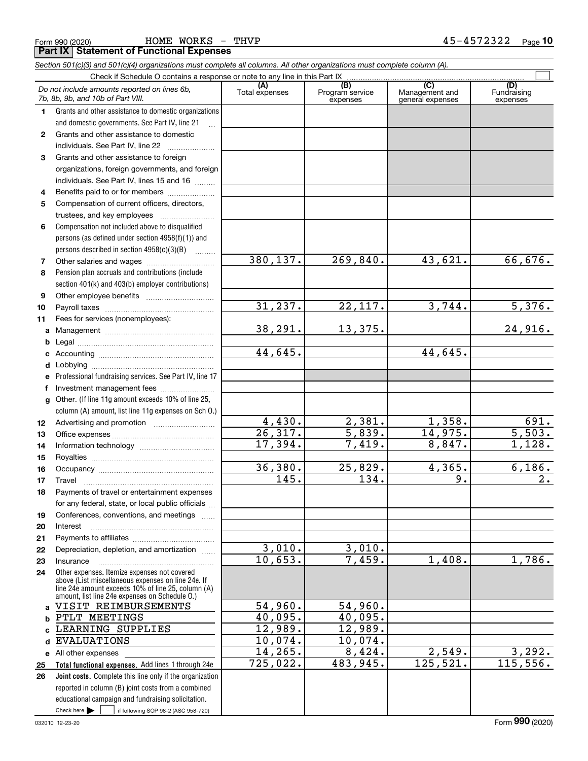|    | and domestic governments. See Part IV, line 21<br>$\ddotsc$                                        |                       |                   |                    |                    |
|----|----------------------------------------------------------------------------------------------------|-----------------------|-------------------|--------------------|--------------------|
| 2  | Grants and other assistance to domestic                                                            |                       |                   |                    |                    |
|    | individuals. See Part IV, line 22                                                                  |                       |                   |                    |                    |
| 3  | Grants and other assistance to foreign                                                             |                       |                   |                    |                    |
|    | organizations, foreign governments, and foreign                                                    |                       |                   |                    |                    |
|    | individuals. See Part IV, lines 15 and 16                                                          |                       |                   |                    |                    |
| 4  | Benefits paid to or for members                                                                    |                       |                   |                    |                    |
| 5  | Compensation of current officers, directors,                                                       |                       |                   |                    |                    |
|    | trustees, and key employees                                                                        |                       |                   |                    |                    |
| 6  | Compensation not included above to disqualified                                                    |                       |                   |                    |                    |
|    | persons (as defined under section 4958(f)(1)) and                                                  |                       |                   |                    |                    |
|    | persons described in section $4958(c)(3)(B)$                                                       |                       |                   |                    |                    |
| 7  | Other salaries and wages                                                                           | 380, 137.             | 269,840.          | 43,621.            | 66,676.            |
| 8  | Pension plan accruals and contributions (include                                                   |                       |                   |                    |                    |
|    | section 401(k) and 403(b) employer contributions)                                                  |                       |                   |                    |                    |
| 9  | Other employee benefits                                                                            |                       |                   |                    |                    |
| 10 |                                                                                                    | 31, 237.              | 22,117.           | 3,744.             | 5,376.             |
| 11 | Fees for services (nonemployees):                                                                  |                       |                   |                    |                    |
| a  |                                                                                                    | 38,291.               | 13,375.           |                    | 24,916.            |
| b  |                                                                                                    |                       |                   |                    |                    |
| c  |                                                                                                    | 44,645.               |                   | 44,645.            |                    |
| d  | Lobbying                                                                                           |                       |                   |                    |                    |
| e  | Professional fundraising services. See Part IV, line 17                                            |                       |                   |                    |                    |
| f  | Investment management fees                                                                         |                       |                   |                    |                    |
| g  | Other. (If line 11g amount exceeds 10% of line 25,                                                 |                       |                   |                    |                    |
|    | column (A) amount, list line 11g expenses on Sch O.)                                               |                       |                   |                    |                    |
| 12 |                                                                                                    | 4,430.                | 2,381.            | 1,358.             | 691.               |
| 13 |                                                                                                    | $\overline{26,317}$ . | 5,839.            | 14,975.            | $\overline{5,503}$ |
| 14 |                                                                                                    | 17,394.               | 7,419.            | 8,847.             | 1,128.             |
| 15 |                                                                                                    |                       |                   |                    |                    |
| 16 |                                                                                                    | 36,380.               | 25,829.           | 4,365.             | 6, 186.            |
| 17 | Travel                                                                                             | 145.                  | 134.              | 9.                 | 2.                 |
| 18 | Payments of travel or entertainment expenses                                                       |                       |                   |                    |                    |
|    | for any federal, state, or local public officials                                                  |                       |                   |                    |                    |
| 19 | Conferences, conventions, and meetings                                                             |                       |                   |                    |                    |
| 20 | Interest                                                                                           |                       |                   |                    |                    |
| 21 |                                                                                                    |                       |                   |                    |                    |
| 22 | Depreciation, depletion, and amortization.                                                         | 3,010.                | 3,010.            |                    |                    |
| 23 | Insurance                                                                                          | 10,653.               | 7,459.            | 1,408.             | 1,786.             |
| 24 | Other expenses. Itemize expenses not covered<br>above (List miscellaneous expenses on line 24e. If |                       |                   |                    |                    |
|    | line 24e amount exceeds 10% of line 25, column (A)                                                 |                       |                   |                    |                    |
|    | amount, list line 24e expenses on Schedule O.)                                                     |                       |                   |                    |                    |
| a  | VISIT REIMBURSEMENTS                                                                               | 54,960.               | 54,960.           |                    |                    |
| b  | PTLT MEETINGS                                                                                      | 40,095.               | 40,095.           |                    |                    |
|    | LEARNING SUPPLIES                                                                                  | 12,989.               | 12,989.           |                    |                    |
| d  | <b>EVALUATIONS</b>                                                                                 | 10,074.               | 10,074.<br>8,424. |                    |                    |
| е  | All other expenses                                                                                 | 14,265.<br>725,022.   | 483,945.          | 2,549.<br>125,521. | 3,292.<br>115,556. |
| 25 | Total functional expenses. Add lines 1 through 24e                                                 |                       |                   |                    |                    |
| 26 | Joint costs. Complete this line only if the organization                                           |                       |                   |                    |                    |
|    | reported in column (B) joint costs from a combined                                                 |                       |                   |                    |                    |
|    | educational campaign and fundraising solicitation.                                                 |                       |                   |                    |                    |
|    | Check here<br>if following SOP 98-2 (ASC 958-720)                                                  |                       |                   |                    |                    |

*7b, 8b, 9b, and 10b of Part VIII.*

**1**

Form 990 (2020) HOME WORKS - THVP 4 5-4 5 7 2 3 2 2 <sub>Page</sub> **Part IX Statement of Functional Expenses**

Grants and other assistance to domestic organizations

*Do not include amounts reported on lines 6b,*

**(A)**

Total expenses Program service expenses

*Section 501(c)(3) and 501(c)(4) organizations must complete all columns. All other organizations must complete column (A).*

Check if Schedule O contains a response or note to any line in this Part IX

Fundraising expenses

 $\mathcal{L}^{\text{max}}$ 

**(C)** (C) (C)<br>
penses Program service Management and Fundrai<br>
expenses general expenses expen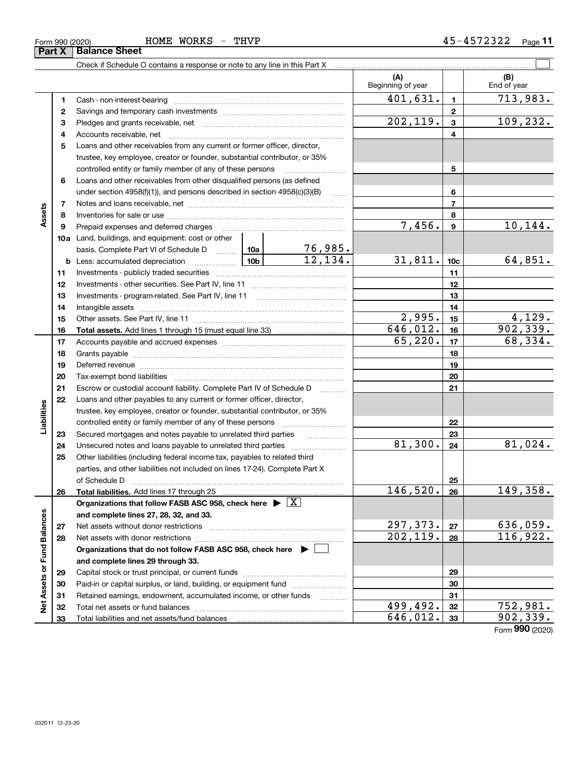| $F$ $n$<br>WORKS<br>HOME<br>THVP<br>Form 990 (2020) | Page<br>-4344 |
|-----------------------------------------------------|---------------|
|-----------------------------------------------------|---------------|

|                             |    |                                                                                                                                                                                                                                |                        |                           | (A)<br>Beginning of year |                 | (B)<br>End of year          |
|-----------------------------|----|--------------------------------------------------------------------------------------------------------------------------------------------------------------------------------------------------------------------------------|------------------------|---------------------------|--------------------------|-----------------|-----------------------------|
|                             | 1  |                                                                                                                                                                                                                                |                        |                           | 401,631.                 | $\mathbf{1}$    | 713,983.                    |
|                             | 2  |                                                                                                                                                                                                                                |                        |                           | $\overline{2}$           |                 |                             |
|                             | 3  |                                                                                                                                                                                                                                |                        |                           | 202, 119.                | $\mathbf{3}$    | 109,232.                    |
|                             | 4  |                                                                                                                                                                                                                                |                        |                           |                          | 4               |                             |
|                             | 5  | Loans and other receivables from any current or former officer, director,                                                                                                                                                      |                        |                           |                          |                 |                             |
|                             |    | trustee, key employee, creator or founder, substantial contributor, or 35%                                                                                                                                                     |                        |                           |                          |                 |                             |
|                             |    | controlled entity or family member of any of these persons                                                                                                                                                                     |                        |                           |                          | 5               |                             |
|                             | 6  | Loans and other receivables from other disqualified persons (as defined                                                                                                                                                        |                        |                           |                          |                 |                             |
|                             |    | under section 4958(f)(1)), and persons described in section 4958(c)(3)(B)                                                                                                                                                      |                        | $\ldots$                  |                          | 6               |                             |
|                             | 7  |                                                                                                                                                                                                                                |                        |                           |                          | $\overline{7}$  |                             |
| Assets                      | 8  |                                                                                                                                                                                                                                |                        |                           |                          | 8               |                             |
|                             | 9  | Prepaid expenses and deferred charges                                                                                                                                                                                          |                        |                           | 7,456.                   | $\mathbf{9}$    | 10, 144.                    |
|                             |    | <b>10a</b> Land, buildings, and equipment: cost or other                                                                                                                                                                       |                        |                           |                          |                 |                             |
|                             |    | basis. Complete Part VI of Schedule D  10a                                                                                                                                                                                     |                        | $\frac{76,985.}{12,134.}$ |                          |                 |                             |
|                             |    | <b>b</b> Less: accumulated depreciation                                                                                                                                                                                        | 10b l                  |                           | 31,811.                  | 10 <sub>c</sub> | 64,851.                     |
|                             | 11 |                                                                                                                                                                                                                                |                        |                           |                          | 11              |                             |
|                             | 12 |                                                                                                                                                                                                                                |                        |                           | 12                       |                 |                             |
|                             | 13 |                                                                                                                                                                                                                                |                        |                           | 13                       |                 |                             |
|                             | 14 |                                                                                                                                                                                                                                |                        |                           | 14                       |                 |                             |
|                             | 15 |                                                                                                                                                                                                                                | 2,995.                 | 15                        | 4,129.                   |                 |                             |
|                             | 16 |                                                                                                                                                                                                                                | $\overline{646,012}$ . | 16                        | 902, 339.                |                 |                             |
|                             | 17 |                                                                                                                                                                                                                                | 65,220.                | 17                        | 68,334.                  |                 |                             |
|                             | 18 |                                                                                                                                                                                                                                |                        |                           | 18                       |                 |                             |
|                             | 19 | Deferred revenue manual contracts and contracts are all the contracts and contracts are contracted and contracts are contracted and contract are contracted and contract are contracted and contract are contracted and contra |                        |                           |                          | 19              |                             |
|                             | 20 |                                                                                                                                                                                                                                |                        |                           |                          | 20              |                             |
|                             | 21 | Escrow or custodial account liability. Complete Part IV of Schedule D                                                                                                                                                          |                        | 1.1.1.1.1.1.1.1.1.1       |                          | 21              |                             |
|                             | 22 | Loans and other payables to any current or former officer, director,                                                                                                                                                           |                        |                           |                          |                 |                             |
|                             |    | trustee, key employee, creator or founder, substantial contributor, or 35%                                                                                                                                                     |                        |                           |                          |                 |                             |
| Liabilities                 |    | controlled entity or family member of any of these persons                                                                                                                                                                     |                        |                           |                          | 22              |                             |
|                             | 23 | Secured mortgages and notes payable to unrelated third parties                                                                                                                                                                 |                        |                           |                          | 23              |                             |
|                             | 24 | Unsecured notes and loans payable to unrelated third parties                                                                                                                                                                   |                        |                           | 81,300.                  | 24              | 81,024.                     |
|                             | 25 | Other liabilities (including federal income tax, payables to related third                                                                                                                                                     |                        |                           |                          |                 |                             |
|                             |    | parties, and other liabilities not included on lines 17-24). Complete Part X                                                                                                                                                   |                        |                           |                          |                 |                             |
|                             |    | of Schedule D                                                                                                                                                                                                                  |                        |                           |                          | 25              |                             |
|                             | 26 |                                                                                                                                                                                                                                |                        |                           | 146,520.                 | 26              | 149,358.                    |
|                             |    | Organizations that follow FASB ASC 958, check here $\blacktriangleright \boxed{X}$                                                                                                                                             |                        |                           |                          |                 |                             |
|                             |    | and complete lines 27, 28, 32, and 33.                                                                                                                                                                                         |                        |                           |                          |                 |                             |
|                             | 27 |                                                                                                                                                                                                                                |                        |                           | 297,373.                 | 27              | <u>636,059.</u>             |
|                             | 28 |                                                                                                                                                                                                                                |                        |                           | 202, 119.                | 28              | 116,922.                    |
|                             |    | Organizations that do not follow FASB ASC 958, check here $\blacktriangleright$                                                                                                                                                |                        |                           |                          |                 |                             |
|                             |    | and complete lines 29 through 33.                                                                                                                                                                                              |                        |                           |                          |                 |                             |
|                             | 29 |                                                                                                                                                                                                                                |                        |                           |                          | 29              |                             |
| Net Assets or Fund Balances | 30 | Paid-in or capital surplus, or land, building, or equipment fund                                                                                                                                                               |                        |                           |                          | 30              |                             |
|                             | 31 | Retained earnings, endowment, accumulated income, or other funds                                                                                                                                                               |                        |                           |                          | 31              |                             |
|                             | 32 | Total net assets or fund balances                                                                                                                                                                                              |                        |                           | $\overline{499,492}$ .   | 32              | $\frac{752,981.}{902,339.}$ |
|                             | 33 |                                                                                                                                                                                                                                |                        |                           | 646,012.                 | 33              |                             |

Form (2020) **990**

**Part X Balance Sheet**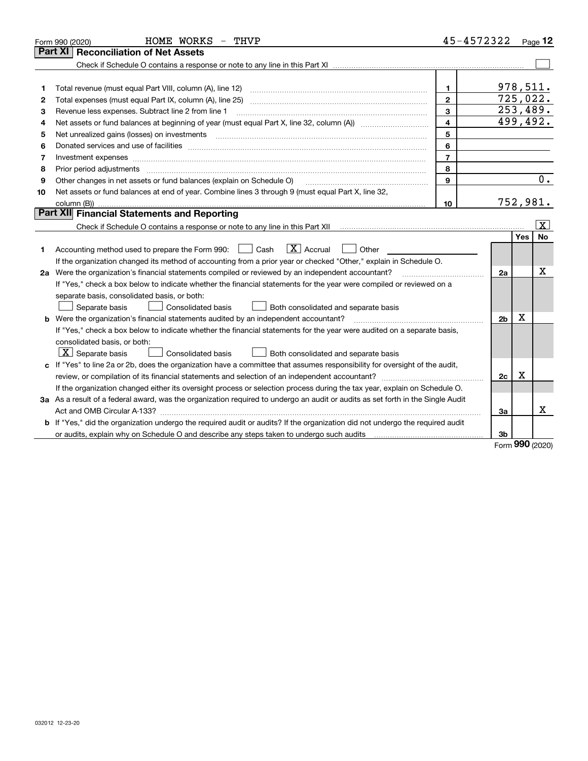|    | HOME WORKS - THVP<br>Form 990 (2020)                                                                                                                                | 45-4572322     |          | $_{\text{Page}}$ 12     |
|----|---------------------------------------------------------------------------------------------------------------------------------------------------------------------|----------------|----------|-------------------------|
|    | <b>Reconciliation of Net Assets</b><br><b>Part XI</b>                                                                                                               |                |          |                         |
|    |                                                                                                                                                                     |                |          |                         |
|    |                                                                                                                                                                     |                |          |                         |
| 1  | Total revenue (must equal Part VIII, column (A), line 12)<br>$\mathbf{1}$                                                                                           | 978,511.       |          |                         |
| 2  | $\mathbf{2}$                                                                                                                                                        |                | 725,022. |                         |
| з  | 3<br>Revenue less expenses. Subtract line 2 from line 1                                                                                                             | 253,489.       |          |                         |
| 4  | $\overline{\mathbf{4}}$                                                                                                                                             |                | 499,492. |                         |
| 5  | 5<br>Net unrealized gains (losses) on investments                                                                                                                   |                |          |                         |
| 6  | 6                                                                                                                                                                   |                |          |                         |
| 7  | $\overline{7}$<br>Investment expenses www.communication.com/www.communication.com/www.communication.com/www.com                                                     |                |          |                         |
| 8  | 8<br>Prior period adjustments                                                                                                                                       |                |          |                         |
| 9  | 9<br>Other changes in net assets or fund balances (explain on Schedule O)                                                                                           |                |          | 0.                      |
| 10 | Net assets or fund balances at end of year. Combine lines 3 through 9 (must equal Part X, line 32,                                                                  |                |          |                         |
|    | column (B))<br>10                                                                                                                                                   |                | 752,981. |                         |
|    | Part XII Financial Statements and Reporting                                                                                                                         |                |          |                         |
|    | Check if Schedule O contains a response or note to any line in this Part XII [11] [12] Check if Schedule O contains a response or note to any line in this Part XII |                |          | $\overline{\mathbf{X}}$ |
|    |                                                                                                                                                                     |                | Yes      | <b>No</b>               |
| 1. | $\boxed{\mathbf{X}}$ Accrual<br>Accounting method used to prepare the Form 990: <u>June</u> Cash<br>Other                                                           |                |          |                         |
|    | If the organization changed its method of accounting from a prior year or checked "Other," explain in Schedule O.                                                   |                |          |                         |
|    | 2a Were the organization's financial statements compiled or reviewed by an independent accountant?                                                                  | 2a             |          | Х                       |
|    | If "Yes," check a box below to indicate whether the financial statements for the year were compiled or reviewed on a                                                |                |          |                         |
|    | separate basis, consolidated basis, or both:                                                                                                                        |                |          |                         |
|    | Separate basis<br>Consolidated basis<br>Both consolidated and separate basis                                                                                        |                |          |                         |
|    | <b>b</b> Were the organization's financial statements audited by an independent accountant?                                                                         | 2 <sub>b</sub> | X        |                         |
|    | If "Yes," check a box below to indicate whether the financial statements for the year were audited on a separate basis,                                             |                |          |                         |
|    | consolidated basis, or both:                                                                                                                                        |                |          |                         |
|    | $X$ Separate basis<br><b>Consolidated basis</b><br>Both consolidated and separate basis                                                                             |                |          |                         |
| c  | If "Yes" to line 2a or 2b, does the organization have a committee that assumes responsibility for oversight of the audit,                                           |                |          |                         |
|    |                                                                                                                                                                     | 2c             | X        |                         |
|    | If the organization changed either its oversight process or selection process during the tax year, explain on Schedule O.                                           |                |          |                         |
|    | 3a As a result of a federal award, was the organization required to undergo an audit or audits as set forth in the Single Audit                                     |                |          |                         |
|    |                                                                                                                                                                     | За             |          | х                       |
|    | b If "Yes," did the organization undergo the required audit or audits? If the organization did not undergo the required audit                                       |                |          |                         |
|    |                                                                                                                                                                     | 3b             |          |                         |

Form (2020) **990**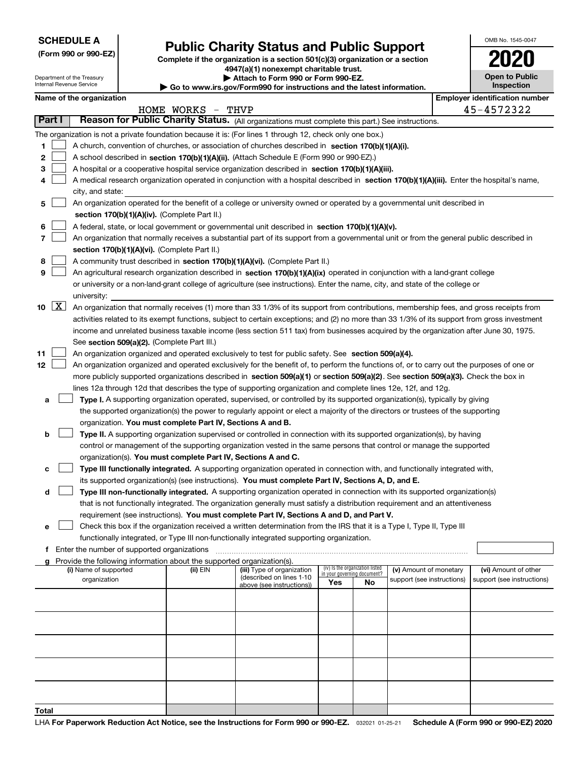Department of the Treasury

**(Form 990 or 990-EZ)**

# **Public Charity Status and Public Support**

**Complete if the organization is a section 501(c)(3) organization or a section 4947(a)(1) nonexempt charitable trust.**

**| Attach to Form 990 or Form 990-EZ.** 

| OMB No. 1545-0047                   |
|-------------------------------------|
| 020                                 |
| <b>Open to Public</b><br>Inspection |

|    |                     | Internal Revenue Service              |                                               |                                                                                    | $\triangleright$ Go to www.irs.gov/Form990 for instructions and the latest information.                                                      |                             |                                 |                                                      | <b>Inspection</b>          |
|----|---------------------|---------------------------------------|-----------------------------------------------|------------------------------------------------------------------------------------|----------------------------------------------------------------------------------------------------------------------------------------------|-----------------------------|---------------------------------|------------------------------------------------------|----------------------------|
|    |                     | Name of the organization              |                                               |                                                                                    | <b>Employer identification number</b>                                                                                                        |                             |                                 |                                                      |                            |
|    |                     |                                       |                                               | HOME WORKS                                                                         | THVP                                                                                                                                         |                             |                                 |                                                      | 45-4572322                 |
|    | Part I              |                                       |                                               |                                                                                    | Reason for Public Charity Status. (All organizations must complete this part.) See instructions.                                             |                             |                                 |                                                      |                            |
|    |                     |                                       |                                               |                                                                                    | The organization is not a private foundation because it is: (For lines 1 through 12, check only one box.)                                    |                             |                                 |                                                      |                            |
| 1. |                     |                                       |                                               |                                                                                    | A church, convention of churches, or association of churches described in section 170(b)(1)(A)(i).                                           |                             |                                 |                                                      |                            |
| 2  |                     |                                       |                                               |                                                                                    | A school described in section 170(b)(1)(A)(ii). (Attach Schedule E (Form 990 or 990-EZ).)                                                    |                             |                                 |                                                      |                            |
| 3  |                     |                                       |                                               |                                                                                    | A hospital or a cooperative hospital service organization described in section 170(b)(1)(A)(iii).                                            |                             |                                 |                                                      |                            |
| 4  |                     |                                       |                                               |                                                                                    | A medical research organization operated in conjunction with a hospital described in section 170(b)(1)(A)(iii). Enter the hospital's name,   |                             |                                 |                                                      |                            |
|    |                     | city, and state:                      |                                               |                                                                                    |                                                                                                                                              |                             |                                 |                                                      |                            |
| 5. |                     |                                       |                                               |                                                                                    | An organization operated for the benefit of a college or university owned or operated by a governmental unit described in                    |                             |                                 |                                                      |                            |
|    |                     |                                       |                                               | section 170(b)(1)(A)(iv). (Complete Part II.)                                      |                                                                                                                                              |                             |                                 |                                                      |                            |
| 6  |                     |                                       |                                               |                                                                                    | A federal, state, or local government or governmental unit described in section 170(b)(1)(A)(v).                                             |                             |                                 |                                                      |                            |
| 7  |                     |                                       |                                               |                                                                                    | An organization that normally receives a substantial part of its support from a governmental unit or from the general public described in    |                             |                                 |                                                      |                            |
|    |                     |                                       |                                               | section 170(b)(1)(A)(vi). (Complete Part II.)                                      |                                                                                                                                              |                             |                                 |                                                      |                            |
| 8  |                     |                                       |                                               |                                                                                    | A community trust described in section 170(b)(1)(A)(vi). (Complete Part II.)                                                                 |                             |                                 |                                                      |                            |
| 9  |                     |                                       |                                               |                                                                                    | An agricultural research organization described in section 170(b)(1)(A)(ix) operated in conjunction with a land-grant college                |                             |                                 |                                                      |                            |
|    |                     |                                       |                                               |                                                                                    | or university or a non-land-grant college of agriculture (see instructions). Enter the name, city, and state of the college or               |                             |                                 |                                                      |                            |
|    |                     | university:                           |                                               |                                                                                    |                                                                                                                                              |                             |                                 |                                                      |                            |
| 10 | $\lfloor x \rfloor$ |                                       |                                               |                                                                                    | An organization that normally receives (1) more than 33 1/3% of its support from contributions, membership fees, and gross receipts from     |                             |                                 |                                                      |                            |
|    |                     |                                       |                                               |                                                                                    | activities related to its exempt functions, subject to certain exceptions; and (2) no more than 33 1/3% of its support from gross investment |                             |                                 |                                                      |                            |
|    |                     |                                       |                                               |                                                                                    | income and unrelated business taxable income (less section 511 tax) from businesses acquired by the organization after June 30, 1975.        |                             |                                 |                                                      |                            |
|    |                     |                                       |                                               | See section 509(a)(2). (Complete Part III.)                                        |                                                                                                                                              |                             |                                 |                                                      |                            |
| 11 |                     |                                       |                                               |                                                                                    | An organization organized and operated exclusively to test for public safety. See section 509(a)(4).                                         |                             |                                 |                                                      |                            |
| 12 |                     |                                       |                                               |                                                                                    | An organization organized and operated exclusively for the benefit of, to perform the functions of, or to carry out the purposes of one or   |                             |                                 |                                                      |                            |
|    |                     |                                       |                                               |                                                                                    | more publicly supported organizations described in section 509(a)(1) or section 509(a)(2). See section 509(a)(3). Check the box in           |                             |                                 |                                                      |                            |
|    |                     |                                       |                                               |                                                                                    | lines 12a through 12d that describes the type of supporting organization and complete lines 12e, 12f, and 12g.                               |                             |                                 |                                                      |                            |
| а  |                     |                                       |                                               |                                                                                    | Type I. A supporting organization operated, supervised, or controlled by its supported organization(s), typically by giving                  |                             |                                 |                                                      |                            |
|    |                     |                                       |                                               |                                                                                    | the supported organization(s) the power to regularly appoint or elect a majority of the directors or trustees of the supporting              |                             |                                 |                                                      |                            |
|    |                     |                                       |                                               | organization. You must complete Part IV, Sections A and B.                         |                                                                                                                                              |                             |                                 |                                                      |                            |
| b  |                     |                                       |                                               |                                                                                    | Type II. A supporting organization supervised or controlled in connection with its supported organization(s), by having                      |                             |                                 |                                                      |                            |
|    |                     |                                       |                                               |                                                                                    | control or management of the supporting organization vested in the same persons that control or manage the supported                         |                             |                                 |                                                      |                            |
|    |                     |                                       |                                               | organization(s). You must complete Part IV, Sections A and C.                      |                                                                                                                                              |                             |                                 |                                                      |                            |
| с  |                     |                                       |                                               |                                                                                    | Type III functionally integrated. A supporting organization operated in connection with, and functionally integrated with,                   |                             |                                 |                                                      |                            |
|    |                     |                                       |                                               |                                                                                    | its supported organization(s) (see instructions). You must complete Part IV, Sections A, D, and E.                                           |                             |                                 |                                                      |                            |
| d  |                     |                                       |                                               |                                                                                    | Type III non-functionally integrated. A supporting organization operated in connection with its supported organization(s)                    |                             |                                 |                                                      |                            |
|    |                     |                                       |                                               |                                                                                    | that is not functionally integrated. The organization generally must satisfy a distribution requirement and an attentiveness                 |                             |                                 |                                                      |                            |
|    |                     |                                       |                                               |                                                                                    | requirement (see instructions). You must complete Part IV, Sections A and D, and Part V.                                                     |                             |                                 |                                                      |                            |
| е  |                     |                                       |                                               |                                                                                    | Check this box if the organization received a written determination from the IRS that it is a Type I, Type II, Type III                      |                             |                                 |                                                      |                            |
|    |                     |                                       |                                               |                                                                                    | functionally integrated, or Type III non-functionally integrated supporting organization.                                                    |                             |                                 |                                                      |                            |
|    |                     |                                       | f Enter the number of supported organizations |                                                                                    |                                                                                                                                              |                             |                                 |                                                      |                            |
|    |                     |                                       |                                               | Provide the following information about the supported organization(s).<br>(ii) EIN | (iii) Type of organization                                                                                                                   |                             | (iv) Is the organization listed |                                                      | (vi) Amount of other       |
|    |                     | (i) Name of supported<br>organization |                                               |                                                                                    | (described on lines 1-10                                                                                                                     | in your governing document? |                                 | (v) Amount of monetary<br>support (see instructions) | support (see instructions) |
|    |                     |                                       |                                               |                                                                                    | above (see instructions))                                                                                                                    | Yes                         | <b>No</b>                       |                                                      |                            |
|    |                     |                                       |                                               |                                                                                    |                                                                                                                                              |                             |                                 |                                                      |                            |
|    |                     |                                       |                                               |                                                                                    |                                                                                                                                              |                             |                                 |                                                      |                            |
|    |                     |                                       |                                               |                                                                                    |                                                                                                                                              |                             |                                 |                                                      |                            |
|    |                     |                                       |                                               |                                                                                    |                                                                                                                                              |                             |                                 |                                                      |                            |
|    |                     |                                       |                                               |                                                                                    |                                                                                                                                              |                             |                                 |                                                      |                            |
|    |                     |                                       |                                               |                                                                                    |                                                                                                                                              |                             |                                 |                                                      |                            |
|    |                     |                                       |                                               |                                                                                    |                                                                                                                                              |                             |                                 |                                                      |                            |
|    |                     |                                       |                                               |                                                                                    |                                                                                                                                              |                             |                                 |                                                      |                            |
|    |                     |                                       |                                               |                                                                                    |                                                                                                                                              |                             |                                 |                                                      |                            |
|    |                     |                                       |                                               |                                                                                    |                                                                                                                                              |                             |                                 |                                                      |                            |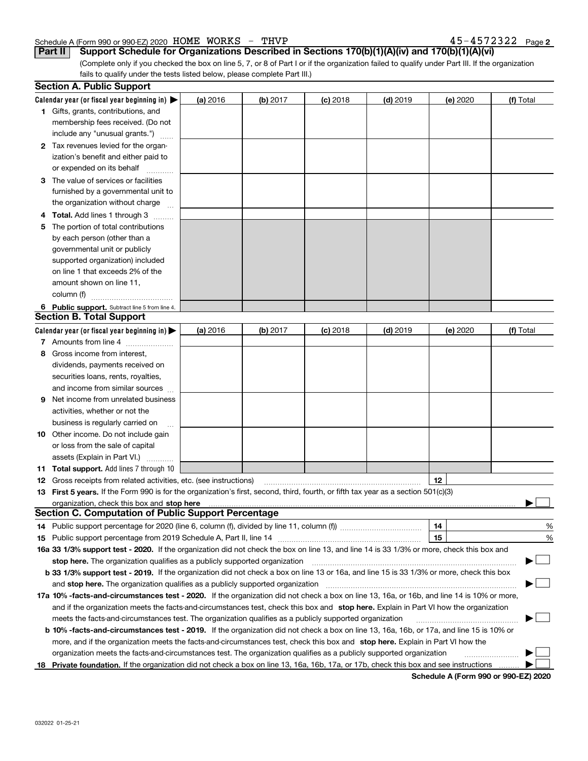### Schedule A (Form 990 or 990-EZ) 2020 Page HOME WORKS - THVP 45-4572322

|  |  |  |  |  |  |  |  |  | $45 - 4572322$ Page 2 |  |
|--|--|--|--|--|--|--|--|--|-----------------------|--|
|--|--|--|--|--|--|--|--|--|-----------------------|--|

**Part II Support Schedule for Organizations Described in Sections 170(b)(1)(A)(iv) and 170(b)(1)(A)(vi)**

(Complete only if you checked the box on line 5, 7, or 8 of Part I or if the organization failed to qualify under Part III. If the organization fails to qualify under the tests listed below, please complete Part III.)

| Calendar year (or fiscal year beginning in) $\blacktriangleright$<br>(a) 2016<br>$(b)$ 2017<br>$(d)$ 2019<br>(e) 2020<br>$(c)$ 2018<br><b>1</b> Gifts, grants, contributions, and<br>membership fees received. (Do not<br>include any "unusual grants.")<br>2 Tax revenues levied for the organ-<br>ization's benefit and either paid to<br>or expended on its behalf<br>3 The value of services or facilities<br>furnished by a governmental unit to<br>the organization without charge<br>4 Total. Add lines 1 through 3<br>The portion of total contributions<br>5.<br>by each person (other than a<br>governmental unit or publicly<br>supported organization) included<br>on line 1 that exceeds 2% of the<br>amount shown on line 11, | (f) Total                |
|---------------------------------------------------------------------------------------------------------------------------------------------------------------------------------------------------------------------------------------------------------------------------------------------------------------------------------------------------------------------------------------------------------------------------------------------------------------------------------------------------------------------------------------------------------------------------------------------------------------------------------------------------------------------------------------------------------------------------------------------|--------------------------|
|                                                                                                                                                                                                                                                                                                                                                                                                                                                                                                                                                                                                                                                                                                                                             |                          |
|                                                                                                                                                                                                                                                                                                                                                                                                                                                                                                                                                                                                                                                                                                                                             |                          |
|                                                                                                                                                                                                                                                                                                                                                                                                                                                                                                                                                                                                                                                                                                                                             |                          |
|                                                                                                                                                                                                                                                                                                                                                                                                                                                                                                                                                                                                                                                                                                                                             |                          |
|                                                                                                                                                                                                                                                                                                                                                                                                                                                                                                                                                                                                                                                                                                                                             |                          |
|                                                                                                                                                                                                                                                                                                                                                                                                                                                                                                                                                                                                                                                                                                                                             |                          |
|                                                                                                                                                                                                                                                                                                                                                                                                                                                                                                                                                                                                                                                                                                                                             |                          |
|                                                                                                                                                                                                                                                                                                                                                                                                                                                                                                                                                                                                                                                                                                                                             |                          |
|                                                                                                                                                                                                                                                                                                                                                                                                                                                                                                                                                                                                                                                                                                                                             |                          |
|                                                                                                                                                                                                                                                                                                                                                                                                                                                                                                                                                                                                                                                                                                                                             |                          |
|                                                                                                                                                                                                                                                                                                                                                                                                                                                                                                                                                                                                                                                                                                                                             |                          |
|                                                                                                                                                                                                                                                                                                                                                                                                                                                                                                                                                                                                                                                                                                                                             |                          |
|                                                                                                                                                                                                                                                                                                                                                                                                                                                                                                                                                                                                                                                                                                                                             |                          |
|                                                                                                                                                                                                                                                                                                                                                                                                                                                                                                                                                                                                                                                                                                                                             |                          |
|                                                                                                                                                                                                                                                                                                                                                                                                                                                                                                                                                                                                                                                                                                                                             |                          |
|                                                                                                                                                                                                                                                                                                                                                                                                                                                                                                                                                                                                                                                                                                                                             |                          |
|                                                                                                                                                                                                                                                                                                                                                                                                                                                                                                                                                                                                                                                                                                                                             |                          |
| column (f)                                                                                                                                                                                                                                                                                                                                                                                                                                                                                                                                                                                                                                                                                                                                  |                          |
| 6 Public support. Subtract line 5 from line 4.                                                                                                                                                                                                                                                                                                                                                                                                                                                                                                                                                                                                                                                                                              |                          |
| <b>Section B. Total Support</b>                                                                                                                                                                                                                                                                                                                                                                                                                                                                                                                                                                                                                                                                                                             |                          |
| Calendar year (or fiscal year beginning in) $\blacktriangleright$<br>(b) 2017<br>$(d)$ 2019<br>(a) 2016<br>$(c)$ 2018<br>(e) 2020                                                                                                                                                                                                                                                                                                                                                                                                                                                                                                                                                                                                           | (f) Total                |
| 7 Amounts from line 4                                                                                                                                                                                                                                                                                                                                                                                                                                                                                                                                                                                                                                                                                                                       |                          |
| 8 Gross income from interest,                                                                                                                                                                                                                                                                                                                                                                                                                                                                                                                                                                                                                                                                                                               |                          |
| dividends, payments received on                                                                                                                                                                                                                                                                                                                                                                                                                                                                                                                                                                                                                                                                                                             |                          |
| securities loans, rents, royalties,                                                                                                                                                                                                                                                                                                                                                                                                                                                                                                                                                                                                                                                                                                         |                          |
| and income from similar sources                                                                                                                                                                                                                                                                                                                                                                                                                                                                                                                                                                                                                                                                                                             |                          |
| Net income from unrelated business<br>9.                                                                                                                                                                                                                                                                                                                                                                                                                                                                                                                                                                                                                                                                                                    |                          |
| activities, whether or not the                                                                                                                                                                                                                                                                                                                                                                                                                                                                                                                                                                                                                                                                                                              |                          |
| business is regularly carried on                                                                                                                                                                                                                                                                                                                                                                                                                                                                                                                                                                                                                                                                                                            |                          |
| <b>10</b> Other income. Do not include gain                                                                                                                                                                                                                                                                                                                                                                                                                                                                                                                                                                                                                                                                                                 |                          |
| or loss from the sale of capital                                                                                                                                                                                                                                                                                                                                                                                                                                                                                                                                                                                                                                                                                                            |                          |
| assets (Explain in Part VI.)                                                                                                                                                                                                                                                                                                                                                                                                                                                                                                                                                                                                                                                                                                                |                          |
| <b>11 Total support.</b> Add lines 7 through 10                                                                                                                                                                                                                                                                                                                                                                                                                                                                                                                                                                                                                                                                                             |                          |
| 12<br><b>12</b> Gross receipts from related activities, etc. (see instructions)                                                                                                                                                                                                                                                                                                                                                                                                                                                                                                                                                                                                                                                             |                          |
| 13 First 5 years. If the Form 990 is for the organization's first, second, third, fourth, or fifth tax year as a section 501(c)(3)                                                                                                                                                                                                                                                                                                                                                                                                                                                                                                                                                                                                          |                          |
|                                                                                                                                                                                                                                                                                                                                                                                                                                                                                                                                                                                                                                                                                                                                             |                          |
| <b>Section C. Computation of Public Support Percentage</b>                                                                                                                                                                                                                                                                                                                                                                                                                                                                                                                                                                                                                                                                                  |                          |
| 14                                                                                                                                                                                                                                                                                                                                                                                                                                                                                                                                                                                                                                                                                                                                          | %                        |
| 15                                                                                                                                                                                                                                                                                                                                                                                                                                                                                                                                                                                                                                                                                                                                          | %                        |
| 16a 33 1/3% support test - 2020. If the organization did not check the box on line 13, and line 14 is 33 1/3% or more, check this box and                                                                                                                                                                                                                                                                                                                                                                                                                                                                                                                                                                                                   |                          |
| stop here. The organization qualifies as a publicly supported organization                                                                                                                                                                                                                                                                                                                                                                                                                                                                                                                                                                                                                                                                  | $\overline{\phantom{a}}$ |
| b 33 1/3% support test - 2019. If the organization did not check a box on line 13 or 16a, and line 15 is 33 1/3% or more, check this box                                                                                                                                                                                                                                                                                                                                                                                                                                                                                                                                                                                                    |                          |
| and stop here. The organization qualifies as a publicly supported organization                                                                                                                                                                                                                                                                                                                                                                                                                                                                                                                                                                                                                                                              |                          |
| 17a 10% -facts-and-circumstances test - 2020. If the organization did not check a box on line 13, 16a, or 16b, and line 14 is 10% or more,                                                                                                                                                                                                                                                                                                                                                                                                                                                                                                                                                                                                  |                          |
| and if the organization meets the facts-and-circumstances test, check this box and stop here. Explain in Part VI how the organization                                                                                                                                                                                                                                                                                                                                                                                                                                                                                                                                                                                                       |                          |
| meets the facts-and-circumstances test. The organization qualifies as a publicly supported organization                                                                                                                                                                                                                                                                                                                                                                                                                                                                                                                                                                                                                                     |                          |
| <b>b 10% -facts-and-circumstances test - 2019.</b> If the organization did not check a box on line 13, 16a, 16b, or 17a, and line 15 is 10% or                                                                                                                                                                                                                                                                                                                                                                                                                                                                                                                                                                                              |                          |
| more, and if the organization meets the facts-and-circumstances test, check this box and stop here. Explain in Part VI how the                                                                                                                                                                                                                                                                                                                                                                                                                                                                                                                                                                                                              |                          |
| organization meets the facts-and-circumstances test. The organization qualifies as a publicly supported organization                                                                                                                                                                                                                                                                                                                                                                                                                                                                                                                                                                                                                        |                          |
| Private foundation. If the organization did not check a box on line 13, 16a, 16b, 17a, or 17b, check this box and see instructions<br>18                                                                                                                                                                                                                                                                                                                                                                                                                                                                                                                                                                                                    |                          |

**Schedule A (Form 990 or 990-EZ) 2020**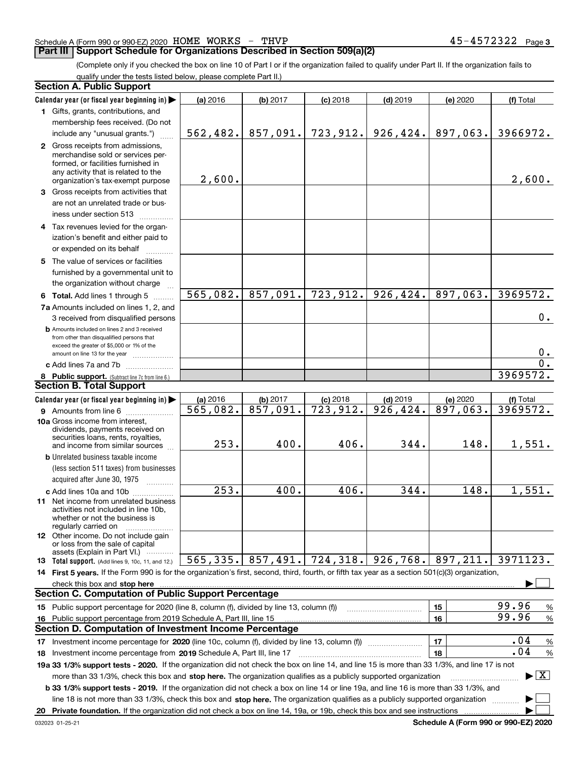### Schedule A (Form 990 or 990-EZ) 2020 Page HOME WORKS - THVP 45-4572322

### **Part III Support Schedule for Organizations Described in Section 509(a)(2)**

(Complete only if you checked the box on line 10 of Part I or if the organization failed to qualify under Part II. If the organization fails to qualify under the tests listed below, please complete Part II.)

| <b>Section A. Public Support</b>                                                                                                                                                                                                                                 |                        |          |            |            |          |                                          |
|------------------------------------------------------------------------------------------------------------------------------------------------------------------------------------------------------------------------------------------------------------------|------------------------|----------|------------|------------|----------|------------------------------------------|
| Calendar year (or fiscal year beginning in)                                                                                                                                                                                                                      | (a) 2016               | (b) 2017 | $(c)$ 2018 | $(d)$ 2019 | (e) 2020 | (f) Total                                |
| 1 Gifts, grants, contributions, and                                                                                                                                                                                                                              |                        |          |            |            |          |                                          |
| membership fees received. (Do not                                                                                                                                                                                                                                |                        |          |            |            |          |                                          |
| include any "unusual grants.")                                                                                                                                                                                                                                   | 562,482.               | 857,091. | 723,912.   | 926,424.   | 897,063. | 3966972.                                 |
| 2 Gross receipts from admissions,<br>merchandise sold or services per-<br>formed, or facilities furnished in<br>any activity that is related to the                                                                                                              | 2,600.                 |          |            |            |          | 2,600.                                   |
| organization's tax-exempt purpose                                                                                                                                                                                                                                |                        |          |            |            |          |                                          |
| 3 Gross receipts from activities that<br>are not an unrelated trade or bus-<br>iness under section 513                                                                                                                                                           |                        |          |            |            |          |                                          |
| 4 Tax revenues levied for the organ-<br>ization's benefit and either paid to                                                                                                                                                                                     |                        |          |            |            |          |                                          |
| or expended on its behalf                                                                                                                                                                                                                                        |                        |          |            |            |          |                                          |
| 5 The value of services or facilities<br>furnished by a governmental unit to<br>the organization without charge                                                                                                                                                  |                        |          |            |            |          |                                          |
| 6 Total. Add lines 1 through 5                                                                                                                                                                                                                                   | 565,082.               | 857,091. | 723,912.   | 926,424.   | 897,063. | 3969572.                                 |
| 7a Amounts included on lines 1, 2, and<br>3 received from disqualified persons                                                                                                                                                                                   |                        |          |            |            |          | 0.                                       |
| <b>b</b> Amounts included on lines 2 and 3 received<br>from other than disqualified persons that<br>exceed the greater of \$5,000 or 1% of the<br>amount on line 13 for the year                                                                                 |                        |          |            |            |          | $0$ .                                    |
| c Add lines 7a and 7b                                                                                                                                                                                                                                            |                        |          |            |            |          | $\overline{0}$ .                         |
| 8 Public support. (Subtract line 7c from line 6.)                                                                                                                                                                                                                |                        |          |            |            |          | 3969572.                                 |
| <b>Section B. Total Support</b>                                                                                                                                                                                                                                  |                        |          |            |            |          |                                          |
| Calendar year (or fiscal year beginning in)                                                                                                                                                                                                                      | (a) 2016               | (b) 2017 | $(c)$ 2018 | $(d)$ 2019 | (e) 2020 | (f) Total                                |
| <b>9</b> Amounts from line 6                                                                                                                                                                                                                                     | $\overline{565,082}$ . | 857,091. | 723,912.   | 926, 424.  | 897,063. | 3969572.                                 |
| 10a Gross income from interest,<br>dividends, payments received on<br>securities loans, rents, royalties,<br>and income from similar sources                                                                                                                     | 253.                   | 400.     | 406.       | 344.       | 148.     | 1,551.                                   |
| <b>b</b> Unrelated business taxable income                                                                                                                                                                                                                       |                        |          |            |            |          |                                          |
| (less section 511 taxes) from businesses                                                                                                                                                                                                                         |                        |          |            |            |          |                                          |
| acquired after June 30, 1975                                                                                                                                                                                                                                     |                        |          |            |            |          |                                          |
| c Add lines 10a and 10b                                                                                                                                                                                                                                          | $\overline{253}$ .     | 400.     | 406.       | 344.       | 148.     | 1,551.                                   |
| 11 Net income from unrelated business<br>activities not included in line 10b.<br>whether or not the business is<br>regularly carried on                                                                                                                          |                        |          |            |            |          |                                          |
| 12 Other income. Do not include gain<br>or loss from the sale of capital<br>assets (Explain in Part VI.)                                                                                                                                                         |                        |          |            |            |          |                                          |
| 13 Total support. (Add lines 9, 10c, 11, and 12.)                                                                                                                                                                                                                | 565, 335.              | 857,491. | 724,318.   | 926,768.   | 897,211. | 3971123.                                 |
| 14 First 5 years. If the Form 990 is for the organization's first, second, third, fourth, or fifth tax year as a section 501(c)(3) organization,                                                                                                                 |                        |          |            |            |          |                                          |
| check this box and stop here                                                                                                                                                                                                                                     |                        |          |            |            |          |                                          |
| <b>Section C. Computation of Public Support Percentage</b>                                                                                                                                                                                                       |                        |          |            |            |          |                                          |
| 15 Public support percentage for 2020 (line 8, column (f), divided by line 13, column (f))                                                                                                                                                                       |                        |          |            |            | 15       | 99.96<br>%                               |
| 16 Public support percentage from 2019 Schedule A, Part III, line 15                                                                                                                                                                                             |                        |          |            |            | 16       | 99.96<br>$\%$                            |
| Section D. Computation of Investment Income Percentage                                                                                                                                                                                                           |                        |          |            |            |          |                                          |
|                                                                                                                                                                                                                                                                  |                        |          |            |            | 17       | .04<br>$\%$                              |
| 18 Investment income percentage from 2019 Schedule A, Part III, line 17                                                                                                                                                                                          |                        |          |            |            | 18       | .04<br>$\%$                              |
| 19a 33 1/3% support tests - 2020. If the organization did not check the box on line 14, and line 15 is more than 33 1/3%, and line 17 is not                                                                                                                     |                        |          |            |            |          |                                          |
| more than 33 1/3%, check this box and stop here. The organization qualifies as a publicly supported organization<br><b>b 33 1/3% support tests - 2019.</b> If the organization did not check a box on line 14 or line 19a, and line 16 is more than 33 1/3%, and |                        |          |            |            |          | $\blacktriangleright$ $\boxed{\text{X}}$ |
| line 18 is not more than 33 1/3%, check this box and stop here. The organization qualifies as a publicly supported organization                                                                                                                                  |                        |          |            |            |          |                                          |
| 20 Private foundation. If the organization did not check a box on line 14, 19a, or 19b, check this box and see instructions                                                                                                                                      |                        |          |            |            |          |                                          |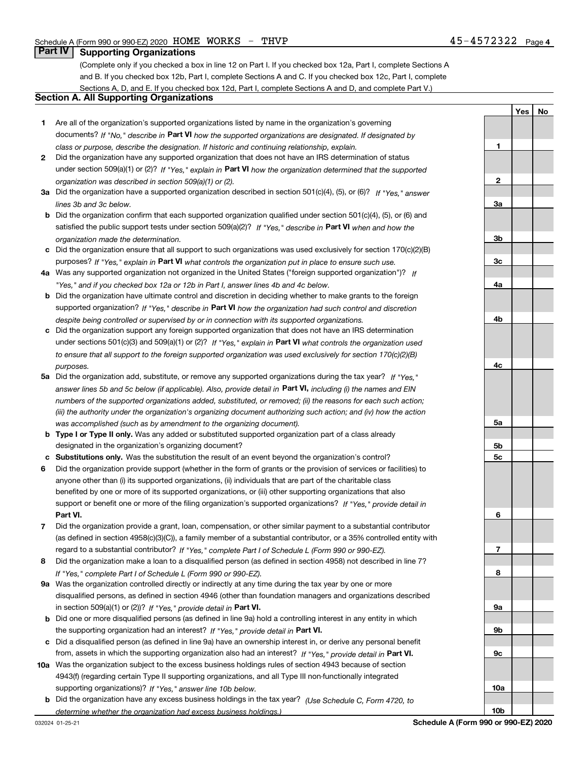**1**

**YesNo**

## **Part IV Supporting Organizations**

(Complete only if you checked a box in line 12 on Part I. If you checked box 12a, Part I, complete Sections A and B. If you checked box 12b, Part I, complete Sections A and C. If you checked box 12c, Part I, complete Sections A, D, and E. If you checked box 12d, Part I, complete Sections A and D, and complete Part V.)

### **Section A. All Supporting Organizations**

- **1** Are all of the organization's supported organizations listed by name in the organization's governing documents? If "No," describe in **Part VI** how the supported organizations are designated. If designated by *class or purpose, describe the designation. If historic and continuing relationship, explain.*
- **2** Did the organization have any supported organization that does not have an IRS determination of status under section 509(a)(1) or (2)? If "Yes," explain in Part VI how the organization determined that the supported *organization was described in section 509(a)(1) or (2).*
- **3a** Did the organization have a supported organization described in section 501(c)(4), (5), or (6)? If "Yes," answer *lines 3b and 3c below.*
- **b** Did the organization confirm that each supported organization qualified under section 501(c)(4), (5), or (6) and satisfied the public support tests under section 509(a)(2)? If "Yes," describe in **Part VI** when and how the *organization made the determination.*
- **c**Did the organization ensure that all support to such organizations was used exclusively for section 170(c)(2)(B) purposes? If "Yes," explain in **Part VI** what controls the organization put in place to ensure such use.
- **4a***If* Was any supported organization not organized in the United States ("foreign supported organization")? *"Yes," and if you checked box 12a or 12b in Part I, answer lines 4b and 4c below.*
- **b** Did the organization have ultimate control and discretion in deciding whether to make grants to the foreign supported organization? If "Yes," describe in **Part VI** how the organization had such control and discretion *despite being controlled or supervised by or in connection with its supported organizations.*
- **c** Did the organization support any foreign supported organization that does not have an IRS determination under sections 501(c)(3) and 509(a)(1) or (2)? If "Yes," explain in **Part VI** what controls the organization used *to ensure that all support to the foreign supported organization was used exclusively for section 170(c)(2)(B) purposes.*
- **5a***If "Yes,"* Did the organization add, substitute, or remove any supported organizations during the tax year? answer lines 5b and 5c below (if applicable). Also, provide detail in **Part VI,** including (i) the names and EIN *numbers of the supported organizations added, substituted, or removed; (ii) the reasons for each such action; (iii) the authority under the organization's organizing document authorizing such action; and (iv) how the action was accomplished (such as by amendment to the organizing document).*
- **b** Type I or Type II only. Was any added or substituted supported organization part of a class already designated in the organization's organizing document?
- **cSubstitutions only.**  Was the substitution the result of an event beyond the organization's control?
- **6** Did the organization provide support (whether in the form of grants or the provision of services or facilities) to **Part VI.** *If "Yes," provide detail in* support or benefit one or more of the filing organization's supported organizations? anyone other than (i) its supported organizations, (ii) individuals that are part of the charitable class benefited by one or more of its supported organizations, or (iii) other supporting organizations that also
- **7**Did the organization provide a grant, loan, compensation, or other similar payment to a substantial contributor *If "Yes," complete Part I of Schedule L (Form 990 or 990-EZ).* regard to a substantial contributor? (as defined in section 4958(c)(3)(C)), a family member of a substantial contributor, or a 35% controlled entity with
- **8** Did the organization make a loan to a disqualified person (as defined in section 4958) not described in line 7? *If "Yes," complete Part I of Schedule L (Form 990 or 990-EZ).*
- **9a** Was the organization controlled directly or indirectly at any time during the tax year by one or more in section 509(a)(1) or (2))? If "Yes," *provide detail in* <code>Part VI.</code> disqualified persons, as defined in section 4946 (other than foundation managers and organizations described
- **b** Did one or more disqualified persons (as defined in line 9a) hold a controlling interest in any entity in which the supporting organization had an interest? If "Yes," provide detail in P**art VI**.
- **c**Did a disqualified person (as defined in line 9a) have an ownership interest in, or derive any personal benefit from, assets in which the supporting organization also had an interest? If "Yes," provide detail in P**art VI.**
- **10a** Was the organization subject to the excess business holdings rules of section 4943 because of section supporting organizations)? If "Yes," answer line 10b below. 4943(f) (regarding certain Type II supporting organizations, and all Type III non-functionally integrated
- **b** Did the organization have any excess business holdings in the tax year? (Use Schedule C, Form 4720, to *determine whether the organization had excess business holdings.)*

**10b**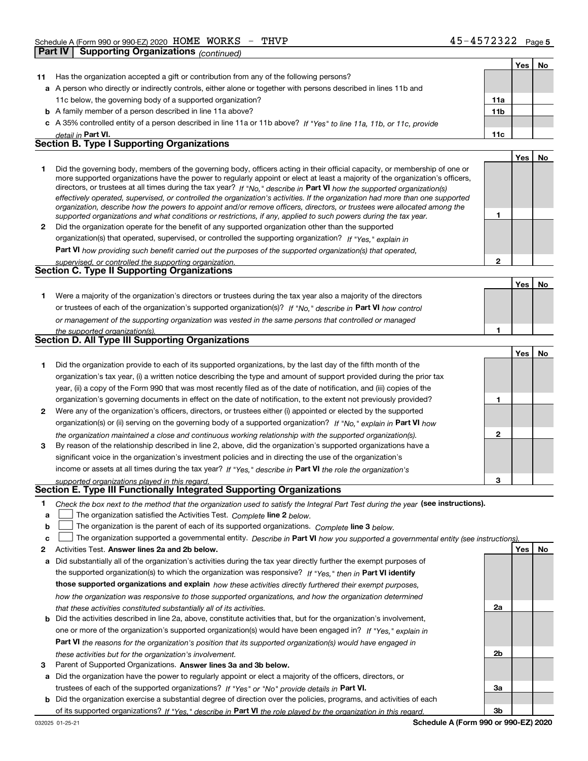|    | Part IV | Supporting Organizations <sub>(continued)</sub>                                                                                                                                                                                                          |                 |     |    |
|----|---------|----------------------------------------------------------------------------------------------------------------------------------------------------------------------------------------------------------------------------------------------------------|-----------------|-----|----|
|    |         |                                                                                                                                                                                                                                                          |                 | Yes | No |
| 11 |         | Has the organization accepted a gift or contribution from any of the following persons?                                                                                                                                                                  |                 |     |    |
|    |         | a A person who directly or indirectly controls, either alone or together with persons described in lines 11b and                                                                                                                                         |                 |     |    |
|    |         | 11c below, the governing body of a supported organization?                                                                                                                                                                                               | 11a             |     |    |
|    |         | <b>b</b> A family member of a person described in line 11a above?                                                                                                                                                                                        | 11 <sub>b</sub> |     |    |
|    |         | c A 35% controlled entity of a person described in line 11a or 11b above? If "Yes" to line 11a, 11b, or 11c, provide                                                                                                                                     |                 |     |    |
|    |         | detail in Part VI.                                                                                                                                                                                                                                       | 11c             |     |    |
|    |         | <b>Section B. Type I Supporting Organizations</b>                                                                                                                                                                                                        |                 |     |    |
|    |         |                                                                                                                                                                                                                                                          |                 | Yes | No |
| 1  |         | Did the governing body, members of the governing body, officers acting in their official capacity, or membership of one or                                                                                                                               |                 |     |    |
|    |         | more supported organizations have the power to regularly appoint or elect at least a majority of the organization's officers,<br>directors, or trustees at all times during the tax year? If "No," describe in Part VI how the supported organization(s) |                 |     |    |
|    |         | effectively operated, supervised, or controlled the organization's activities. If the organization had more than one supported                                                                                                                           |                 |     |    |
|    |         | organization, describe how the powers to appoint and/or remove officers, directors, or trustees were allocated among the                                                                                                                                 |                 |     |    |
|    |         | supported organizations and what conditions or restrictions, if any, applied to such powers during the tax year.                                                                                                                                         | 1               |     |    |
| 2  |         | Did the organization operate for the benefit of any supported organization other than the supported                                                                                                                                                      |                 |     |    |
|    |         | organization(s) that operated, supervised, or controlled the supporting organization? If "Yes," explain in                                                                                                                                               |                 |     |    |
|    |         | Part VI how providing such benefit carried out the purposes of the supported organization(s) that operated,                                                                                                                                              |                 |     |    |
|    |         | supervised, or controlled the supporting organization.                                                                                                                                                                                                   | $\overline{2}$  |     |    |
|    |         | Section C. Type II Supporting Organizations                                                                                                                                                                                                              |                 |     |    |
|    |         |                                                                                                                                                                                                                                                          |                 | Yes | No |
| 1. |         | Were a majority of the organization's directors or trustees during the tax year also a majority of the directors                                                                                                                                         |                 |     |    |
|    |         | or trustees of each of the organization's supported organization(s)? If "No," describe in Part VI how control                                                                                                                                            |                 |     |    |
|    |         | or management of the supporting organization was vested in the same persons that controlled or managed                                                                                                                                                   |                 |     |    |
|    |         | the supported organization(s).<br>Section D. All Type III Supporting Organizations                                                                                                                                                                       | 1               |     |    |
|    |         |                                                                                                                                                                                                                                                          |                 |     |    |
|    |         |                                                                                                                                                                                                                                                          |                 | Yes | No |
| 1. |         | Did the organization provide to each of its supported organizations, by the last day of the fifth month of the                                                                                                                                           |                 |     |    |
|    |         | organization's tax year, (i) a written notice describing the type and amount of support provided during the prior tax                                                                                                                                    |                 |     |    |
|    |         | year, (ii) a copy of the Form 990 that was most recently filed as of the date of notification, and (iii) copies of the                                                                                                                                   |                 |     |    |
|    |         | organization's governing documents in effect on the date of notification, to the extent not previously provided?                                                                                                                                         | 1               |     |    |
| 2  |         | Were any of the organization's officers, directors, or trustees either (i) appointed or elected by the supported                                                                                                                                         |                 |     |    |
|    |         | organization(s) or (ii) serving on the governing body of a supported organization? If "No," explain in Part VI how                                                                                                                                       |                 |     |    |
|    |         | the organization maintained a close and continuous working relationship with the supported organization(s).                                                                                                                                              | 2               |     |    |
| 3  |         | By reason of the relationship described in line 2, above, did the organization's supported organizations have a                                                                                                                                          |                 |     |    |
|    |         | significant voice in the organization's investment policies and in directing the use of the organization's                                                                                                                                               |                 |     |    |
|    |         | income or assets at all times during the tax year? If "Yes," describe in Part VI the role the organization's                                                                                                                                             |                 |     |    |
|    |         | supported organizations played in this regard.                                                                                                                                                                                                           |                 |     |    |
|    |         | Section E. Type III Functionally Integrated Supporting Organizations                                                                                                                                                                                     |                 |     |    |
| 1  |         | Check the box next to the method that the organization used to satisfy the Integral Part Test during the year (see instructions).                                                                                                                        |                 |     |    |
| a  |         | The organization satisfied the Activities Test. Complete line 2 below.                                                                                                                                                                                   |                 |     |    |
| b  |         | The organization is the parent of each of its supported organizations. Complete line 3 below.                                                                                                                                                            |                 |     |    |
| c  |         | The organization supported a governmental entity. Describe in Part VI how you supported a governmental entity (see instructions)                                                                                                                         |                 |     |    |
| 2  |         | Activities Test. Answer lines 2a and 2b below.                                                                                                                                                                                                           |                 | Yes | No |
|    |         | a Did substantially all of the organization's activities during the tax year directly further the exempt purposes of                                                                                                                                     |                 |     |    |

- **b** Did the activities described in line 2a, above, constitute activities that, but for the organization's involvement, the supported organization(s) to which the organization was responsive? If "Yes," then in **Part VI identify those supported organizations and explain**  *how these activities directly furthered their exempt purposes, how the organization was responsive to those supported organizations, and how the organization determined that these activities constituted substantially all of its activities.* one or more of the organization's supported organization(s) would have been engaged in? If "Yes," e*xplain in* 
	- **Part VI**  *the reasons for the organization's position that its supported organization(s) would have engaged in these activities but for the organization's involvement.*
- **3** Parent of Supported Organizations. Answer lines 3a and 3b below.

**a** Did the organization have the power to regularly appoint or elect a majority of the officers, directors, or trustees of each of the supported organizations? If "Yes" or "No" provide details in **Part VI.** 

**b** Did the organization exercise a substantial degree of direction over the policies, programs, and activities of each of its supported organizations? If "Yes," describe in Part VI the role played by the organization in this regard.

**2a**

**2b**

**3a**

**3b**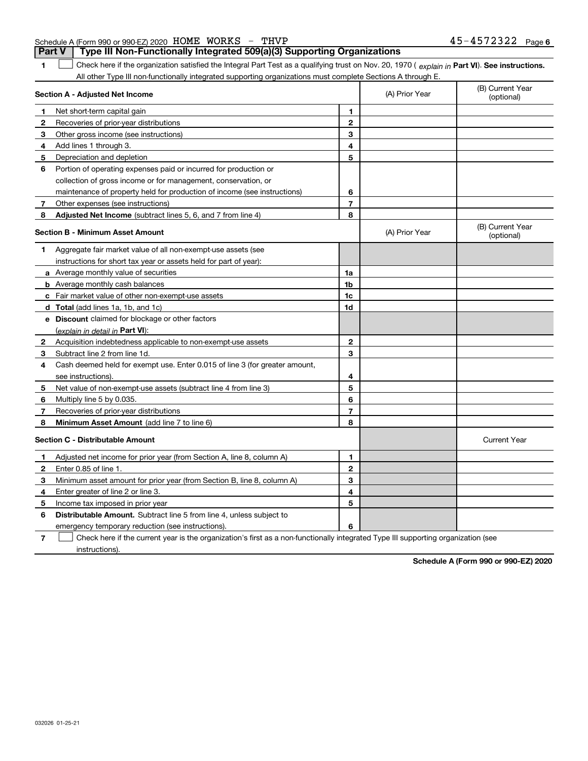032026 01-25-21

## Schedule A (Form 990 or 990-EZ) 2020 Page HOME WORKS - THVP 45-4572322

**1**1 Check here if the organization satisfied the Integral Part Test as a qualifying trust on Nov. 20, 1970 (explain in Part VI). See instructions. **Part V Type III Non-Functionally Integrated 509(a)(3) Supporting Organizations** 

All other Type III non-functionally integrated supporting organizations must complete Sections A through E.

|              | <b>Section A - Adjusted Net Income</b>                                                                                            | (A) Prior Year | (B) Current Year<br>(optional) |                                |
|--------------|-----------------------------------------------------------------------------------------------------------------------------------|----------------|--------------------------------|--------------------------------|
| 1            | Net short-term capital gain                                                                                                       | 1              |                                |                                |
| 2            | Recoveries of prior-year distributions                                                                                            | $\mathbf{2}$   |                                |                                |
| 3            | Other gross income (see instructions)                                                                                             | 3              |                                |                                |
| 4            | Add lines 1 through 3.                                                                                                            | 4              |                                |                                |
| 5            | Depreciation and depletion                                                                                                        | 5              |                                |                                |
| 6            | Portion of operating expenses paid or incurred for production or                                                                  |                |                                |                                |
|              | collection of gross income or for management, conservation, or                                                                    |                |                                |                                |
|              | maintenance of property held for production of income (see instructions)                                                          | 6              |                                |                                |
| 7            | Other expenses (see instructions)                                                                                                 | $\overline{7}$ |                                |                                |
| 8            | Adjusted Net Income (subtract lines 5, 6, and 7 from line 4)                                                                      | 8              |                                |                                |
|              | Section B - Minimum Asset Amount                                                                                                  |                | (A) Prior Year                 | (B) Current Year<br>(optional) |
| 1            | Aggregate fair market value of all non-exempt-use assets (see                                                                     |                |                                |                                |
|              | instructions for short tax year or assets held for part of year):                                                                 |                |                                |                                |
|              | a Average monthly value of securities                                                                                             | 1a             |                                |                                |
|              | <b>b</b> Average monthly cash balances                                                                                            | 1b             |                                |                                |
|              | c Fair market value of other non-exempt-use assets                                                                                | 1c             |                                |                                |
|              | d Total (add lines 1a, 1b, and 1c)                                                                                                | 1d             |                                |                                |
|              | e Discount claimed for blockage or other factors                                                                                  |                |                                |                                |
|              | <u>(explain in detail in <b>Part VI</b>)</u> :                                                                                    |                |                                |                                |
| 2            | Acquisition indebtedness applicable to non-exempt-use assets                                                                      | $\mathbf{2}$   |                                |                                |
| 3            | Subtract line 2 from line 1d.                                                                                                     | 3              |                                |                                |
| 4            | Cash deemed held for exempt use. Enter 0.015 of line 3 (for greater amount,                                                       |                |                                |                                |
|              | see instructions).                                                                                                                | 4              |                                |                                |
| 5            | Net value of non-exempt-use assets (subtract line 4 from line 3)                                                                  | 5              |                                |                                |
| 6            | Multiply line 5 by 0.035.                                                                                                         | 6              |                                |                                |
| 7            | Recoveries of prior-year distributions                                                                                            | $\overline{7}$ |                                |                                |
| 8            | Minimum Asset Amount (add line 7 to line 6)                                                                                       | 8              |                                |                                |
|              | <b>Section C - Distributable Amount</b>                                                                                           |                |                                | <b>Current Year</b>            |
| 1            | Adjusted net income for prior year (from Section A, line 8, column A)                                                             | $\mathbf{1}$   |                                |                                |
| $\mathbf{2}$ | Enter 0.85 of line 1.                                                                                                             | $\mathbf{2}$   |                                |                                |
| 3            | Minimum asset amount for prior year (from Section B, line 8, column A)                                                            | 3              |                                |                                |
| 4            | Enter greater of line 2 or line 3.                                                                                                | 4              |                                |                                |
| 5            | Income tax imposed in prior year                                                                                                  | 5              |                                |                                |
| 6            | <b>Distributable Amount.</b> Subtract line 5 from line 4, unless subject to                                                       |                |                                |                                |
|              | emergency temporary reduction (see instructions).                                                                                 | 6              |                                |                                |
| 7            | Check here if the current year is the organization's first as a non-functionally integrated Type III supporting organization (see |                |                                |                                |

Check here if the current year is the organization's first as a non-functionally integrated Type III supporting organization (see instructions).

**Schedule A (Form 990 or 990-EZ) 2020**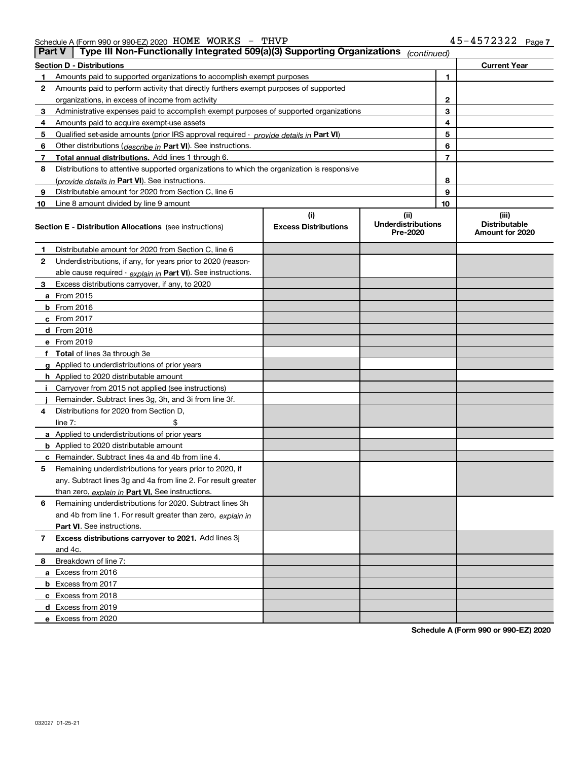|                                                       | $\Box$ Dert V $\Box$ Type III Nep Eunetianelly Integrated $E00(n/2)$ Cunnecting Organizations |            |              |
|-------------------------------------------------------|-----------------------------------------------------------------------------------------------|------------|--------------|
| Schedule A (Form 990 or 990-EZ) 2020 HOME WORKS $-$ 1 | THVP                                                                                          | 45-4572322 | $-$ Page $-$ |

|              | Part V<br>Type iii Non-Functionally integrated 509(a)(3) Supporting Organizations          |                                    | (continued)                                    |    |                                                  |
|--------------|--------------------------------------------------------------------------------------------|------------------------------------|------------------------------------------------|----|--------------------------------------------------|
|              | <b>Section D - Distributions</b>                                                           |                                    |                                                |    | <b>Current Year</b>                              |
| 1.           | Amounts paid to supported organizations to accomplish exempt purposes                      |                                    |                                                | 1  |                                                  |
| 2            | Amounts paid to perform activity that directly furthers exempt purposes of supported       |                                    |                                                |    |                                                  |
|              | organizations, in excess of income from activity                                           |                                    |                                                | 2  |                                                  |
| 3            | Administrative expenses paid to accomplish exempt purposes of supported organizations      |                                    |                                                | 3  |                                                  |
| 4            | Amounts paid to acquire exempt-use assets                                                  |                                    |                                                | 4  |                                                  |
| 5            | Qualified set-aside amounts (prior IRS approval required - provide details in Part VI)     |                                    |                                                | 5  |                                                  |
| 6            | Other distributions (describe in Part VI). See instructions.                               |                                    |                                                | 6  |                                                  |
| 7            | Total annual distributions. Add lines 1 through 6.                                         |                                    |                                                | 7  |                                                  |
| 8            | Distributions to attentive supported organizations to which the organization is responsive |                                    |                                                |    |                                                  |
|              | (provide details in Part VI). See instructions.                                            |                                    |                                                | 8  |                                                  |
| 9            | Distributable amount for 2020 from Section C, line 6                                       |                                    |                                                | 9  |                                                  |
| 10           | Line 8 amount divided by line 9 amount                                                     |                                    |                                                | 10 |                                                  |
|              | <b>Section E - Distribution Allocations</b> (see instructions)                             | (i)<br><b>Excess Distributions</b> | (iii)<br><b>Underdistributions</b><br>Pre-2020 |    | (iii)<br><b>Distributable</b><br>Amount for 2020 |
| 1            | Distributable amount for 2020 from Section C, line 6                                       |                                    |                                                |    |                                                  |
| $\mathbf{2}$ | Underdistributions, if any, for years prior to 2020 (reason-                               |                                    |                                                |    |                                                  |
|              | able cause required - explain in Part VI). See instructions.                               |                                    |                                                |    |                                                  |
| 3.           | Excess distributions carryover, if any, to 2020                                            |                                    |                                                |    |                                                  |
|              | a From 2015                                                                                |                                    |                                                |    |                                                  |
|              | <b>b</b> From $2016$                                                                       |                                    |                                                |    |                                                  |
|              | $c$ From 2017                                                                              |                                    |                                                |    |                                                  |
|              | $d$ From 2018                                                                              |                                    |                                                |    |                                                  |
|              | e From 2019                                                                                |                                    |                                                |    |                                                  |
|              | f Total of lines 3a through 3e                                                             |                                    |                                                |    |                                                  |
|              | g Applied to underdistributions of prior years                                             |                                    |                                                |    |                                                  |
|              | h Applied to 2020 distributable amount                                                     |                                    |                                                |    |                                                  |
| Ť.           | Carryover from 2015 not applied (see instructions)                                         |                                    |                                                |    |                                                  |
|              | Remainder. Subtract lines 3g, 3h, and 3i from line 3f.                                     |                                    |                                                |    |                                                  |
| 4            | Distributions for 2020 from Section D,                                                     |                                    |                                                |    |                                                  |
|              | \$<br>line $7:$                                                                            |                                    |                                                |    |                                                  |
|              | a Applied to underdistributions of prior years                                             |                                    |                                                |    |                                                  |
|              | <b>b</b> Applied to 2020 distributable amount                                              |                                    |                                                |    |                                                  |
|              | c Remainder. Subtract lines 4a and 4b from line 4.                                         |                                    |                                                |    |                                                  |
| 5            | Remaining underdistributions for years prior to 2020, if                                   |                                    |                                                |    |                                                  |
|              | any. Subtract lines 3q and 4a from line 2. For result greater                              |                                    |                                                |    |                                                  |
|              | than zero, explain in Part VI. See instructions.                                           |                                    |                                                |    |                                                  |
| 6            | Remaining underdistributions for 2020. Subtract lines 3h                                   |                                    |                                                |    |                                                  |
|              | and 4b from line 1. For result greater than zero, explain in                               |                                    |                                                |    |                                                  |
|              | Part VI. See instructions.                                                                 |                                    |                                                |    |                                                  |
| 7            | Excess distributions carryover to 2021. Add lines 3j                                       |                                    |                                                |    |                                                  |
|              | and 4c.                                                                                    |                                    |                                                |    |                                                  |
| 8            | Breakdown of line 7:                                                                       |                                    |                                                |    |                                                  |
|              | a Excess from 2016                                                                         |                                    |                                                |    |                                                  |
|              | <b>b</b> Excess from 2017                                                                  |                                    |                                                |    |                                                  |
|              | c Excess from 2018                                                                         |                                    |                                                |    |                                                  |
|              | d Excess from 2019                                                                         |                                    |                                                |    |                                                  |
|              | e Excess from 2020                                                                         |                                    |                                                |    |                                                  |

**Schedule A (Form 990 or 990-EZ) 2020**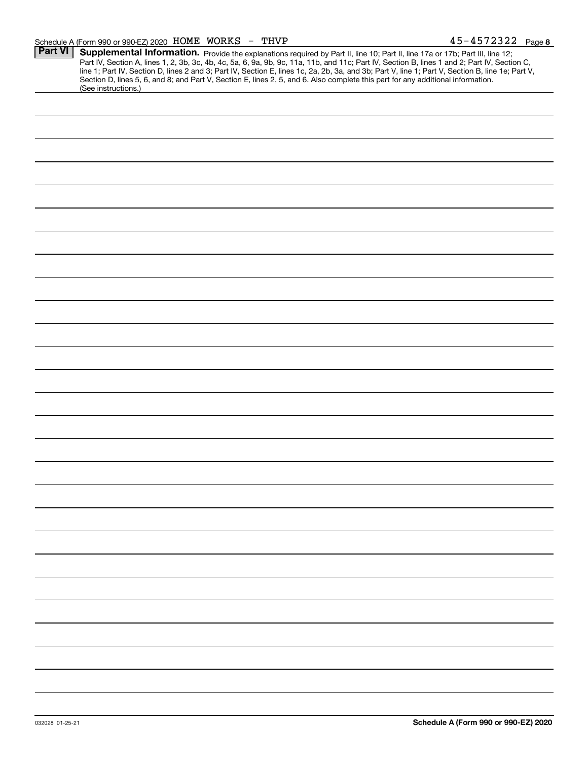### Schedule A (Form 990 or 990-EZ) 2020 Page HOME WORKS - THVP 45-4572322

| <b>Part VI</b> | Supplemental Information. Provide the explanations required by Part II, line 10; Part II, line 17a or 17b; Part III, line 12;                    |
|----------------|--------------------------------------------------------------------------------------------------------------------------------------------------|
|                | Part IV, Section A, lines 1, 2, 3b, 3c, 4b, 4c, 5a, 6, 9a, 9b, 9c, 11a, 11b, and 11c; Part IV, Section B, lines 1 and 2; Part IV, Section C,     |
|                | line 1; Part IV, Section D, lines 2 and 3; Part IV, Section E, lines 1c, 2a, 2b, 3a, and 3b; Part V, line 1; Part V, Section B, line 1e; Part V, |
|                | Section D, lines 5, 6, and 8; and Part V, Section E, lines 2, 5, and 6. Also complete this part for any additional information.                  |
|                | (See instructions.)                                                                                                                              |
|                |                                                                                                                                                  |
|                |                                                                                                                                                  |
|                |                                                                                                                                                  |
|                |                                                                                                                                                  |
|                |                                                                                                                                                  |
|                |                                                                                                                                                  |
|                |                                                                                                                                                  |
|                |                                                                                                                                                  |
|                |                                                                                                                                                  |
|                |                                                                                                                                                  |
|                |                                                                                                                                                  |
|                |                                                                                                                                                  |
|                |                                                                                                                                                  |
|                |                                                                                                                                                  |
|                |                                                                                                                                                  |
|                |                                                                                                                                                  |
|                |                                                                                                                                                  |
|                |                                                                                                                                                  |
|                |                                                                                                                                                  |
|                |                                                                                                                                                  |
|                |                                                                                                                                                  |
|                |                                                                                                                                                  |
|                |                                                                                                                                                  |
|                |                                                                                                                                                  |
|                |                                                                                                                                                  |
|                |                                                                                                                                                  |
|                |                                                                                                                                                  |
|                |                                                                                                                                                  |
|                |                                                                                                                                                  |
|                |                                                                                                                                                  |
|                |                                                                                                                                                  |
|                |                                                                                                                                                  |
|                |                                                                                                                                                  |
|                |                                                                                                                                                  |
|                |                                                                                                                                                  |
|                |                                                                                                                                                  |
|                |                                                                                                                                                  |
|                |                                                                                                                                                  |
|                |                                                                                                                                                  |
|                |                                                                                                                                                  |
|                |                                                                                                                                                  |
|                |                                                                                                                                                  |
|                |                                                                                                                                                  |
|                |                                                                                                                                                  |
|                |                                                                                                                                                  |
|                |                                                                                                                                                  |
|                |                                                                                                                                                  |
|                |                                                                                                                                                  |
|                |                                                                                                                                                  |
|                |                                                                                                                                                  |
|                |                                                                                                                                                  |
|                |                                                                                                                                                  |
|                |                                                                                                                                                  |
|                |                                                                                                                                                  |
|                |                                                                                                                                                  |
|                |                                                                                                                                                  |
|                |                                                                                                                                                  |
|                |                                                                                                                                                  |
|                |                                                                                                                                                  |
|                |                                                                                                                                                  |
|                |                                                                                                                                                  |
|                |                                                                                                                                                  |
|                |                                                                                                                                                  |
|                |                                                                                                                                                  |
|                |                                                                                                                                                  |
|                |                                                                                                                                                  |
|                |                                                                                                                                                  |
|                |                                                                                                                                                  |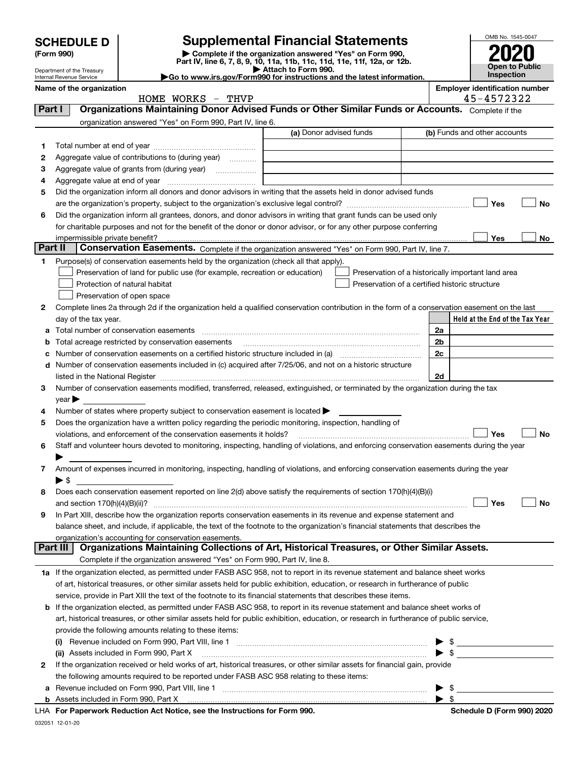|         | <b>SCHEDULE D</b>                                      |                                                                                                        | <b>Supplemental Financial Statements</b>                                                                                                                                                                                       |     | OMB No. 1545-0047                     |
|---------|--------------------------------------------------------|--------------------------------------------------------------------------------------------------------|--------------------------------------------------------------------------------------------------------------------------------------------------------------------------------------------------------------------------------|-----|---------------------------------------|
|         | (Form 990)                                             |                                                                                                        | Complete if the organization answered "Yes" on Form 990,                                                                                                                                                                       |     |                                       |
|         |                                                        |                                                                                                        | Part IV, line 6, 7, 8, 9, 10, 11a, 11b, 11c, 11d, 11e, 11f, 12a, or 12b.                                                                                                                                                       |     | Open to Public                        |
|         | Department of the Treasury<br>Internal Revenue Service |                                                                                                        | Attach to Form 990.<br>Go to www.irs.gov/Form990 for instructions and the latest information.                                                                                                                                  |     | <b>Inspection</b>                     |
|         | Name of the organization                               |                                                                                                        |                                                                                                                                                                                                                                |     | <b>Employer identification number</b> |
|         |                                                        | HOME WORKS - THVP                                                                                      |                                                                                                                                                                                                                                |     | 45-4572322                            |
| Part I  |                                                        |                                                                                                        | Organizations Maintaining Donor Advised Funds or Other Similar Funds or Accounts. Complete if the                                                                                                                              |     |                                       |
|         |                                                        | organization answered "Yes" on Form 990, Part IV, line 6.                                              |                                                                                                                                                                                                                                |     |                                       |
|         |                                                        |                                                                                                        | (a) Donor advised funds                                                                                                                                                                                                        |     | (b) Funds and other accounts          |
| 1       |                                                        |                                                                                                        |                                                                                                                                                                                                                                |     |                                       |
| 2       |                                                        | Aggregate value of contributions to (during year)                                                      |                                                                                                                                                                                                                                |     |                                       |
| 3       |                                                        |                                                                                                        |                                                                                                                                                                                                                                |     |                                       |
| 4       |                                                        |                                                                                                        | Did the organization inform all donors and donor advisors in writing that the assets held in donor advised funds                                                                                                               |     |                                       |
| 5       |                                                        |                                                                                                        |                                                                                                                                                                                                                                |     | Yes<br>No                             |
| 6       |                                                        |                                                                                                        | Did the organization inform all grantees, donors, and donor advisors in writing that grant funds can be used only                                                                                                              |     |                                       |
|         |                                                        |                                                                                                        | for charitable purposes and not for the benefit of the donor or donor advisor, or for any other purpose conferring                                                                                                             |     |                                       |
|         | impermissible private benefit?                         |                                                                                                        |                                                                                                                                                                                                                                |     | <b>Yes</b><br>No                      |
| Part II |                                                        |                                                                                                        | Conservation Easements. Complete if the organization answered "Yes" on Form 990, Part IV, line 7.                                                                                                                              |     |                                       |
| 1       |                                                        | Purpose(s) of conservation easements held by the organization (check all that apply).                  |                                                                                                                                                                                                                                |     |                                       |
|         |                                                        | Preservation of land for public use (for example, recreation or education)                             | Preservation of a historically important land area                                                                                                                                                                             |     |                                       |
|         |                                                        | Protection of natural habitat                                                                          | Preservation of a certified historic structure                                                                                                                                                                                 |     |                                       |
|         |                                                        | Preservation of open space                                                                             |                                                                                                                                                                                                                                |     |                                       |
| 2       |                                                        |                                                                                                        | Complete lines 2a through 2d if the organization held a qualified conservation contribution in the form of a conservation easement on the last                                                                                 |     |                                       |
|         | day of the tax year.                                   |                                                                                                        |                                                                                                                                                                                                                                |     | Held at the End of the Tax Year       |
|         |                                                        | Total number of conservation easements                                                                 |                                                                                                                                                                                                                                | 2a  |                                       |
| b       |                                                        |                                                                                                        |                                                                                                                                                                                                                                | 2b  |                                       |
|         |                                                        |                                                                                                        |                                                                                                                                                                                                                                | 2c  |                                       |
|         |                                                        |                                                                                                        | d Number of conservation easements included in (c) acquired after 7/25/06, and not on a historic structure                                                                                                                     |     |                                       |
|         |                                                        |                                                                                                        | listed in the National Register [111] [12] The Mational Register [11] Mathematic Mathematic Mathematic Mathematic Mathematic Mathematic Mathematic Mathematic Mathematic Mathematic Mathematic Mathematic Mathematic Mathemati | 2d  |                                       |
| 3       |                                                        |                                                                                                        | Number of conservation easements modified, transferred, released, extinguished, or terminated by the organization during the tax                                                                                               |     |                                       |
|         | $year \blacktriangleright$                             |                                                                                                        |                                                                                                                                                                                                                                |     |                                       |
| 4       |                                                        | Number of states where property subject to conservation easement is located $\blacktriangleright$      |                                                                                                                                                                                                                                |     |                                       |
| 5       |                                                        | Does the organization have a written policy regarding the periodic monitoring, inspection, handling of |                                                                                                                                                                                                                                |     |                                       |
|         |                                                        | violations, and enforcement of the conservation easements it holds?                                    |                                                                                                                                                                                                                                |     | Yes<br>No                             |
| 6       |                                                        |                                                                                                        | Staff and volunteer hours devoted to monitoring, inspecting, handling of violations, and enforcing conservation easements during the year                                                                                      |     |                                       |
|         |                                                        |                                                                                                        |                                                                                                                                                                                                                                |     |                                       |
| 7       |                                                        |                                                                                                        | Amount of expenses incurred in monitoring, inspecting, handling of violations, and enforcing conservation easements during the year                                                                                            |     |                                       |
|         | ▶ \$                                                   |                                                                                                        |                                                                                                                                                                                                                                |     |                                       |
| 8       |                                                        |                                                                                                        | Does each conservation easement reported on line 2(d) above satisfy the requirements of section 170(h)(4)(B)(i)                                                                                                                |     |                                       |
|         | and section 170(h)(4)(B)(ii)?                          |                                                                                                        |                                                                                                                                                                                                                                |     | Yes<br>No                             |
| 9       |                                                        |                                                                                                        | In Part XIII, describe how the organization reports conservation easements in its revenue and expense statement and                                                                                                            |     |                                       |
|         |                                                        |                                                                                                        | balance sheet, and include, if applicable, the text of the footnote to the organization's financial statements that describes the                                                                                              |     |                                       |
|         |                                                        | organization's accounting for conservation easements.                                                  |                                                                                                                                                                                                                                |     |                                       |
|         | Part III                                               |                                                                                                        | Organizations Maintaining Collections of Art, Historical Treasures, or Other Similar Assets.                                                                                                                                   |     |                                       |
|         |                                                        | Complete if the organization answered "Yes" on Form 990, Part IV, line 8.                              |                                                                                                                                                                                                                                |     |                                       |
|         |                                                        |                                                                                                        | 1a If the organization elected, as permitted under FASB ASC 958, not to report in its revenue statement and balance sheet works                                                                                                |     |                                       |
|         |                                                        |                                                                                                        | of art, historical treasures, or other similar assets held for public exhibition, education, or research in furtherance of public                                                                                              |     |                                       |
|         |                                                        |                                                                                                        | service, provide in Part XIII the text of the footnote to its financial statements that describes these items.                                                                                                                 |     |                                       |
| b       |                                                        |                                                                                                        | If the organization elected, as permitted under FASB ASC 958, to report in its revenue statement and balance sheet works of                                                                                                    |     |                                       |
|         |                                                        |                                                                                                        | art, historical treasures, or other similar assets held for public exhibition, education, or research in furtherance of public service,                                                                                        |     |                                       |
|         |                                                        | provide the following amounts relating to these items:                                                 |                                                                                                                                                                                                                                |     |                                       |
|         |                                                        |                                                                                                        |                                                                                                                                                                                                                                |     |                                       |
|         |                                                        | (ii) Assets included in Form 990, Part X                                                               |                                                                                                                                                                                                                                |     |                                       |
| 2       |                                                        |                                                                                                        | If the organization received or held works of art, historical treasures, or other similar assets for financial gain, provide                                                                                                   |     |                                       |
|         |                                                        | the following amounts required to be reported under FASB ASC 958 relating to these items:              |                                                                                                                                                                                                                                |     |                                       |
|         |                                                        |                                                                                                        |                                                                                                                                                                                                                                | -\$ |                                       |

| Assets included in Form 990, Part Y |  |
|-------------------------------------|--|

**For Paperwork Reduction Act Notice, see the Instructions for Form 990. Schedule D (Form 990) 2020** LHA

\$<br>Schedule D (Form 990) 2020

032051 12-01-20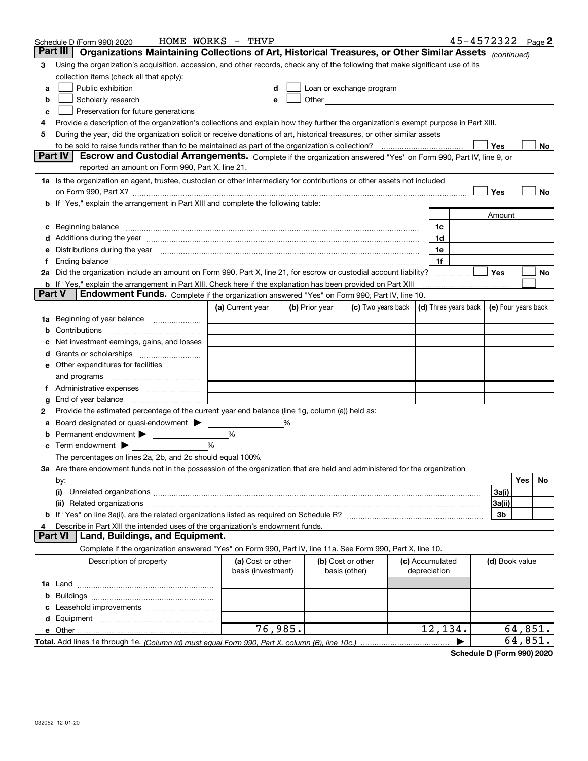|          | Schedule D (Form 990) 2020                                                                                                                                                                                                     | HOME WORKS - THVP  |         |                |                                                                             |                 |                | 45-4572322 Page 2 |
|----------|--------------------------------------------------------------------------------------------------------------------------------------------------------------------------------------------------------------------------------|--------------------|---------|----------------|-----------------------------------------------------------------------------|-----------------|----------------|-------------------|
| Part III | Organizations Maintaining Collections of Art, Historical Treasures, or Other Similar Assets (continued)                                                                                                                        |                    |         |                |                                                                             |                 |                |                   |
| 3        | Using the organization's acquisition, accession, and other records, check any of the following that make significant use of its                                                                                                |                    |         |                |                                                                             |                 |                |                   |
|          | collection items (check all that apply):                                                                                                                                                                                       |                    |         |                |                                                                             |                 |                |                   |
| a        | Public exhibition                                                                                                                                                                                                              |                    |         |                | Loan or exchange program                                                    |                 |                |                   |
| b        | Scholarly research                                                                                                                                                                                                             |                    |         |                |                                                                             |                 |                |                   |
| c        | Preservation for future generations                                                                                                                                                                                            |                    |         |                |                                                                             |                 |                |                   |
| 4        | Provide a description of the organization's collections and explain how they further the organization's exempt purpose in Part XIII.                                                                                           |                    |         |                |                                                                             |                 |                |                   |
| 5        | During the year, did the organization solicit or receive donations of art, historical treasures, or other similar assets                                                                                                       |                    |         |                |                                                                             |                 |                |                   |
|          |                                                                                                                                                                                                                                |                    |         |                |                                                                             |                 | Yes            | No                |
|          | <b>Part IV</b><br>Escrow and Custodial Arrangements. Complete if the organization answered "Yes" on Form 990, Part IV, line 9, or                                                                                              |                    |         |                |                                                                             |                 |                |                   |
|          | reported an amount on Form 990, Part X, line 21.                                                                                                                                                                               |                    |         |                |                                                                             |                 |                |                   |
|          | 1a Is the organization an agent, trustee, custodian or other intermediary for contributions or other assets not included                                                                                                       |                    |         |                |                                                                             |                 |                |                   |
|          |                                                                                                                                                                                                                                |                    |         |                |                                                                             |                 | Yes            | No                |
| b        | If "Yes," explain the arrangement in Part XIII and complete the following table:                                                                                                                                               |                    |         |                |                                                                             |                 |                |                   |
|          |                                                                                                                                                                                                                                |                    |         |                |                                                                             |                 | Amount         |                   |
|          |                                                                                                                                                                                                                                |                    |         |                |                                                                             | 1c              |                |                   |
|          | Additions during the year manufactured and an account of the year and account of the year manufactured and account of the year and account of the year and account of the year and account of the state of the state of the st |                    |         |                |                                                                             | 1d              |                |                   |
|          | Distributions during the year manufactured and continuum and contract the year manufactured and contract the year manufactured and contract the year manufactured and contract the year manufactured and contract the year man |                    |         |                |                                                                             | 1e              |                |                   |
|          |                                                                                                                                                                                                                                |                    |         |                |                                                                             | 1f              |                |                   |
|          | 2a Did the organization include an amount on Form 990, Part X, line 21, for escrow or custodial account liability?                                                                                                             |                    |         |                |                                                                             |                 | Yes            | No                |
|          | b If "Yes," explain the arrangement in Part XIII. Check here if the explanation has been provided on Part XIII                                                                                                                 |                    |         |                |                                                                             |                 |                |                   |
| Part V   | <b>Endowment Funds.</b> Complete if the organization answered "Yes" on Form 990, Part IV, line 10.                                                                                                                             |                    |         |                |                                                                             |                 |                |                   |
|          |                                                                                                                                                                                                                                | (a) Current year   |         | (b) Prior year | (c) Two years back $\vert$ (d) Three years back $\vert$ (e) Four years back |                 |                |                   |
| 1a       | Beginning of year balance                                                                                                                                                                                                      |                    |         |                |                                                                             |                 |                |                   |
|          |                                                                                                                                                                                                                                |                    |         |                |                                                                             |                 |                |                   |
|          | Net investment earnings, gains, and losses                                                                                                                                                                                     |                    |         |                |                                                                             |                 |                |                   |
|          |                                                                                                                                                                                                                                |                    |         |                |                                                                             |                 |                |                   |
|          | e Other expenditures for facilities                                                                                                                                                                                            |                    |         |                |                                                                             |                 |                |                   |
|          | and programs                                                                                                                                                                                                                   |                    |         |                |                                                                             |                 |                |                   |
|          | Administrative expenses                                                                                                                                                                                                        |                    |         |                |                                                                             |                 |                |                   |
| g        | End of year balance                                                                                                                                                                                                            |                    |         |                |                                                                             |                 |                |                   |
| 2        | Provide the estimated percentage of the current year end balance (line 1g, column (a)) held as:                                                                                                                                |                    |         |                |                                                                             |                 |                |                   |
|          | Board designated or quasi-endowment                                                                                                                                                                                            |                    | %       |                |                                                                             |                 |                |                   |
|          | Permanent endowment > <u>example</u>                                                                                                                                                                                           | %<br>%             |         |                |                                                                             |                 |                |                   |
| с        | Term endowment $\blacktriangleright$<br>The percentages on lines 2a, 2b, and 2c should equal 100%.                                                                                                                             |                    |         |                |                                                                             |                 |                |                   |
|          | 3a Are there endowment funds not in the possession of the organization that are held and administered for the organization                                                                                                     |                    |         |                |                                                                             |                 |                |                   |
|          |                                                                                                                                                                                                                                |                    |         |                |                                                                             |                 |                | Yes<br>No         |
|          | by:<br>(i)                                                                                                                                                                                                                     |                    |         |                |                                                                             |                 | 3a(i)          |                   |
|          |                                                                                                                                                                                                                                |                    |         |                |                                                                             |                 | 3a(ii)         |                   |
|          |                                                                                                                                                                                                                                |                    |         |                |                                                                             |                 | 3b             |                   |
|          | Describe in Part XIII the intended uses of the organization's endowment funds.                                                                                                                                                 |                    |         |                |                                                                             |                 |                |                   |
|          | Land, Buildings, and Equipment.<br>Part VI                                                                                                                                                                                     |                    |         |                |                                                                             |                 |                |                   |
|          | Complete if the organization answered "Yes" on Form 990, Part IV, line 11a. See Form 990, Part X, line 10.                                                                                                                     |                    |         |                |                                                                             |                 |                |                   |
|          | Description of property                                                                                                                                                                                                        | (a) Cost or other  |         |                | (b) Cost or other                                                           | (c) Accumulated | (d) Book value |                   |
|          |                                                                                                                                                                                                                                | basis (investment) |         | basis (other)  |                                                                             | depreciation    |                |                   |
|          |                                                                                                                                                                                                                                |                    |         |                |                                                                             |                 |                |                   |
| b        |                                                                                                                                                                                                                                |                    |         |                |                                                                             |                 |                |                   |
|          |                                                                                                                                                                                                                                |                    |         |                |                                                                             |                 |                |                   |
| d        |                                                                                                                                                                                                                                |                    |         |                |                                                                             |                 |                |                   |
|          |                                                                                                                                                                                                                                |                    | 76,985. |                |                                                                             | 12,134.         |                | 64,851.           |
|          |                                                                                                                                                                                                                                |                    |         |                |                                                                             |                 |                | 64,851.           |

**Schedule D (Form 990) 2020**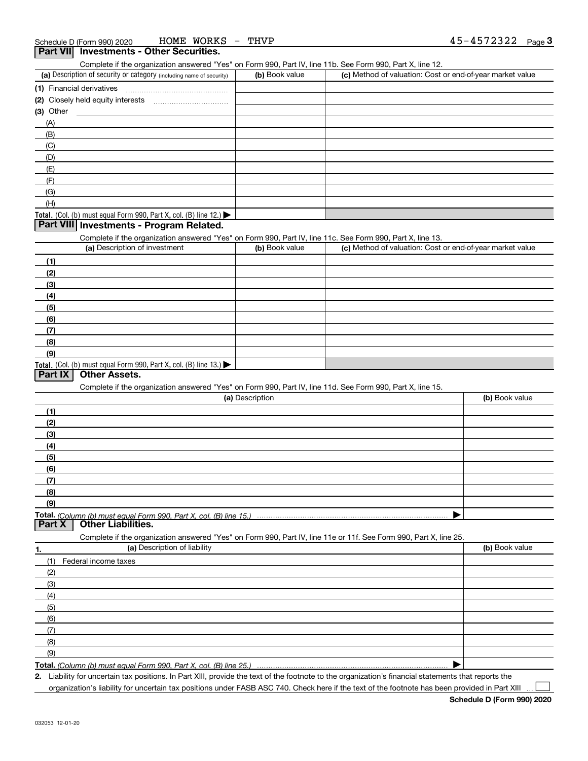Complete if the organization answered "Yes" on Form 990, Part IV, line 11b. See Form 990, Part X, line 12.

| (a) Description of security or category (including name of security)       | (b) Book value | (c) Method of valuation: Cost or end-of-year market value |
|----------------------------------------------------------------------------|----------------|-----------------------------------------------------------|
| (1) Financial derivatives                                                  |                |                                                           |
| (2) Closely held equity interests                                          |                |                                                           |
| $(3)$ Other                                                                |                |                                                           |
| (A)                                                                        |                |                                                           |
| (B)                                                                        |                |                                                           |
| (C)                                                                        |                |                                                           |
| (D)                                                                        |                |                                                           |
| (E)                                                                        |                |                                                           |
| (F)                                                                        |                |                                                           |
| (G)                                                                        |                |                                                           |
| (H)                                                                        |                |                                                           |
| <b>Total.</b> (Col. (b) must equal Form 990, Part X, col. (B) line $12$ .) |                |                                                           |

## **Part VIII Investments - Program Related.**

Complete if the organization answered "Yes" on Form 990, Part IV, line 11c. See Form 990, Part X, line 13.

| (a) Description of investment                                       | (b) Book value | (c) Method of valuation: Cost or end-of-year market value |
|---------------------------------------------------------------------|----------------|-----------------------------------------------------------|
| (1)                                                                 |                |                                                           |
| (2)                                                                 |                |                                                           |
| $\frac{1}{2}$                                                       |                |                                                           |
| (4)                                                                 |                |                                                           |
| $\left(5\right)$                                                    |                |                                                           |
| (6)                                                                 |                |                                                           |
| (7)                                                                 |                |                                                           |
| (8)                                                                 |                |                                                           |
| (9)                                                                 |                |                                                           |
| Total. (Col. (b) must equal Form 990, Part X, col. (B) line $13.$ ) |                |                                                           |

### **Part IX Other Assets.**

Complete if the organization answered "Yes" on Form 990, Part IV, line 11d. See Form 990, Part X, line 15.

| (a) Description                                                                                                          | (b) Book value |
|--------------------------------------------------------------------------------------------------------------------------|----------------|
| (1)                                                                                                                      |                |
| (2)                                                                                                                      |                |
| (3)                                                                                                                      |                |
| (4)                                                                                                                      |                |
| (5)                                                                                                                      |                |
| (6)                                                                                                                      |                |
| (7)                                                                                                                      |                |
| (8)                                                                                                                      |                |
| (9)                                                                                                                      |                |
|                                                                                                                          |                |
| Total. (Column (b) must equal Form 990, Part X, col. (B) line 15.) ……………………………………………………<br>  Part X   Other Liabilities. |                |
| Complete if the organization answered "Yes" on Form 990, Part IV, line 11e or 11f. See Form 990, Part X, line 25.        |                |
| (a) Description of liability<br>1.                                                                                       | (b) Book value |
| Federal income taxes<br>(1)                                                                                              |                |
| (2)                                                                                                                      |                |
| (3)                                                                                                                      |                |

| $\sim$ |  |
|--------|--|
| (4)    |  |
| (5)    |  |
| (6)    |  |
|        |  |
| (8)    |  |
| (9)    |  |
|        |  |

**Total.**  *(Column (b) must equal Form 990, Part X, col. (B) line 25.)* 

**2.** Liability for uncertain tax positions. In Part XIII, provide the text of the footnote to the organization's financial statements that reports the

organization's liability for uncertain tax positions under FASB ASC 740. Check here if the text of the footnote has been provided in Part XIII  $\mathcal{L}^{\text{max}}$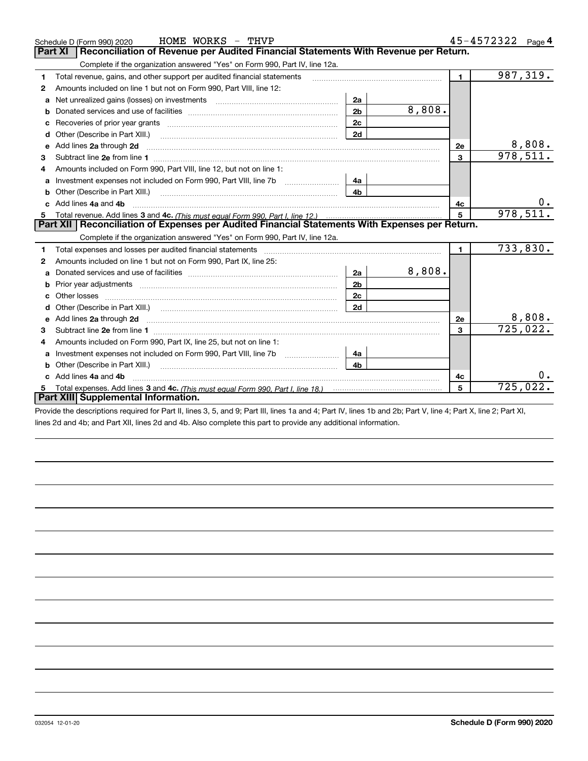|              | HOME WORKS - THVP<br>Schedule D (Form 990) 2020                                                                                                               |                |        |                | $45 - 4572322$ Page 4 |
|--------------|---------------------------------------------------------------------------------------------------------------------------------------------------------------|----------------|--------|----------------|-----------------------|
|              | Reconciliation of Revenue per Audited Financial Statements With Revenue per Return.<br><b>Part XI</b>                                                         |                |        |                |                       |
|              | Complete if the organization answered "Yes" on Form 990, Part IV, line 12a.                                                                                   |                |        |                |                       |
| 1            | Total revenue, gains, and other support per audited financial statements                                                                                      |                |        | $\blacksquare$ | 987, 319.             |
| $\mathbf{2}$ | Amounts included on line 1 but not on Form 990, Part VIII, line 12:                                                                                           |                |        |                |                       |
| a            | Net unrealized gains (losses) on investments [11] matter contracts and the unrealized gains (losses) on investments                                           | 2a             |        |                |                       |
| b            |                                                                                                                                                               | 2 <sub>b</sub> | 8,808. |                |                       |
| c            | Recoveries of prior year grants [11,111] [11] Recoveries of prior year grants [11] [11] [12] [12] [12] [12] [1                                                | 2c             |        |                |                       |
| d            | Other (Describe in Part XIII.)                                                                                                                                | 2d             |        |                |                       |
| е            | Add lines 2a through 2d                                                                                                                                       |                |        | <b>2e</b>      | 8,808.                |
| З.           |                                                                                                                                                               |                |        | 3              | 978,511.              |
|              | Amounts included on Form 990, Part VIII, line 12, but not on line 1:                                                                                          |                |        |                |                       |
| a            | Investment expenses not included on Form 990, Part VIII, line 7b                                                                                              | 4a             |        |                |                       |
| b            |                                                                                                                                                               | 4 <sub>b</sub> |        |                |                       |
|              | Add lines 4a and 4b                                                                                                                                           |                |        | 4c             | 0.                    |
|              |                                                                                                                                                               |                |        | 5              | 978,511.              |
| 5            |                                                                                                                                                               |                |        |                |                       |
|              | Part XII   Reconciliation of Expenses per Audited Financial Statements With Expenses per Return.                                                              |                |        |                |                       |
|              | Complete if the organization answered "Yes" on Form 990, Part IV, line 12a.                                                                                   |                |        |                |                       |
| 1            |                                                                                                                                                               |                |        | $\blacksquare$ | 733,830.              |
| 2            | Amounts included on line 1 but not on Form 990, Part IX, line 25:                                                                                             |                |        |                |                       |
| a            |                                                                                                                                                               | 2a             | 8,808. |                |                       |
| b            |                                                                                                                                                               | 2 <sub>b</sub> |        |                |                       |
| c            |                                                                                                                                                               | 2c             |        |                |                       |
| d            |                                                                                                                                                               | 2d             |        |                |                       |
| е            | Add lines 2a through 2d <b>must be a constructed as the constant of the constant of the constant of the construction</b>                                      |                |        | 2e             | 8,808.                |
| 3            |                                                                                                                                                               |                |        | 3              | 725,022.              |
| 4            | Amounts included on Form 990, Part IX, line 25, but not on line 1:                                                                                            |                |        |                |                       |
|              |                                                                                                                                                               | 4a             |        |                |                       |
| b            | Other (Describe in Part XIII.)                                                                                                                                | 4b.            |        |                |                       |
| c            | Add lines 4a and 4b                                                                                                                                           |                |        | 4c             |                       |
|              | Total expenses. Add lines 3 and 4c. (This must equal Form 990. Part I. line 18.) <b>Conservers</b> manufactured in the<br>Part XIII Supplemental Information. |                |        | 5              | 725,022.              |

Provide the descriptions required for Part II, lines 3, 5, and 9; Part III, lines 1a and 4; Part IV, lines 1b and 2b; Part V, line 4; Part X, line 2; Part XI, lines 2d and 4b; and Part XII, lines 2d and 4b. Also complete this part to provide any additional information.